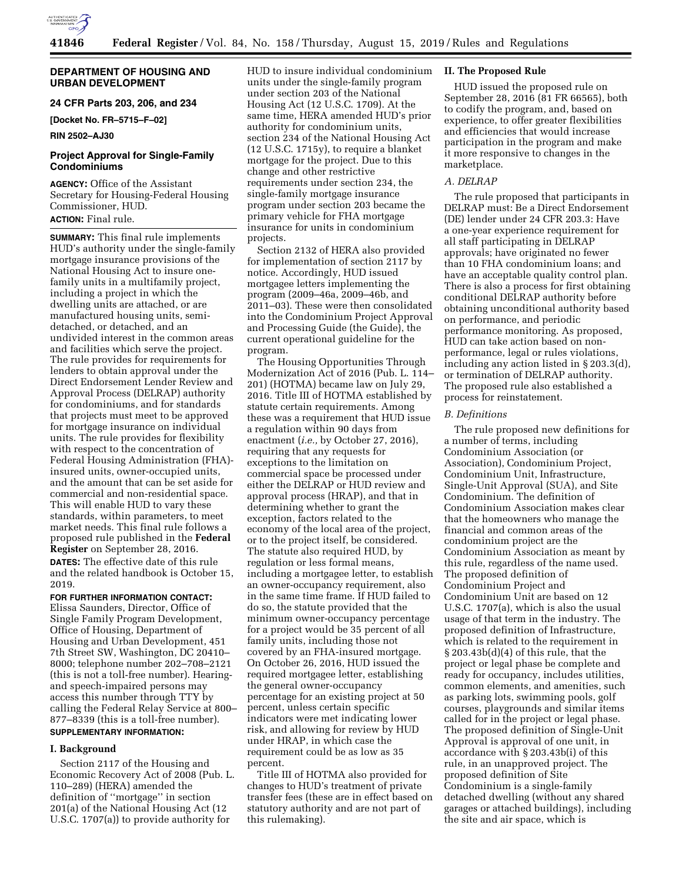

## **DEPARTMENT OF HOUSING AND URBAN DEVELOPMENT**

**24 CFR Parts 203, 206, and 234** 

**[Docket No. FR–5715–F–02]** 

**RIN 2502–AJ30** 

# **Project Approval for Single-Family Condominiums**

**AGENCY:** Office of the Assistant Secretary for Housing-Federal Housing Commissioner, HUD. **ACTION:** Final rule.

**SUMMARY:** This final rule implements HUD's authority under the single-family mortgage insurance provisions of the National Housing Act to insure onefamily units in a multifamily project, including a project in which the dwelling units are attached, or are manufactured housing units, semidetached, or detached, and an undivided interest in the common areas and facilities which serve the project. The rule provides for requirements for lenders to obtain approval under the Direct Endorsement Lender Review and Approval Process (DELRAP) authority for condominiums, and for standards that projects must meet to be approved for mortgage insurance on individual units. The rule provides for flexibility with respect to the concentration of Federal Housing Administration (FHA) insured units, owner-occupied units, and the amount that can be set aside for commercial and non-residential space. This will enable HUD to vary these standards, within parameters, to meet market needs. This final rule follows a proposed rule published in the **Federal Register** on September 28, 2016. **DATES:** The effective date of this rule and the related handbook is October 15, 2019.

## **FOR FURTHER INFORMATION CONTACT:**

Elissa Saunders, Director, Office of Single Family Program Development, Office of Housing, Department of Housing and Urban Development, 451 7th Street SW, Washington, DC 20410– 8000; telephone number 202–708–2121 (this is not a toll-free number). Hearingand speech-impaired persons may access this number through TTY by calling the Federal Relay Service at 800– 877–8339 (this is a toll-free number).

# **SUPPLEMENTARY INFORMATION:**

## **I. Background**

Section 2117 of the Housing and Economic Recovery Act of 2008 (Pub. L. 110–289) (HERA) amended the definition of ''mortgage'' in section 201(a) of the National Housing Act (12 U.S.C. 1707(a)) to provide authority for

HUD to insure individual condominium units under the single-family program under section 203 of the National Housing Act (12 U.S.C. 1709). At the same time, HERA amended HUD's prior authority for condominium units, section 234 of the National Housing Act (12 U.S.C. 1715y), to require a blanket mortgage for the project. Due to this change and other restrictive requirements under section 234, the single-family mortgage insurance program under section 203 became the primary vehicle for FHA mortgage insurance for units in condominium projects.

Section 2132 of HERA also provided for implementation of section 2117 by notice. Accordingly, HUD issued mortgagee letters implementing the program (2009–46a, 2009–46b, and 2011–03). These were then consolidated into the Condominium Project Approval and Processing Guide (the Guide), the current operational guideline for the program.

The Housing Opportunities Through Modernization Act of 2016 (Pub. L. 114– 201) (HOTMA) became law on July 29, 2016. Title III of HOTMA established by statute certain requirements. Among these was a requirement that HUD issue a regulation within 90 days from enactment (*i.e.,* by October 27, 2016), requiring that any requests for exceptions to the limitation on commercial space be processed under either the DELRAP or HUD review and approval process (HRAP), and that in determining whether to grant the exception, factors related to the economy of the local area of the project, or to the project itself, be considered. The statute also required HUD, by regulation or less formal means, including a mortgagee letter, to establish an owner-occupancy requirement, also in the same time frame. If HUD failed to do so, the statute provided that the minimum owner-occupancy percentage for a project would be 35 percent of all family units, including those not covered by an FHA-insured mortgage. On October 26, 2016, HUD issued the required mortgagee letter, establishing the general owner-occupancy percentage for an existing project at 50 percent, unless certain specific indicators were met indicating lower risk, and allowing for review by HUD under HRAP, in which case the requirement could be as low as 35 percent.

Title III of HOTMA also provided for changes to HUD's treatment of private transfer fees (these are in effect based on statutory authority and are not part of this rulemaking).

## **II. The Proposed Rule**

HUD issued the proposed rule on September 28, 2016 (81 FR 66565), both to codify the program, and, based on experience, to offer greater flexibilities and efficiencies that would increase participation in the program and make it more responsive to changes in the marketplace.

## *A. DELRAP*

The rule proposed that participants in DELRAP must: Be a Direct Endorsement (DE) lender under 24 CFR 203.3: Have a one-year experience requirement for all staff participating in DELRAP approvals; have originated no fewer than 10 FHA condominium loans; and have an acceptable quality control plan. There is also a process for first obtaining conditional DELRAP authority before obtaining unconditional authority based on performance, and periodic performance monitoring. As proposed, HUD can take action based on nonperformance, legal or rules violations, including any action listed in § 203.3(d), or termination of DELRAP authority. The proposed rule also established a process for reinstatement.

### *B. Definitions*

The rule proposed new definitions for a number of terms, including Condominium Association (or Association), Condominium Project, Condominium Unit, Infrastructure, Single-Unit Approval (SUA), and Site Condominium. The definition of Condominium Association makes clear that the homeowners who manage the financial and common areas of the condominium project are the Condominium Association as meant by this rule, regardless of the name used. The proposed definition of Condominium Project and Condominium Unit are based on 12 U.S.C. 1707(a), which is also the usual usage of that term in the industry. The proposed definition of Infrastructure, which is related to the requirement in § 203.43b(d)(4) of this rule, that the project or legal phase be complete and ready for occupancy, includes utilities, common elements, and amenities, such as parking lots, swimming pools, golf courses, playgrounds and similar items called for in the project or legal phase. The proposed definition of Single-Unit Approval is approval of one unit, in accordance with § 203.43b(i) of this rule, in an unapproved project. The proposed definition of Site Condominium is a single-family detached dwelling (without any shared garages or attached buildings), including the site and air space, which is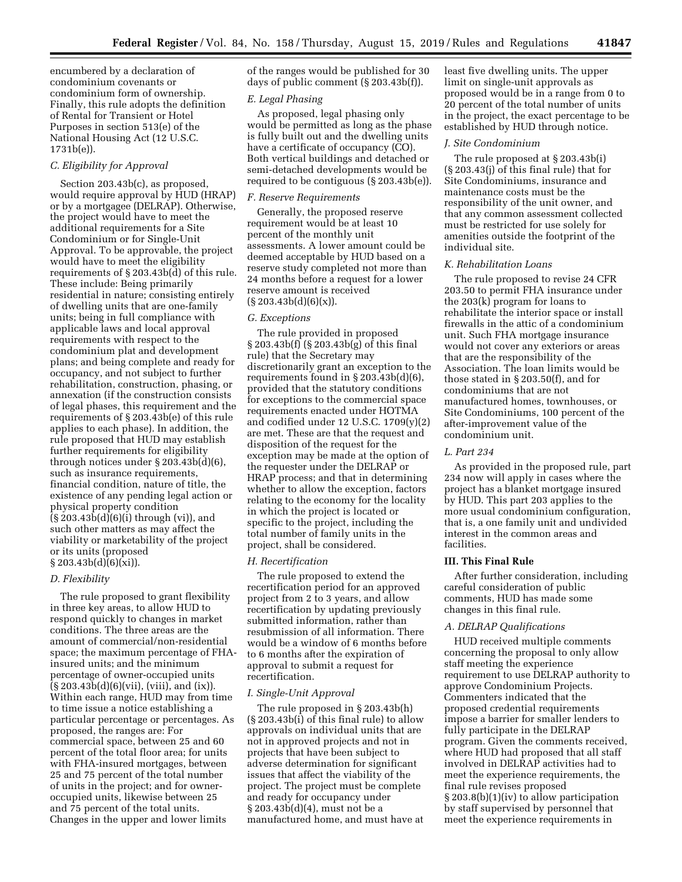encumbered by a declaration of condominium covenants or condominium form of ownership. Finally, this rule adopts the definition of Rental for Transient or Hotel Purposes in section 513(e) of the National Housing Act (12 U.S.C. 1731b(e)).

## *C. Eligibility for Approval*

Section 203.43b(c), as proposed, would require approval by HUD (HRAP) or by a mortgagee (DELRAP). Otherwise, the project would have to meet the additional requirements for a Site Condominium or for Single-Unit Approval. To be approvable, the project would have to meet the eligibility requirements of § 203.43b(d) of this rule. These include: Being primarily residential in nature; consisting entirely of dwelling units that are one-family units; being in full compliance with applicable laws and local approval requirements with respect to the condominium plat and development plans; and being complete and ready for occupancy, and not subject to further rehabilitation, construction, phasing, or annexation (if the construction consists of legal phases, this requirement and the requirements of § 203.43b(e) of this rule applies to each phase). In addition, the rule proposed that HUD may establish further requirements for eligibility through notices under § 203.43b(d)(6), such as insurance requirements, financial condition, nature of title, the existence of any pending legal action or physical property condition (§ 203.43b(d)(6)(i) through (vi)), and such other matters as may affect the viability or marketability of the project or its units (proposed  $§ 203.43b(d)(6)(xi)).$ 

### *D. Flexibility*

The rule proposed to grant flexibility in three key areas, to allow HUD to respond quickly to changes in market conditions. The three areas are the amount of commercial/non-residential space; the maximum percentage of FHAinsured units; and the minimum percentage of owner-occupied units  $(S 203.43b(d)(6)(vii), (viii), and (ix)).$ Within each range, HUD may from time to time issue a notice establishing a particular percentage or percentages. As proposed, the ranges are: For commercial space, between 25 and 60 percent of the total floor area; for units with FHA-insured mortgages, between 25 and 75 percent of the total number of units in the project; and for owneroccupied units, likewise between 25 and 75 percent of the total units. Changes in the upper and lower limits

of the ranges would be published for 30 days of public comment (§ 203.43b(f)).

## *E. Legal Phasing*

As proposed, legal phasing only would be permitted as long as the phase is fully built out and the dwelling units have a certificate of occupancy (CO). Both vertical buildings and detached or semi-detached developments would be required to be contiguous (§ 203.43b(e)).

### *F. Reserve Requirements*

Generally, the proposed reserve requirement would be at least 10 percent of the monthly unit assessments. A lower amount could be deemed acceptable by HUD based on a reserve study completed not more than 24 months before a request for a lower reserve amount is received  $(\S 203.43b(d)(6)(x)).$ 

### *G. Exceptions*

The rule provided in proposed § 203.43b(f) (§ 203.43b(g) of this final rule) that the Secretary may discretionarily grant an exception to the requirements found in § 203.43b(d)(6), provided that the statutory conditions for exceptions to the commercial space requirements enacted under HOTMA and codified under 12 U.S.C. 1709(y)(2) are met. These are that the request and disposition of the request for the exception may be made at the option of the requester under the DELRAP or HRAP process; and that in determining whether to allow the exception, factors relating to the economy for the locality in which the project is located or specific to the project, including the total number of family units in the project, shall be considered.

### *H. Recertification*

The rule proposed to extend the recertification period for an approved project from 2 to 3 years, and allow recertification by updating previously submitted information, rather than resubmission of all information. There would be a window of 6 months before to 6 months after the expiration of approval to submit a request for recertification.

### *I. Single-Unit Approval*

The rule proposed in § 203.43b(h) (§ 203.43b(i) of this final rule) to allow approvals on individual units that are not in approved projects and not in projects that have been subject to adverse determination for significant issues that affect the viability of the project. The project must be complete and ready for occupancy under § 203.43b(d)(4), must not be a manufactured home, and must have at least five dwelling units. The upper limit on single-unit approvals as proposed would be in a range from 0 to 20 percent of the total number of units in the project, the exact percentage to be established by HUD through notice.

#### *J. Site Condominium*

The rule proposed at § 203.43b(i) (§ 203.43(j) of this final rule) that for Site Condominiums, insurance and maintenance costs must be the responsibility of the unit owner, and that any common assessment collected must be restricted for use solely for amenities outside the footprint of the individual site.

#### *K. Rehabilitation Loans*

The rule proposed to revise 24 CFR 203.50 to permit FHA insurance under the 203(k) program for loans to rehabilitate the interior space or install firewalls in the attic of a condominium unit. Such FHA mortgage insurance would not cover any exteriors or areas that are the responsibility of the Association. The loan limits would be those stated in § 203.50(f), and for condominiums that are not manufactured homes, townhouses, or Site Condominiums, 100 percent of the after-improvement value of the condominium unit.

### *L. Part 234*

As provided in the proposed rule, part 234 now will apply in cases where the project has a blanket mortgage insured by HUD. This part 203 applies to the more usual condominium configuration, that is, a one family unit and undivided interest in the common areas and facilities.

#### **III. This Final Rule**

After further consideration, including careful consideration of public comments, HUD has made some changes in this final rule.

### *A. DELRAP Qualifications*

HUD received multiple comments concerning the proposal to only allow staff meeting the experience requirement to use DELRAP authority to approve Condominium Projects. Commenters indicated that the proposed credential requirements impose a barrier for smaller lenders to fully participate in the DELRAP program. Given the comments received, where HUD had proposed that all staff involved in DELRAP activities had to meet the experience requirements, the final rule revises proposed § 203.8(b)(1)(iv) to allow participation by staff supervised by personnel that meet the experience requirements in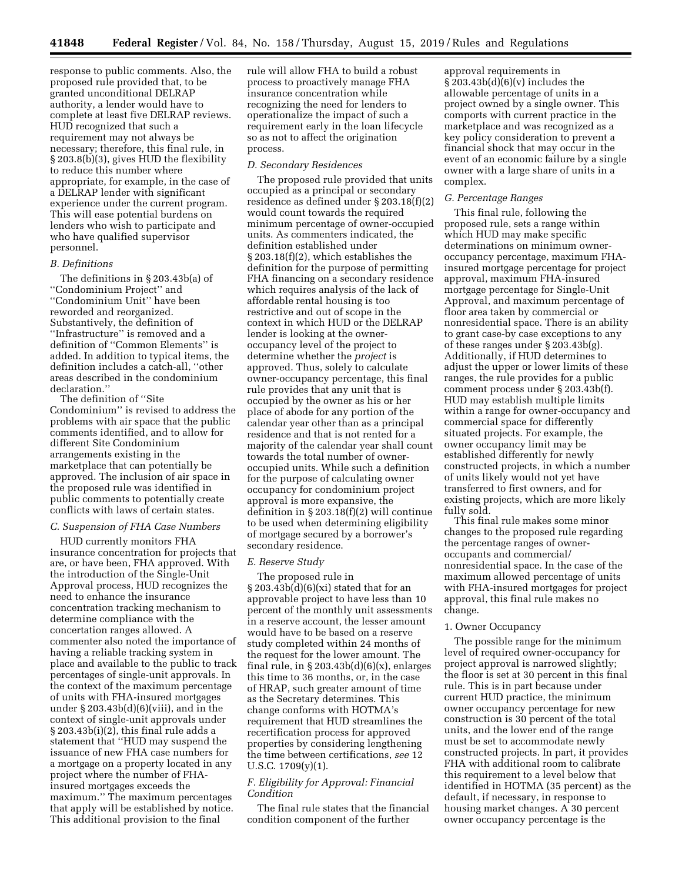response to public comments. Also, the proposed rule provided that, to be granted unconditional DELRAP authority, a lender would have to complete at least five DELRAP reviews. HUD recognized that such a requirement may not always be necessary; therefore, this final rule, in § 203.8(b)(3), gives HUD the flexibility to reduce this number where appropriate, for example, in the case of a DELRAP lender with significant experience under the current program. This will ease potential burdens on lenders who wish to participate and who have qualified supervisor personnel.

### *B. Definitions*

The definitions in § 203.43b(a) of ''Condominium Project'' and ''Condominium Unit'' have been reworded and reorganized. Substantively, the definition of ''Infrastructure'' is removed and a definition of ''Common Elements'' is added. In addition to typical items, the definition includes a catch-all, ''other areas described in the condominium declaration.''

The definition of ''Site Condominium'' is revised to address the problems with air space that the public comments identified, and to allow for different Site Condominium arrangements existing in the marketplace that can potentially be approved. The inclusion of air space in the proposed rule was identified in public comments to potentially create conflicts with laws of certain states.

#### *C. Suspension of FHA Case Numbers*

HUD currently monitors FHA insurance concentration for projects that are, or have been, FHA approved. With the introduction of the Single-Unit Approval process, HUD recognizes the need to enhance the insurance concentration tracking mechanism to determine compliance with the concertation ranges allowed. A commenter also noted the importance of having a reliable tracking system in place and available to the public to track percentages of single-unit approvals. In the context of the maximum percentage of units with FHA-insured mortgages under  $\S 203.43b(d)(6)(viii)$ , and in the context of single-unit approvals under § 203.43b(i)(2), this final rule adds a statement that ''HUD may suspend the issuance of new FHA case numbers for a mortgage on a property located in any project where the number of FHAinsured mortgages exceeds the maximum.'' The maximum percentages that apply will be established by notice. This additional provision to the final

rule will allow FHA to build a robust process to proactively manage FHA insurance concentration while recognizing the need for lenders to operationalize the impact of such a requirement early in the loan lifecycle so as not to affect the origination process.

#### *D. Secondary Residences*

The proposed rule provided that units occupied as a principal or secondary residence as defined under § 203.18(f)(2) would count towards the required minimum percentage of owner-occupied units. As commenters indicated, the definition established under § 203.18(f)(2), which establishes the definition for the purpose of permitting FHA financing on a secondary residence which requires analysis of the lack of affordable rental housing is too restrictive and out of scope in the context in which HUD or the DELRAP lender is looking at the owneroccupancy level of the project to determine whether the *project* is approved. Thus, solely to calculate owner-occupancy percentage, this final rule provides that any unit that is occupied by the owner as his or her place of abode for any portion of the calendar year other than as a principal residence and that is not rented for a majority of the calendar year shall count towards the total number of owneroccupied units. While such a definition for the purpose of calculating owner occupancy for condominium project approval is more expansive, the definition in § 203.18(f)(2) will continue to be used when determining eligibility of mortgage secured by a borrower's secondary residence.

## *E. Reserve Study*

The proposed rule in  $\S 203.43b(d)(6)(xi)$  stated that for an approvable project to have less than 10 percent of the monthly unit assessments in a reserve account, the lesser amount would have to be based on a reserve study completed within 24 months of the request for the lower amount. The final rule, in  $\S 203.43b(d)(6)(x)$ , enlarges this time to 36 months, or, in the case of HRAP, such greater amount of time as the Secretary determines. This change conforms with HOTMA's requirement that HUD streamlines the recertification process for approved properties by considering lengthening the time between certifications, *see* 12 U.S.C.  $1709(y)(1)$ .

# *F. Eligibility for Approval: Financial Condition*

The final rule states that the financial condition component of the further

approval requirements in  $§ 203.43b(d)(6)(v)$  includes the allowable percentage of units in a project owned by a single owner. This comports with current practice in the marketplace and was recognized as a key policy consideration to prevent a financial shock that may occur in the event of an economic failure by a single owner with a large share of units in a complex.

#### *G. Percentage Ranges*

This final rule, following the proposed rule, sets a range within which HUD may make specific determinations on minimum owneroccupancy percentage, maximum FHAinsured mortgage percentage for project approval, maximum FHA-insured mortgage percentage for Single-Unit Approval, and maximum percentage of floor area taken by commercial or nonresidential space. There is an ability to grant case-by case exceptions to any of these ranges under § 203.43b(g). Additionally, if HUD determines to adjust the upper or lower limits of these ranges, the rule provides for a public comment process under § 203.43b(f). HUD may establish multiple limits within a range for owner-occupancy and commercial space for differently situated projects. For example, the owner occupancy limit may be established differently for newly constructed projects, in which a number of units likely would not yet have transferred to first owners, and for existing projects, which are more likely fully sold.

This final rule makes some minor changes to the proposed rule regarding the percentage ranges of owneroccupants and commercial/ nonresidential space. In the case of the maximum allowed percentage of units with FHA-insured mortgages for project approval, this final rule makes no change.

#### 1. Owner Occupancy

The possible range for the minimum level of required owner-occupancy for project approval is narrowed slightly; the floor is set at 30 percent in this final rule. This is in part because under current HUD practice, the minimum owner occupancy percentage for new construction is 30 percent of the total units, and the lower end of the range must be set to accommodate newly constructed projects. In part, it provides FHA with additional room to calibrate this requirement to a level below that identified in HOTMA (35 percent) as the default, if necessary, in response to housing market changes. A 30 percent owner occupancy percentage is the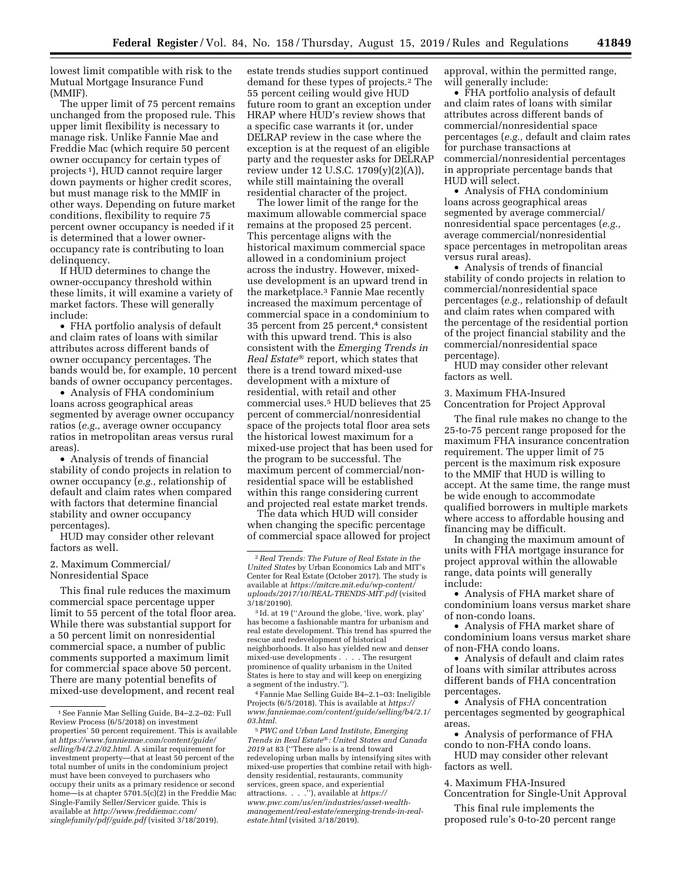lowest limit compatible with risk to the Mutual Mortgage Insurance Fund (MMIF).

The upper limit of 75 percent remains unchanged from the proposed rule. This upper limit flexibility is necessary to manage risk. Unlike Fannie Mae and Freddie Mac (which require 50 percent owner occupancy for certain types of projects 1), HUD cannot require larger down payments or higher credit scores, but must manage risk to the MMIF in other ways. Depending on future market conditions, flexibility to require 75 percent owner occupancy is needed if it is determined that a lower owneroccupancy rate is contributing to loan delinquency.

If HUD determines to change the owner-occupancy threshold within these limits, it will examine a variety of market factors. These will generally include:

• FHA portfolio analysis of default and claim rates of loans with similar attributes across different bands of owner occupancy percentages. The bands would be, for example, 10 percent bands of owner occupancy percentages.

• Analysis of FHA condominium loans across geographical areas segmented by average owner occupancy ratios (*e.g.,* average owner occupancy ratios in metropolitan areas versus rural areas).

• Analysis of trends of financial stability of condo projects in relation to owner occupancy (*e.g.,* relationship of default and claim rates when compared with factors that determine financial stability and owner occupancy percentages).

HUD may consider other relevant factors as well.

## 2. Maximum Commercial/ Nonresidential Space

This final rule reduces the maximum commercial space percentage upper limit to 55 percent of the total floor area. While there was substantial support for a 50 percent limit on nonresidential commercial space, a number of public comments supported a maximum limit for commercial space above 50 percent. There are many potential benefits of mixed-use development, and recent real

estate trends studies support continued demand for these types of projects.2 The 55 percent ceiling would give HUD future room to grant an exception under HRAP where HUD's review shows that a specific case warrants it (or, under DELRAP review in the case where the exception is at the request of an eligible party and the requester asks for DELRAP review under 12 U.S.C. 1709(y)(2)(A)), while still maintaining the overall residential character of the project.

The lower limit of the range for the maximum allowable commercial space remains at the proposed 25 percent. This percentage aligns with the historical maximum commercial space allowed in a condominium project across the industry. However, mixeduse development is an upward trend in the marketplace.3 Fannie Mae recently increased the maximum percentage of commercial space in a condominium to 35 percent from 25 percent,4 consistent with this upward trend. This is also consistent with the *Emerging Trends in Real Estate*® report, which states that there is a trend toward mixed-use development with a mixture of residential, with retail and other commercial uses.5 HUD believes that 25 percent of commercial/nonresidential space of the projects total floor area sets the historical lowest maximum for a mixed-use project that has been used for the program to be successful. The maximum percent of commercial/nonresidential space will be established within this range considering current and projected real estate market trends.

The data which HUD will consider when changing the specific percentage of commercial space allowed for project

4Fannie Mae Selling Guide B4–2.1–03: Ineligible Projects (6/5/2018). This is available at *[https://](https://www.fanniemae.com/content/guide/selling/b4/2.1/03.html) [www.fanniemae.com/content/guide/selling/b4/2.1/](https://www.fanniemae.com/content/guide/selling/b4/2.1/03.html) [03.html.](https://www.fanniemae.com/content/guide/selling/b4/2.1/03.html)* 

5*PWC and Urban Land Institute, Emerging Trends in Real Estate*®*: United States and Canada 2019* at 83 (''There also is a trend toward redeveloping urban malls by intensifying sites with mixed-use properties that combine retail with highdensity residential, restaurants, community services, green space, and experiential attractions. . . .''), available at *[https://](http://www.pwc.com/us/en/industries/asset-wealth-management/real-estate/emerging-trends-in-real-estate.html) [www.pwc.com/us/en/industries/asset-wealth](http://www.pwc.com/us/en/industries/asset-wealth-management/real-estate/emerging-trends-in-real-estate.html)[management/real-estate/emerging-trends-in-real](http://www.pwc.com/us/en/industries/asset-wealth-management/real-estate/emerging-trends-in-real-estate.html)[estate.html](http://www.pwc.com/us/en/industries/asset-wealth-management/real-estate/emerging-trends-in-real-estate.html)* (visited 3/18/2019).

approval, within the permitted range, will generally include:

• FHA portfolio analysis of default and claim rates of loans with similar attributes across different bands of commercial/nonresidential space percentages (*e.g.,* default and claim rates for purchase transactions at commercial/nonresidential percentages in appropriate percentage bands that HUD will select.

• Analysis of FHA condominium loans across geographical areas segmented by average commercial/ nonresidential space percentages (*e.g.,*  average commercial/nonresidential space percentages in metropolitan areas versus rural areas).

• Analysis of trends of financial stability of condo projects in relation to commercial/nonresidential space percentages (*e.g.,* relationship of default and claim rates when compared with the percentage of the residential portion of the project financial stability and the commercial/nonresidential space percentage).

HUD may consider other relevant factors as well.

3. Maximum FHA-Insured Concentration for Project Approval

The final rule makes no change to the 25-to-75 percent range proposed for the maximum FHA insurance concentration requirement. The upper limit of 75 percent is the maximum risk exposure to the MMIF that HUD is willing to accept. At the same time, the range must be wide enough to accommodate qualified borrowers in multiple markets where access to affordable housing and financing may be difficult.

In changing the maximum amount of units with FHA mortgage insurance for project approval within the allowable range, data points will generally include:

• Analysis of FHA market share of condominium loans versus market share of non-condo loans.

• Analysis of FHA market share of condominium loans versus market share of non-FHA condo loans.

• Analysis of default and claim rates of loans with similar attributes across different bands of FHA concentration percentages.

• Analysis of FHA concentration percentages segmented by geographical areas.

• Analysis of performance of FHA condo to non-FHA condo loans.

HUD may consider other relevant factors as well.

4. Maximum FHA-Insured Concentration for Single-Unit Approval

This final rule implements the proposed rule's 0-to-20 percent range

<sup>1</sup>See Fannie Mae Selling Guide, B4–2.2–02: Full Review Process (6/5/2018) on investment properties' 50 percent requirement. This is available at *[https://www.fanniemae.com/content/guide/](https://www.fanniemae.com/content/guide/selling/b4/2.2/02.html) [selling/b4/2.2/02.html.](https://www.fanniemae.com/content/guide/selling/b4/2.2/02.html)* A similar requirement for investment property—that at least 50 percent of the total number of units in the condominium project must have been conveyed to purchasers who occupy their units as a primary residence or second —is at chapter 5701.5(c)(2) in the Freddie Mac Single-Family Seller/Servicer guide. This is available at *[http://www.freddiemac.com/](http://www.freddiemac.com/singlefamily/pdf/guide.pdf)  [singlefamily/pdf/guide.pdf](http://www.freddiemac.com/singlefamily/pdf/guide.pdf)* (visited 3/18/2019).

<sup>2</sup>*Real Trends: The Future of Real Estate in the United States* by Urban Economics Lab and MIT's Center for Real Estate (October 2017). The study is available at *[https://mitcre.mit.edu/wp-content/](https://mitcre.mit.edu/wp-content/uploads/2017/10/REAL-TRENDS-MIT.pdf)  [uploads/2017/10/REAL-TRENDS-MIT.pdf](https://mitcre.mit.edu/wp-content/uploads/2017/10/REAL-TRENDS-MIT.pdf)* (visited  $3/18/20190$ .

<sup>3</sup> Id. at 19 (''Around the globe, 'live, work, play' has become a fashionable mantra for urbanism and real estate development. This trend has spurred the rescue and redevelopment of historical neighborhoods. It also has yielded new and denser mixed-use developments . . . . The resurgent prominence of quality urbanism in the United States is here to stay and will keep on energizing a segment of the industry.'').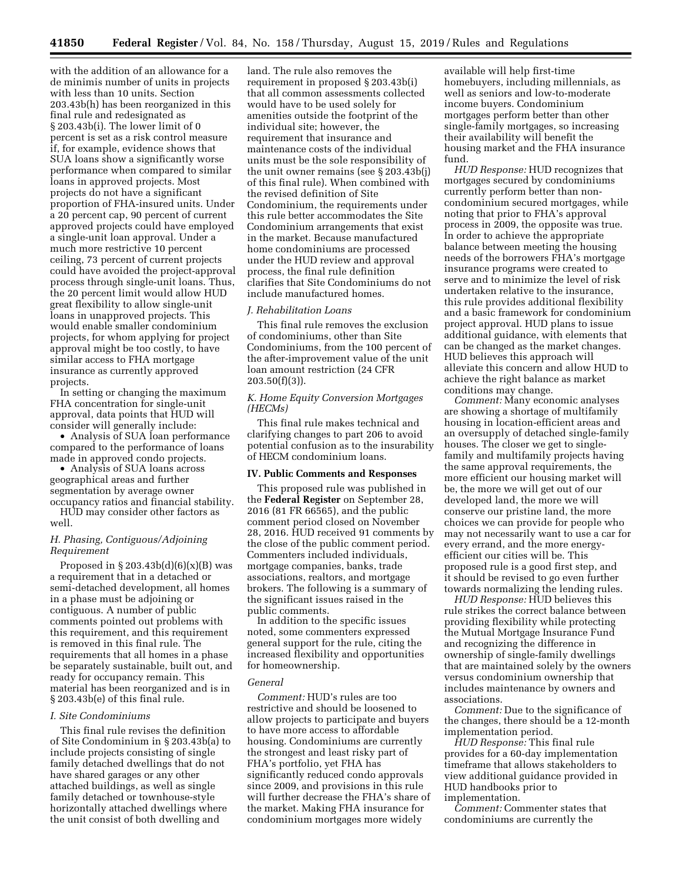with the addition of an allowance for a de minimis number of units in projects with less than 10 units. Section 203.43b(h) has been reorganized in this final rule and redesignated as § 203.43b(i). The lower limit of 0 percent is set as a risk control measure if, for example, evidence shows that SUA loans show a significantly worse performance when compared to similar loans in approved projects. Most projects do not have a significant proportion of FHA-insured units. Under a 20 percent cap, 90 percent of current approved projects could have employed a single-unit loan approval. Under a much more restrictive 10 percent ceiling, 73 percent of current projects could have avoided the project-approval process through single-unit loans. Thus, the 20 percent limit would allow HUD great flexibility to allow single-unit loans in unapproved projects. This would enable smaller condominium projects, for whom applying for project approval might be too costly, to have similar access to FHA mortgage insurance as currently approved projects.

In setting or changing the maximum FHA concentration for single-unit approval, data points that HUD will consider will generally include:

• Analysis of SUA loan performance compared to the performance of loans made in approved condo projects.

• Analysis of SUA loans across geographical areas and further segmentation by average owner occupancy ratios and financial stability.

HUD may consider other factors as well.

## *H. Phasing, Contiguous/Adjoining Requirement*

Proposed in  $\S 203.43b(d)(6)(x)(B)$  was a requirement that in a detached or semi-detached development, all homes in a phase must be adjoining or contiguous. A number of public comments pointed out problems with this requirement, and this requirement is removed in this final rule. The requirements that all homes in a phase be separately sustainable, built out, and ready for occupancy remain. This material has been reorganized and is in § 203.43b(e) of this final rule.

### *I. Site Condominiums*

This final rule revises the definition of Site Condominium in § 203.43b(a) to include projects consisting of single family detached dwellings that do not have shared garages or any other attached buildings, as well as single family detached or townhouse-style horizontally attached dwellings where the unit consist of both dwelling and

land. The rule also removes the requirement in proposed § 203.43b(i) that all common assessments collected would have to be used solely for amenities outside the footprint of the individual site; however, the requirement that insurance and maintenance costs of the individual units must be the sole responsibility of the unit owner remains (see § 203.43b(j) of this final rule). When combined with the revised definition of Site Condominium, the requirements under this rule better accommodates the Site Condominium arrangements that exist in the market. Because manufactured home condominiums are processed under the HUD review and approval process, the final rule definition clarifies that Site Condominiums do not include manufactured homes.

## *J. Rehabilitation Loans*

This final rule removes the exclusion of condominiums, other than Site Condominiums, from the 100 percent of the after-improvement value of the unit loan amount restriction (24 CFR  $203.50(f)(3)$ ).

## *K. Home Equity Conversion Mortgages (HECMs)*

This final rule makes technical and clarifying changes to part 206 to avoid potential confusion as to the insurability of HECM condominium loans.

### **IV. Public Comments and Responses**

This proposed rule was published in the **Federal Register** on September 28, 2016 (81 FR 66565), and the public comment period closed on November 28, 2016. HUD received 91 comments by the close of the public comment period. Commenters included individuals, mortgage companies, banks, trade associations, realtors, and mortgage brokers. The following is a summary of the significant issues raised in the public comments.

In addition to the specific issues noted, some commenters expressed general support for the rule, citing the increased flexibility and opportunities for homeownership.

#### *General*

*Comment:* HUD's rules are too restrictive and should be loosened to allow projects to participate and buyers to have more access to affordable housing. Condominiums are currently the strongest and least risky part of FHA's portfolio, yet FHA has significantly reduced condo approvals since 2009, and provisions in this rule will further decrease the FHA's share of the market. Making FHA insurance for condominium mortgages more widely

available will help first-time homebuyers, including millennials, as well as seniors and low-to-moderate income buyers. Condominium mortgages perform better than other single-family mortgages, so increasing their availability will benefit the housing market and the FHA insurance fund.

*HUD Response:* HUD recognizes that mortgages secured by condominiums currently perform better than noncondominium secured mortgages, while noting that prior to FHA's approval process in 2009, the opposite was true. In order to achieve the appropriate balance between meeting the housing needs of the borrowers FHA's mortgage insurance programs were created to serve and to minimize the level of risk undertaken relative to the insurance, this rule provides additional flexibility and a basic framework for condominium project approval. HUD plans to issue additional guidance, with elements that can be changed as the market changes. HUD believes this approach will alleviate this concern and allow HUD to achieve the right balance as market conditions may change.

*Comment:* Many economic analyses are showing a shortage of multifamily housing in location-efficient areas and an oversupply of detached single-family houses. The closer we get to singlefamily and multifamily projects having the same approval requirements, the more efficient our housing market will be, the more we will get out of our developed land, the more we will conserve our pristine land, the more choices we can provide for people who may not necessarily want to use a car for every errand, and the more energyefficient our cities will be. This proposed rule is a good first step, and it should be revised to go even further towards normalizing the lending rules.

*HUD Response:* HUD believes this rule strikes the correct balance between providing flexibility while protecting the Mutual Mortgage Insurance Fund and recognizing the difference in ownership of single-family dwellings that are maintained solely by the owners versus condominium ownership that includes maintenance by owners and associations.

*Comment:* Due to the significance of the changes, there should be a 12-month implementation period.

*HUD Response:* This final rule provides for a 60-day implementation timeframe that allows stakeholders to view additional guidance provided in HUD handbooks prior to implementation.

*Comment:* Commenter states that condominiums are currently the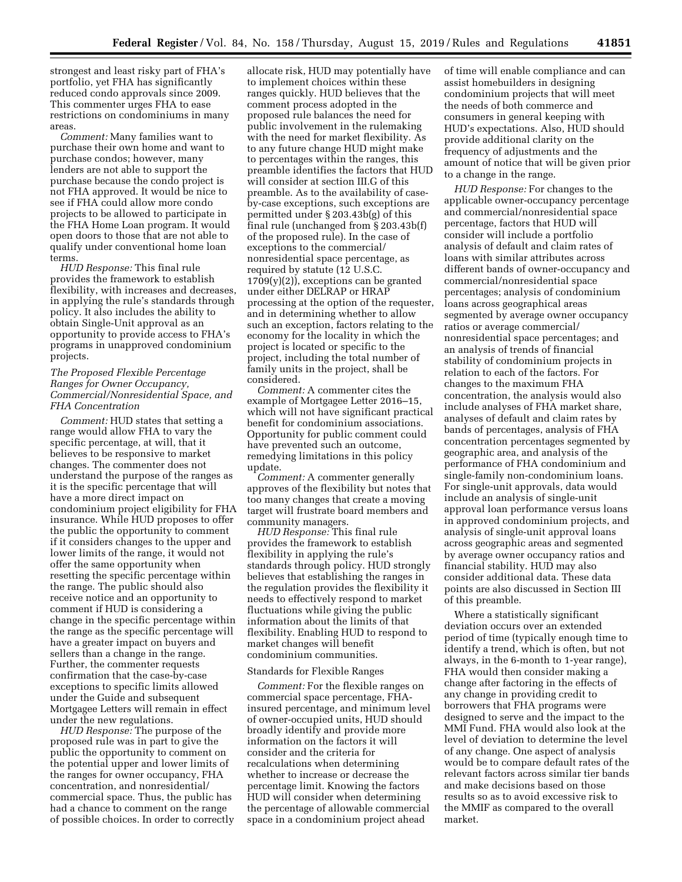strongest and least risky part of FHA's portfolio, yet FHA has significantly reduced condo approvals since 2009. This commenter urges FHA to ease restrictions on condominiums in many areas.

*Comment:* Many families want to purchase their own home and want to purchase condos; however, many lenders are not able to support the purchase because the condo project is not FHA approved. It would be nice to see if FHA could allow more condo projects to be allowed to participate in the FHA Home Loan program. It would open doors to those that are not able to qualify under conventional home loan terms.

*HUD Response:* This final rule provides the framework to establish flexibility, with increases and decreases, in applying the rule's standards through policy. It also includes the ability to obtain Single-Unit approval as an opportunity to provide access to FHA's programs in unapproved condominium projects.

## *The Proposed Flexible Percentage Ranges for Owner Occupancy, Commercial/Nonresidential Space, and FHA Concentration*

*Comment:* HUD states that setting a range would allow FHA to vary the specific percentage, at will, that it believes to be responsive to market changes. The commenter does not understand the purpose of the ranges as it is the specific percentage that will have a more direct impact on condominium project eligibility for FHA insurance. While HUD proposes to offer the public the opportunity to comment if it considers changes to the upper and lower limits of the range, it would not offer the same opportunity when resetting the specific percentage within the range. The public should also receive notice and an opportunity to comment if HUD is considering a change in the specific percentage within the range as the specific percentage will have a greater impact on buyers and sellers than a change in the range. Further, the commenter requests confirmation that the case-by-case exceptions to specific limits allowed under the Guide and subsequent Mortgagee Letters will remain in effect under the new regulations.

*HUD Response:* The purpose of the proposed rule was in part to give the public the opportunity to comment on the potential upper and lower limits of the ranges for owner occupancy, FHA concentration, and nonresidential/ commercial space. Thus, the public has had a chance to comment on the range of possible choices. In order to correctly

allocate risk, HUD may potentially have to implement choices within these ranges quickly. HUD believes that the comment process adopted in the proposed rule balances the need for public involvement in the rulemaking with the need for market flexibility. As to any future change HUD might make to percentages within the ranges, this preamble identifies the factors that HUD will consider at section III.G of this preamble. As to the availability of caseby-case exceptions, such exceptions are permitted under § 203.43b(g) of this final rule (unchanged from § 203.43b(f) of the proposed rule). In the case of exceptions to the commercial/ nonresidential space percentage, as required by statute (12 U.S.C.  $1709(y)(2)$ , exceptions can be granted under either DELRAP or HRAP processing at the option of the requester, and in determining whether to allow such an exception, factors relating to the economy for the locality in which the project is located or specific to the project, including the total number of family units in the project, shall be considered.

*Comment:* A commenter cites the example of Mortgagee Letter 2016–15, which will not have significant practical benefit for condominium associations. Opportunity for public comment could have prevented such an outcome, remedying limitations in this policy update.

*Comment:* A commenter generally approves of the flexibility but notes that too many changes that create a moving target will frustrate board members and community managers.

*HUD Response:* This final rule provides the framework to establish flexibility in applying the rule's standards through policy. HUD strongly believes that establishing the ranges in the regulation provides the flexibility it needs to effectively respond to market fluctuations while giving the public information about the limits of that flexibility. Enabling HUD to respond to market changes will benefit condominium communities.

### Standards for Flexible Ranges

*Comment:* For the flexible ranges on commercial space percentage, FHAinsured percentage, and minimum level of owner-occupied units, HUD should broadly identify and provide more information on the factors it will consider and the criteria for recalculations when determining whether to increase or decrease the percentage limit. Knowing the factors HUD will consider when determining the percentage of allowable commercial space in a condominium project ahead

of time will enable compliance and can assist homebuilders in designing condominium projects that will meet the needs of both commerce and consumers in general keeping with HUD's expectations. Also, HUD should provide additional clarity on the frequency of adjustments and the amount of notice that will be given prior to a change in the range.

*HUD Response:* For changes to the applicable owner-occupancy percentage and commercial/nonresidential space percentage, factors that HUD will consider will include a portfolio analysis of default and claim rates of loans with similar attributes across different bands of owner-occupancy and commercial/nonresidential space percentages; analysis of condominium loans across geographical areas segmented by average owner occupancy ratios or average commercial/ nonresidential space percentages; and an analysis of trends of financial stability of condominium projects in relation to each of the factors. For changes to the maximum FHA concentration, the analysis would also include analyses of FHA market share, analyses of default and claim rates by bands of percentages, analysis of FHA concentration percentages segmented by geographic area, and analysis of the performance of FHA condominium and single-family non-condominium loans. For single-unit approvals, data would include an analysis of single-unit approval loan performance versus loans in approved condominium projects, and analysis of single-unit approval loans across geographic areas and segmented by average owner occupancy ratios and financial stability. HUD may also consider additional data. These data points are also discussed in Section III of this preamble.

Where a statistically significant deviation occurs over an extended period of time (typically enough time to identify a trend, which is often, but not always, in the 6-month to 1-year range), FHA would then consider making a change after factoring in the effects of any change in providing credit to borrowers that FHA programs were designed to serve and the impact to the MMI Fund. FHA would also look at the level of deviation to determine the level of any change. One aspect of analysis would be to compare default rates of the relevant factors across similar tier bands and make decisions based on those results so as to avoid excessive risk to the MMIF as compared to the overall market.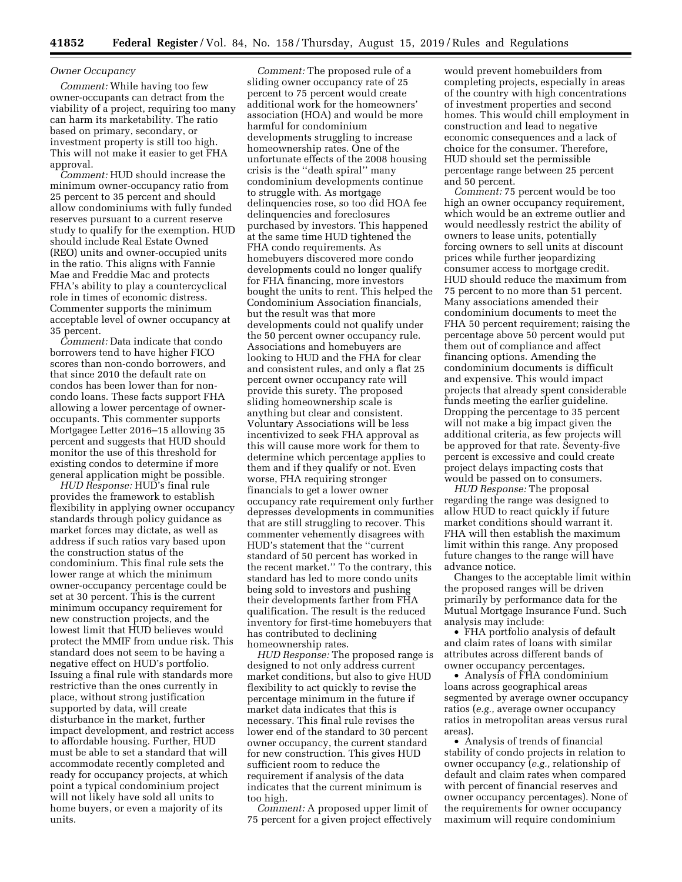### *Owner Occupancy*

*Comment:* While having too few owner-occupants can detract from the viability of a project, requiring too many can harm its marketability. The ratio based on primary, secondary, or investment property is still too high. This will not make it easier to get FHA approval.

*Comment:* HUD should increase the minimum owner-occupancy ratio from 25 percent to 35 percent and should allow condominiums with fully funded reserves pursuant to a current reserve study to qualify for the exemption. HUD should include Real Estate Owned (REO) units and owner-occupied units in the ratio. This aligns with Fannie Mae and Freddie Mac and protects FHA's ability to play a countercyclical role in times of economic distress. Commenter supports the minimum acceptable level of owner occupancy at 35 percent.

*Comment:* Data indicate that condo borrowers tend to have higher FICO scores than non-condo borrowers, and that since 2010 the default rate on condos has been lower than for noncondo loans. These facts support FHA allowing a lower percentage of owneroccupants. This commenter supports Mortgagee Letter 2016–15 allowing 35 percent and suggests that HUD should monitor the use of this threshold for existing condos to determine if more general application might be possible.

*HUD Response:* HUD's final rule provides the framework to establish flexibility in applying owner occupancy standards through policy guidance as market forces may dictate, as well as address if such ratios vary based upon the construction status of the condominium. This final rule sets the lower range at which the minimum owner-occupancy percentage could be set at 30 percent. This is the current minimum occupancy requirement for new construction projects, and the lowest limit that HUD believes would protect the MMIF from undue risk. This standard does not seem to be having a negative effect on HUD's portfolio. Issuing a final rule with standards more restrictive than the ones currently in place, without strong justification supported by data, will create disturbance in the market, further impact development, and restrict access to affordable housing. Further, HUD must be able to set a standard that will accommodate recently completed and ready for occupancy projects, at which point a typical condominium project will not likely have sold all units to home buyers, or even a majority of its units.

*Comment:* The proposed rule of a sliding owner occupancy rate of 25 percent to 75 percent would create additional work for the homeowners' association (HOA) and would be more harmful for condominium developments struggling to increase homeownership rates. One of the unfortunate effects of the 2008 housing crisis is the ''death spiral'' many condominium developments continue to struggle with. As mortgage delinquencies rose, so too did HOA fee delinquencies and foreclosures purchased by investors. This happened at the same time HUD tightened the FHA condo requirements. As homebuyers discovered more condo developments could no longer qualify for FHA financing, more investors bought the units to rent. This helped the Condominium Association financials, but the result was that more developments could not qualify under the 50 percent owner occupancy rule. Associations and homebuyers are looking to HUD and the FHA for clear and consistent rules, and only a flat 25 percent owner occupancy rate will provide this surety. The proposed sliding homeownership scale is anything but clear and consistent. Voluntary Associations will be less incentivized to seek FHA approval as this will cause more work for them to determine which percentage applies to them and if they qualify or not. Even worse, FHA requiring stronger financials to get a lower owner occupancy rate requirement only further depresses developments in communities that are still struggling to recover. This commenter vehemently disagrees with HUD's statement that the ''current standard of 50 percent has worked in the recent market.'' To the contrary, this standard has led to more condo units being sold to investors and pushing their developments farther from FHA qualification. The result is the reduced inventory for first-time homebuyers that has contributed to declining homeownership rates.

*HUD Response:* The proposed range is designed to not only address current market conditions, but also to give HUD flexibility to act quickly to revise the percentage minimum in the future if market data indicates that this is necessary. This final rule revises the lower end of the standard to 30 percent owner occupancy, the current standard for new construction. This gives HUD sufficient room to reduce the requirement if analysis of the data indicates that the current minimum is too high.

*Comment:* A proposed upper limit of 75 percent for a given project effectively would prevent homebuilders from completing projects, especially in areas of the country with high concentrations of investment properties and second homes. This would chill employment in construction and lead to negative economic consequences and a lack of choice for the consumer. Therefore, HUD should set the permissible percentage range between 25 percent and 50 percent.

*Comment:* 75 percent would be too high an owner occupancy requirement, which would be an extreme outlier and would needlessly restrict the ability of owners to lease units, potentially forcing owners to sell units at discount prices while further jeopardizing consumer access to mortgage credit. HUD should reduce the maximum from 75 percent to no more than 51 percent. Many associations amended their condominium documents to meet the FHA 50 percent requirement; raising the percentage above 50 percent would put them out of compliance and affect financing options. Amending the condominium documents is difficult and expensive. This would impact projects that already spent considerable funds meeting the earlier guideline. Dropping the percentage to 35 percent will not make a big impact given the additional criteria, as few projects will be approved for that rate. Seventy-five percent is excessive and could create project delays impacting costs that would be passed on to consumers.

*HUD Response:* The proposal regarding the range was designed to allow HUD to react quickly if future market conditions should warrant it. FHA will then establish the maximum limit within this range. Any proposed future changes to the range will have advance notice.

Changes to the acceptable limit within the proposed ranges will be driven primarily by performance data for the Mutual Mortgage Insurance Fund. Such analysis may include:

• FHA portfolio analysis of default and claim rates of loans with similar attributes across different bands of owner occupancy percentages.

• Analysis of FHA condominium loans across geographical areas segmented by average owner occupancy ratios (*e.g.,* average owner occupancy ratios in metropolitan areas versus rural areas).

• Analysis of trends of financial stability of condo projects in relation to owner occupancy (*e.g.,* relationship of default and claim rates when compared with percent of financial reserves and owner occupancy percentages). None of the requirements for owner occupancy maximum will require condominium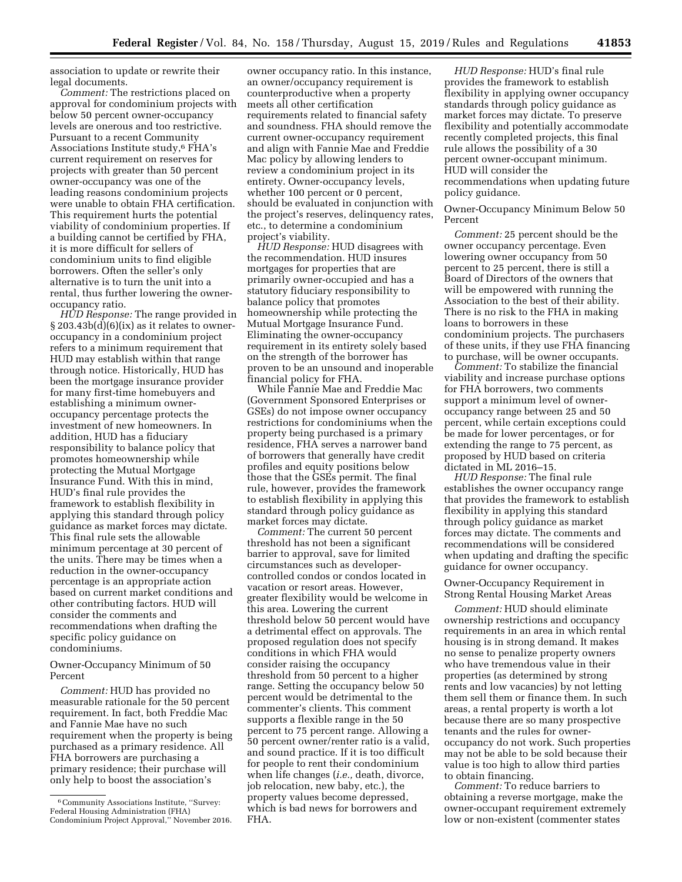association to update or rewrite their legal documents.

*Comment:* The restrictions placed on approval for condominium projects with below 50 percent owner-occupancy levels are onerous and too restrictive. Pursuant to a recent Community Associations Institute study,6 FHA's current requirement on reserves for projects with greater than 50 percent owner-occupancy was one of the leading reasons condominium projects were unable to obtain FHA certification. This requirement hurts the potential viability of condominium properties. If a building cannot be certified by FHA, it is more difficult for sellers of condominium units to find eligible borrowers. Often the seller's only alternative is to turn the unit into a rental, thus further lowering the owneroccupancy ratio.

*HUD Response:* The range provided in  $\S 203.43b(d)(6)(ix)$  as it relates to owneroccupancy in a condominium project refers to a minimum requirement that HUD may establish within that range through notice. Historically, HUD has been the mortgage insurance provider for many first-time homebuyers and establishing a minimum owneroccupancy percentage protects the investment of new homeowners. In addition, HUD has a fiduciary responsibility to balance policy that promotes homeownership while protecting the Mutual Mortgage Insurance Fund. With this in mind, HUD's final rule provides the framework to establish flexibility in applying this standard through policy guidance as market forces may dictate. This final rule sets the allowable minimum percentage at 30 percent of the units. There may be times when a reduction in the owner-occupancy percentage is an appropriate action based on current market conditions and other contributing factors. HUD will consider the comments and recommendations when drafting the specific policy guidance on condominiums.

Owner-Occupancy Minimum of 50 Percent

*Comment:* HUD has provided no measurable rationale for the 50 percent requirement. In fact, both Freddie Mac and Fannie Mae have no such requirement when the property is being purchased as a primary residence. All FHA borrowers are purchasing a primary residence; their purchase will only help to boost the association's

owner occupancy ratio. In this instance, an owner/occupancy requirement is counterproductive when a property meets all other certification requirements related to financial safety and soundness. FHA should remove the current owner-occupancy requirement and align with Fannie Mae and Freddie Mac policy by allowing lenders to review a condominium project in its entirety. Owner-occupancy levels, whether 100 percent or 0 percent, should be evaluated in conjunction with the project's reserves, delinquency rates, etc., to determine a condominium project's viability.

*HUD Response:* HUD disagrees with the recommendation. HUD insures mortgages for properties that are primarily owner-occupied and has a statutory fiduciary responsibility to balance policy that promotes homeownership while protecting the Mutual Mortgage Insurance Fund. Eliminating the owner-occupancy requirement in its entirety solely based on the strength of the borrower has proven to be an unsound and inoperable financial policy for FHA.

While Fannie Mae and Freddie Mac (Government Sponsored Enterprises or GSEs) do not impose owner occupancy restrictions for condominiums when the property being purchased is a primary residence, FHA serves a narrower band of borrowers that generally have credit profiles and equity positions below those that the GSEs permit. The final rule, however, provides the framework to establish flexibility in applying this standard through policy guidance as market forces may dictate.

*Comment:* The current 50 percent threshold has not been a significant barrier to approval, save for limited circumstances such as developercontrolled condos or condos located in vacation or resort areas. However, greater flexibility would be welcome in this area. Lowering the current threshold below 50 percent would have a detrimental effect on approvals. The proposed regulation does not specify conditions in which FHA would consider raising the occupancy threshold from 50 percent to a higher range. Setting the occupancy below 50 percent would be detrimental to the commenter's clients. This comment supports a flexible range in the 50 percent to 75 percent range. Allowing a 50 percent owner/renter ratio is a valid, and sound practice. If it is too difficult for people to rent their condominium when life changes (*i.e.,* death, divorce, job relocation, new baby, etc.), the property values become depressed, which is bad news for borrowers and FHA.

*HUD Response:* HUD's final rule provides the framework to establish flexibility in applying owner occupancy standards through policy guidance as market forces may dictate. To preserve flexibility and potentially accommodate recently completed projects, this final rule allows the possibility of a 30 percent owner-occupant minimum. HUD will consider the recommendations when updating future policy guidance.

Owner-Occupancy Minimum Below 50 Percent

*Comment:* 25 percent should be the owner occupancy percentage. Even lowering owner occupancy from 50 percent to 25 percent, there is still a Board of Directors of the owners that will be empowered with running the Association to the best of their ability. There is no risk to the FHA in making loans to borrowers in these condominium projects. The purchasers of these units, if they use FHA financing to purchase, will be owner occupants.

*Comment:* To stabilize the financial viability and increase purchase options for FHA borrowers, two comments support a minimum level of owneroccupancy range between 25 and 50 percent, while certain exceptions could be made for lower percentages, or for extending the range to 75 percent, as proposed by HUD based on criteria dictated in ML 2016–15.

*HUD Response:* The final rule establishes the owner occupancy range that provides the framework to establish flexibility in applying this standard through policy guidance as market forces may dictate. The comments and recommendations will be considered when updating and drafting the specific guidance for owner occupancy.

Owner-Occupancy Requirement in Strong Rental Housing Market Areas

*Comment:* HUD should eliminate ownership restrictions and occupancy requirements in an area in which rental housing is in strong demand. It makes no sense to penalize property owners who have tremendous value in their properties (as determined by strong rents and low vacancies) by not letting them sell them or finance them. In such areas, a rental property is worth a lot because there are so many prospective tenants and the rules for owneroccupancy do not work. Such properties may not be able to be sold because their value is too high to allow third parties to obtain financing.

*Comment:* To reduce barriers to obtaining a reverse mortgage, make the owner-occupant requirement extremely low or non-existent (commenter states

<sup>6</sup>Community Associations Institute, ''Survey: Federal Housing Administration (FHA) Condominium Project Approval,'' November 2016.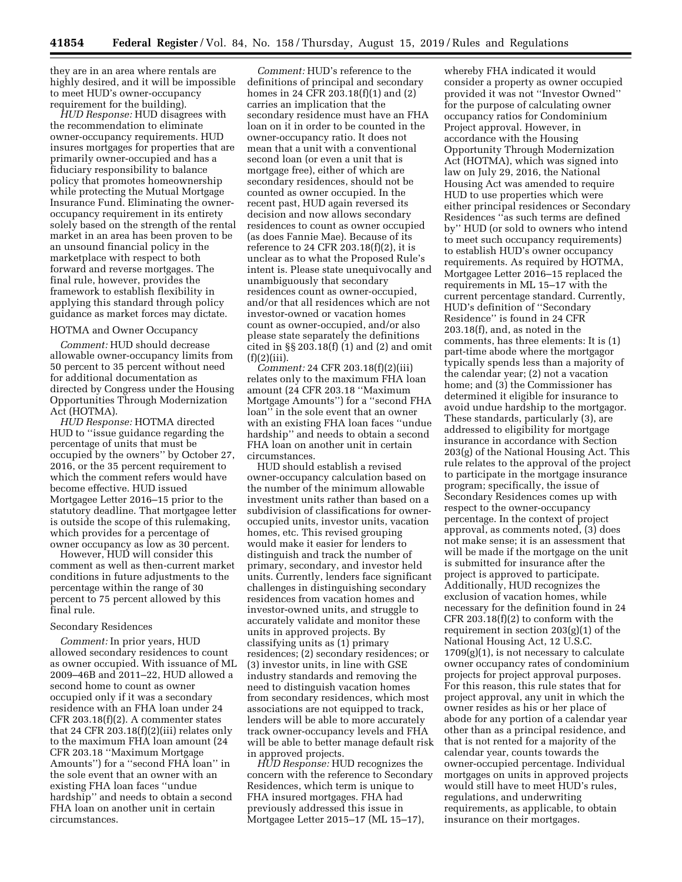they are in an area where rentals are highly desired, and it will be impossible to meet HUD's owner-occupancy requirement for the building).

*HUD Response:* HUD disagrees with the recommendation to eliminate owner-occupancy requirements. HUD insures mortgages for properties that are primarily owner-occupied and has a fiduciary responsibility to balance policy that promotes homeownership while protecting the Mutual Mortgage Insurance Fund. Eliminating the owneroccupancy requirement in its entirety solely based on the strength of the rental market in an area has been proven to be an unsound financial policy in the marketplace with respect to both forward and reverse mortgages. The final rule, however, provides the framework to establish flexibility in applying this standard through policy guidance as market forces may dictate.

### HOTMA and Owner Occupancy

*Comment:* HUD should decrease allowable owner-occupancy limits from 50 percent to 35 percent without need for additional documentation as directed by Congress under the Housing Opportunities Through Modernization Act (HOTMA).

*HUD Response:* HOTMA directed HUD to ''issue guidance regarding the percentage of units that must be occupied by the owners'' by October 27, 2016, or the 35 percent requirement to which the comment refers would have become effective. HUD issued Mortgagee Letter 2016–15 prior to the statutory deadline. That mortgagee letter is outside the scope of this rulemaking, which provides for a percentage of owner occupancy as low as 30 percent.

However, HUD will consider this comment as well as then-current market conditions in future adjustments to the percentage within the range of 30 percent to 75 percent allowed by this final rule.

#### Secondary Residences

*Comment:* In prior years, HUD allowed secondary residences to count as owner occupied. With issuance of ML 2009–46B and 2011–22, HUD allowed a second home to count as owner occupied only if it was a secondary residence with an FHA loan under 24 CFR 203.18(f)(2). A commenter states that 24 CFR 203.18(f)(2)(iii) relates only to the maximum FHA loan amount (24 CFR 203.18 ''Maximum Mortgage Amounts'') for a ''second FHA loan'' in the sole event that an owner with an existing FHA loan faces ''undue hardship'' and needs to obtain a second FHA loan on another unit in certain circumstances.

*Comment:* HUD's reference to the definitions of principal and secondary homes in 24 CFR 203.18(f)(1) and (2) carries an implication that the secondary residence must have an FHA loan on it in order to be counted in the owner-occupancy ratio. It does not mean that a unit with a conventional second loan (or even a unit that is mortgage free), either of which are secondary residences, should not be counted as owner occupied. In the recent past, HUD again reversed its decision and now allows secondary residences to count as owner occupied (as does Fannie Mae). Because of its reference to 24 CFR 203.18(f)(2), it is unclear as to what the Proposed Rule's intent is. Please state unequivocally and unambiguously that secondary residences count as owner-occupied, and/or that all residences which are not investor-owned or vacation homes count as owner-occupied, and/or also please state separately the definitions cited in §§ 203.18(f) (1) and (2) and omit  $(f)(2)(iii)$ .

*Comment:* 24 CFR 203.18(f)(2)(iii) relates only to the maximum FHA loan amount (24 CFR 203.18 ''Maximum Mortgage Amounts'') for a ''second FHA loan'' in the sole event that an owner with an existing FHA loan faces ''undue hardship'' and needs to obtain a second FHA loan on another unit in certain circumstances.

HUD should establish a revised owner-occupancy calculation based on the number of the minimum allowable investment units rather than based on a subdivision of classifications for owneroccupied units, investor units, vacation homes, etc. This revised grouping would make it easier for lenders to distinguish and track the number of primary, secondary, and investor held units. Currently, lenders face significant challenges in distinguishing secondary residences from vacation homes and investor-owned units, and struggle to accurately validate and monitor these units in approved projects. By classifying units as (1) primary residences; (2) secondary residences; or (3) investor units, in line with GSE industry standards and removing the need to distinguish vacation homes from secondary residences, which most associations are not equipped to track, lenders will be able to more accurately track owner-occupancy levels and FHA will be able to better manage default risk in approved projects.

*HUD Response:* HUD recognizes the concern with the reference to Secondary Residences, which term is unique to FHA insured mortgages. FHA had previously addressed this issue in Mortgagee Letter 2015–17 (ML 15–17),

whereby FHA indicated it would consider a property as owner occupied provided it was not ''Investor Owned'' for the purpose of calculating owner occupancy ratios for Condominium Project approval. However, in accordance with the Housing Opportunity Through Modernization Act (HOTMA), which was signed into law on July 29, 2016, the National Housing Act was amended to require HUD to use properties which were either principal residences or Secondary Residences ''as such terms are defined by'' HUD (or sold to owners who intend to meet such occupancy requirements) to establish HUD's owner occupancy requirements. As required by HOTMA, Mortgagee Letter 2016–15 replaced the requirements in ML 15–17 with the current percentage standard. Currently, HUD's definition of ''Secondary Residence'' is found in 24 CFR 203.18(f), and, as noted in the comments, has three elements: It is (1) part-time abode where the mortgagor typically spends less than a majority of the calendar year; (2) not a vacation home; and (3) the Commissioner has determined it eligible for insurance to avoid undue hardship to the mortgagor. These standards, particularly (3), are addressed to eligibility for mortgage insurance in accordance with Section 203(g) of the National Housing Act. This rule relates to the approval of the project to participate in the mortgage insurance program; specifically, the issue of Secondary Residences comes up with respect to the owner-occupancy percentage. In the context of project approval, as comments noted, (3) does not make sense; it is an assessment that will be made if the mortgage on the unit is submitted for insurance after the project is approved to participate. Additionally, HUD recognizes the exclusion of vacation homes, while necessary for the definition found in 24 CFR 203.18(f)(2) to conform with the requirement in section 203(g)(1) of the National Housing Act, 12 U.S.C.  $1709(g)(1)$ , is not necessary to calculate owner occupancy rates of condominium projects for project approval purposes. For this reason, this rule states that for project approval, any unit in which the owner resides as his or her place of abode for any portion of a calendar year other than as a principal residence, and that is not rented for a majority of the calendar year, counts towards the owner-occupied percentage. Individual mortgages on units in approved projects would still have to meet HUD's rules, regulations, and underwriting requirements, as applicable, to obtain insurance on their mortgages.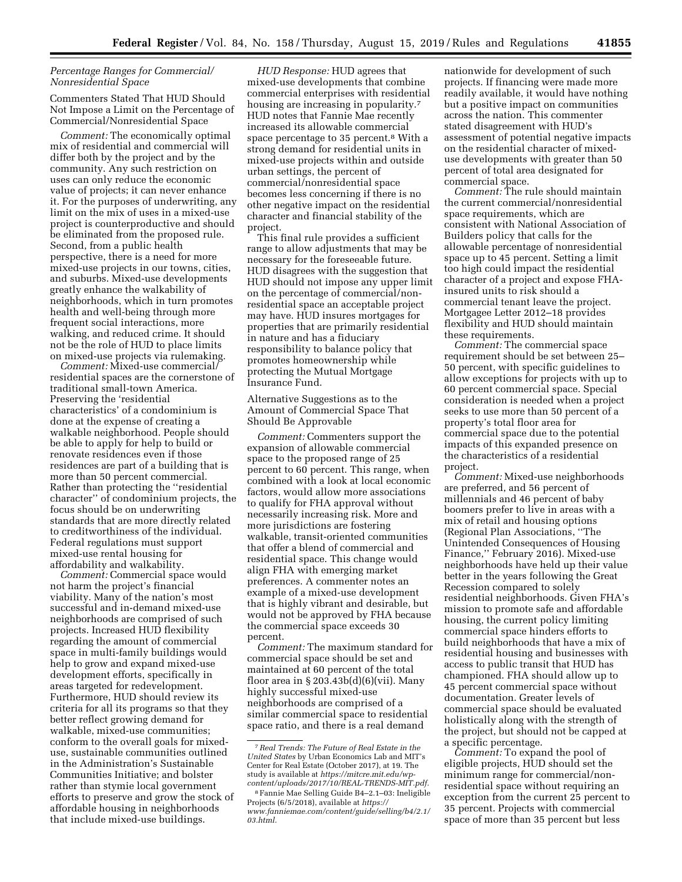# *Percentage Ranges for Commercial/ Nonresidential Space*

Commenters Stated That HUD Should Not Impose a Limit on the Percentage of Commercial/Nonresidential Space

*Comment:* The economically optimal mix of residential and commercial will differ both by the project and by the community. Any such restriction on uses can only reduce the economic value of projects; it can never enhance it. For the purposes of underwriting, any limit on the mix of uses in a mixed-use project is counterproductive and should be eliminated from the proposed rule. Second, from a public health perspective, there is a need for more mixed-use projects in our towns, cities, and suburbs. Mixed-use developments greatly enhance the walkability of neighborhoods, which in turn promotes health and well-being through more frequent social interactions, more walking, and reduced crime. It should not be the role of HUD to place limits on mixed-use projects via rulemaking.

*Comment:* Mixed-use commercial/ residential spaces are the cornerstone of traditional small-town America. Preserving the 'residential characteristics' of a condominium is done at the expense of creating a walkable neighborhood. People should be able to apply for help to build or renovate residences even if those residences are part of a building that is more than 50 percent commercial. Rather than protecting the ''residential character'' of condominium projects, the focus should be on underwriting standards that are more directly related to creditworthiness of the individual. Federal regulations must support mixed-use rental housing for affordability and walkability.

*Comment:* Commercial space would not harm the project's financial viability. Many of the nation's most successful and in-demand mixed-use neighborhoods are comprised of such projects. Increased HUD flexibility regarding the amount of commercial space in multi-family buildings would help to grow and expand mixed-use development efforts, specifically in areas targeted for redevelopment. Furthermore, HUD should review its criteria for all its programs so that they better reflect growing demand for walkable, mixed-use communities; conform to the overall goals for mixeduse, sustainable communities outlined in the Administration's Sustainable Communities Initiative; and bolster rather than stymie local government efforts to preserve and grow the stock of affordable housing in neighborhoods that include mixed-use buildings.

*HUD Response:* HUD agrees that mixed-use developments that combine commercial enterprises with residential housing are increasing in popularity.<sup>7</sup> HUD notes that Fannie Mae recently increased its allowable commercial space percentage to 35 percent.<sup>8</sup> With a strong demand for residential units in mixed-use projects within and outside urban settings, the percent of commercial/nonresidential space becomes less concerning if there is no other negative impact on the residential character and financial stability of the project.

This final rule provides a sufficient range to allow adjustments that may be necessary for the foreseeable future. HUD disagrees with the suggestion that HUD should not impose any upper limit on the percentage of commercial/nonresidential space an acceptable project may have. HUD insures mortgages for properties that are primarily residential in nature and has a fiduciary responsibility to balance policy that promotes homeownership while protecting the Mutual Mortgage Insurance Fund.

Alternative Suggestions as to the Amount of Commercial Space That Should Be Approvable

*Comment:* Commenters support the expansion of allowable commercial space to the proposed range of 25 percent to 60 percent. This range, when combined with a look at local economic factors, would allow more associations to qualify for FHA approval without necessarily increasing risk. More and more jurisdictions are fostering walkable, transit-oriented communities that offer a blend of commercial and residential space. This change would align FHA with emerging market preferences. A commenter notes an example of a mixed-use development that is highly vibrant and desirable, but would not be approved by FHA because the commercial space exceeds 30 percent.

*Comment:* The maximum standard for commercial space should be set and maintained at 60 percent of the total floor area in  $\S 203.43b(d)(6)(vii)$ . Many highly successful mixed-use neighborhoods are comprised of a similar commercial space to residential space ratio, and there is a real demand

nationwide for development of such projects. If financing were made more readily available, it would have nothing but a positive impact on communities across the nation. This commenter stated disagreement with HUD's assessment of potential negative impacts on the residential character of mixeduse developments with greater than 50 percent of total area designated for commercial space.

*Comment:* The rule should maintain the current commercial/nonresidential space requirements, which are consistent with National Association of Builders policy that calls for the allowable percentage of nonresidential space up to 45 percent. Setting a limit too high could impact the residential character of a project and expose FHAinsured units to risk should a commercial tenant leave the project. Mortgagee Letter 2012–18 provides flexibility and HUD should maintain these requirements.

*Comment:* The commercial space requirement should be set between 25– 50 percent, with specific guidelines to allow exceptions for projects with up to 60 percent commercial space. Special consideration is needed when a project seeks to use more than 50 percent of a property's total floor area for commercial space due to the potential impacts of this expanded presence on the characteristics of a residential project.

*Comment:* Mixed-use neighborhoods are preferred, and 56 percent of millennials and 46 percent of baby boomers prefer to live in areas with a mix of retail and housing options (Regional Plan Associations, ''The Unintended Consequences of Housing Finance,'' February 2016). Mixed-use neighborhoods have held up their value better in the years following the Great Recession compared to solely residential neighborhoods. Given FHA's mission to promote safe and affordable housing, the current policy limiting commercial space hinders efforts to build neighborhoods that have a mix of residential housing and businesses with access to public transit that HUD has championed. FHA should allow up to 45 percent commercial space without documentation. Greater levels of commercial space should be evaluated holistically along with the strength of the project, but should not be capped at a specific percentage.

*Comment:* To expand the pool of eligible projects, HUD should set the minimum range for commercial/nonresidential space without requiring an exception from the current 25 percent to 35 percent. Projects with commercial space of more than 35 percent but less

<sup>7</sup>*Real Trends: The Future of Real Estate in the United States* by Urban Economics Lab and MIT's Center for Real Estate (October 2017), at 19. The study is available at *[https://mitcre.mit.edu/wp](https://mitcre.mit.edu/wp-content/uploads/2017/10/REAL-TRENDS-MIT.pdf)[content/uploads/2017/10/REAL-TRENDS-MIT.pdf.](https://mitcre.mit.edu/wp-content/uploads/2017/10/REAL-TRENDS-MIT.pdf)* 

<sup>8</sup>Fannie Mae Selling Guide B4–2.1–03: Ineligible Projects (6/5/2018), available at *[https://](https://www.fanniemae.com/content/guide/selling/b4/2.1/03.html) [www.fanniemae.com/content/guide/selling/b4/2.1/](https://www.fanniemae.com/content/guide/selling/b4/2.1/03.html) [03.html.](https://www.fanniemae.com/content/guide/selling/b4/2.1/03.html)*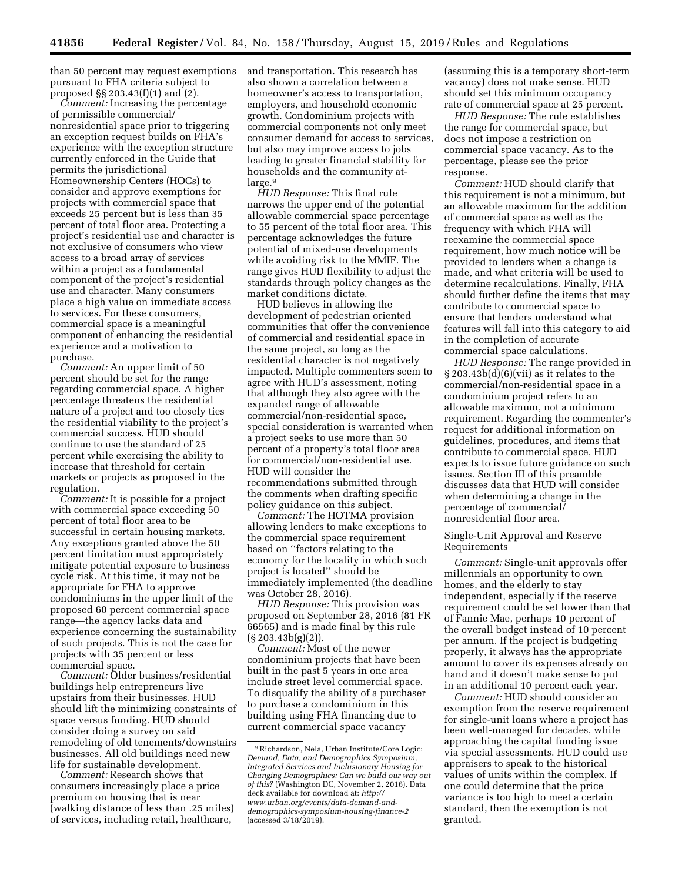than 50 percent may request exemptions pursuant to FHA criteria subject to proposed §§ 203.43(f)(1) and (2).

*Comment:* Increasing the percentage of permissible commercial/ nonresidential space prior to triggering an exception request builds on FHA's experience with the exception structure currently enforced in the Guide that permits the jurisdictional Homeownership Centers (HOCs) to consider and approve exemptions for projects with commercial space that exceeds 25 percent but is less than 35 percent of total floor area. Protecting a project's residential use and character is not exclusive of consumers who view access to a broad array of services within a project as a fundamental component of the project's residential use and character. Many consumers place a high value on immediate access to services. For these consumers, commercial space is a meaningful component of enhancing the residential experience and a motivation to purchase.

*Comment:* An upper limit of 50 percent should be set for the range regarding commercial space. A higher percentage threatens the residential nature of a project and too closely ties the residential viability to the project's commercial success. HUD should continue to use the standard of 25 percent while exercising the ability to increase that threshold for certain markets or projects as proposed in the regulation.

*Comment:* It is possible for a project with commercial space exceeding 50 percent of total floor area to be successful in certain housing markets. Any exceptions granted above the 50 percent limitation must appropriately mitigate potential exposure to business cycle risk. At this time, it may not be appropriate for FHA to approve condominiums in the upper limit of the proposed 60 percent commercial space range—the agency lacks data and experience concerning the sustainability of such projects. This is not the case for projects with 35 percent or less commercial space.

*Comment:* Older business/residential buildings help entrepreneurs live upstairs from their businesses. HUD should lift the minimizing constraints of space versus funding. HUD should consider doing a survey on said remodeling of old tenements/downstairs businesses. All old buildings need new life for sustainable development.

*Comment:* Research shows that consumers increasingly place a price premium on housing that is near (walking distance of less than .25 miles) of services, including retail, healthcare,

and transportation. This research has also shown a correlation between a homeowner's access to transportation, employers, and household economic growth. Condominium projects with commercial components not only meet consumer demand for access to services, but also may improve access to jobs leading to greater financial stability for households and the community atlarge.9

*HUD Response:* This final rule narrows the upper end of the potential allowable commercial space percentage to 55 percent of the total floor area. This percentage acknowledges the future potential of mixed-use developments while avoiding risk to the MMIF. The range gives HUD flexibility to adjust the standards through policy changes as the market conditions dictate.

HUD believes in allowing the development of pedestrian oriented communities that offer the convenience of commercial and residential space in the same project, so long as the residential character is not negatively impacted. Multiple commenters seem to agree with HUD's assessment, noting that although they also agree with the expanded range of allowable commercial/non-residential space, special consideration is warranted when a project seeks to use more than 50 percent of a property's total floor area for commercial/non-residential use. HUD will consider the recommendations submitted through the comments when drafting specific policy guidance on this subject.

*Comment:* The HOTMA provision allowing lenders to make exceptions to the commercial space requirement based on ''factors relating to the economy for the locality in which such project is located'' should be immediately implemented (the deadline was October 28, 2016).

*HUD Response:* This provision was proposed on September 28, 2016 (81 FR 66565) and is made final by this rule  $(\S 203.43b(g)(2))$ .

*Comment:* Most of the newer condominium projects that have been built in the past 5 years in one area include street level commercial space. To disqualify the ability of a purchaser to purchase a condominium in this building using FHA financing due to current commercial space vacancy

(assuming this is a temporary short-term vacancy) does not make sense. HUD should set this minimum occupancy rate of commercial space at 25 percent.

*HUD Response:* The rule establishes the range for commercial space, but does not impose a restriction on commercial space vacancy. As to the percentage, please see the prior response.

*Comment:* HUD should clarify that this requirement is not a minimum, but an allowable maximum for the addition of commercial space as well as the frequency with which FHA will reexamine the commercial space requirement, how much notice will be provided to lenders when a change is made, and what criteria will be used to determine recalculations. Finally, FHA should further define the items that may contribute to commercial space to ensure that lenders understand what features will fall into this category to aid in the completion of accurate commercial space calculations.

*HUD Response:* The range provided in  $\S 203.43b(d)(6)(vii)$  as it relates to the commercial/non-residential space in a condominium project refers to an allowable maximum, not a minimum requirement. Regarding the commenter's request for additional information on guidelines, procedures, and items that contribute to commercial space, HUD expects to issue future guidance on such issues. Section III of this preamble discusses data that HUD will consider when determining a change in the percentage of commercial/ nonresidential floor area.

Single-Unit Approval and Reserve Requirements

*Comment:* Single-unit approvals offer millennials an opportunity to own homes, and the elderly to stay independent, especially if the reserve requirement could be set lower than that of Fannie Mae, perhaps 10 percent of the overall budget instead of 10 percent per annum. If the project is budgeting properly, it always has the appropriate amount to cover its expenses already on hand and it doesn't make sense to put in an additional 10 percent each year.

*Comment:* HUD should consider an exemption from the reserve requirement for single-unit loans where a project has been well-managed for decades, while approaching the capital funding issue via special assessments. HUD could use appraisers to speak to the historical values of units within the complex. If one could determine that the price variance is too high to meet a certain standard, then the exemption is not granted.

<sup>9</sup>Richardson, Nela, Urban Institute/Core Logic: *Demand, Data, and Demographics Symposium, Integrated Services and Inclusionary Housing for Changing Demographics: Can we build our way out of this?* (Washington DC, November 2, 2016). Data deck available for download at: *[http://](http://www.urban.org/events/data-demand-and-demographics-symposium-housing-finance-2) [www.urban.org/events/data-demand-and](http://www.urban.org/events/data-demand-and-demographics-symposium-housing-finance-2)[demographics-symposium-housing-finance-2](http://www.urban.org/events/data-demand-and-demographics-symposium-housing-finance-2)*  (accessed 3/18/2019).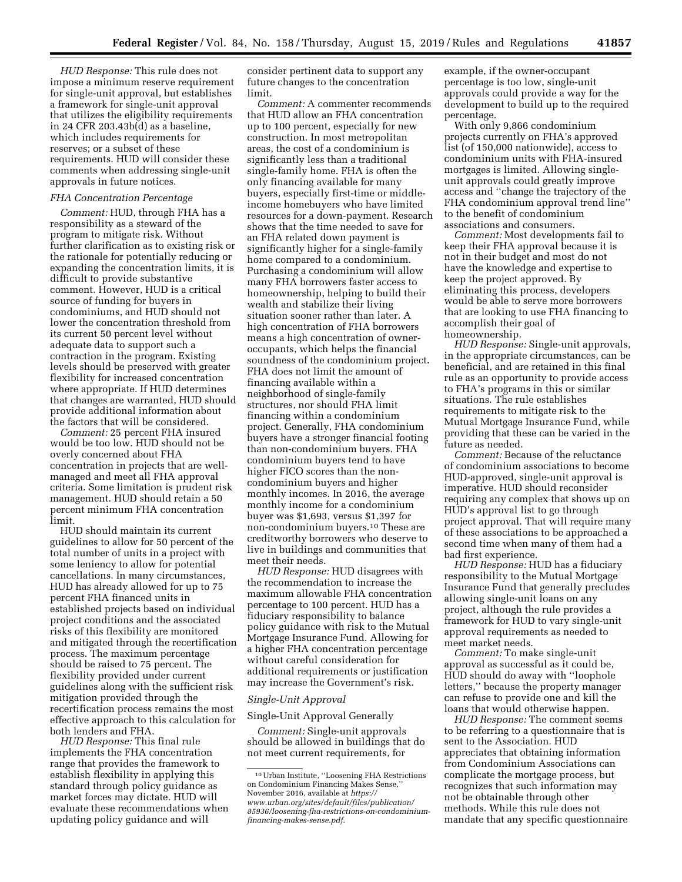*HUD Response:* This rule does not impose a minimum reserve requirement for single-unit approval, but establishes a framework for single-unit approval that utilizes the eligibility requirements in 24 CFR 203.43b(d) as a baseline, which includes requirements for reserves; or a subset of these requirements. HUD will consider these comments when addressing single-unit approvals in future notices.

#### *FHA Concentration Percentage*

*Comment:* HUD, through FHA has a responsibility as a steward of the program to mitigate risk. Without further clarification as to existing risk or the rationale for potentially reducing or expanding the concentration limits, it is difficult to provide substantive comment. However, HUD is a critical source of funding for buyers in condominiums, and HUD should not lower the concentration threshold from its current 50 percent level without adequate data to support such a contraction in the program. Existing levels should be preserved with greater flexibility for increased concentration where appropriate. If HUD determines that changes are warranted, HUD should provide additional information about the factors that will be considered.

*Comment:* 25 percent FHA insured would be too low. HUD should not be overly concerned about FHA concentration in projects that are wellmanaged and meet all FHA approval criteria. Some limitation is prudent risk management. HUD should retain a 50 percent minimum FHA concentration limit.

HUD should maintain its current guidelines to allow for 50 percent of the total number of units in a project with some leniency to allow for potential cancellations. In many circumstances, HUD has already allowed for up to 75 percent FHA financed units in established projects based on individual project conditions and the associated risks of this flexibility are monitored and mitigated through the recertification process. The maximum percentage should be raised to 75 percent. The flexibility provided under current guidelines along with the sufficient risk mitigation provided through the recertification process remains the most effective approach to this calculation for both lenders and FHA.

*HUD Response:* This final rule implements the FHA concentration range that provides the framework to establish flexibility in applying this standard through policy guidance as market forces may dictate. HUD will evaluate these recommendations when updating policy guidance and will

consider pertinent data to support any future changes to the concentration limit.

*Comment:* A commenter recommends that HUD allow an FHA concentration up to 100 percent, especially for new construction. In most metropolitan areas, the cost of a condominium is significantly less than a traditional single-family home. FHA is often the only financing available for many buyers, especially first-time or middleincome homebuyers who have limited resources for a down-payment. Research shows that the time needed to save for an FHA related down payment is significantly higher for a single-family home compared to a condominium. Purchasing a condominium will allow many FHA borrowers faster access to homeownership, helping to build their wealth and stabilize their living situation sooner rather than later. A high concentration of FHA borrowers means a high concentration of owneroccupants, which helps the financial soundness of the condominium project. FHA does not limit the amount of financing available within a neighborhood of single-family structures, nor should FHA limit financing within a condominium project. Generally, FHA condominium buyers have a stronger financial footing than non-condominium buyers. FHA condominium buyers tend to have higher FICO scores than the noncondominium buyers and higher monthly incomes. In 2016, the average monthly income for a condominium buyer was \$1,693, versus \$1,397 for non-condominium buyers.10 These are creditworthy borrowers who deserve to live in buildings and communities that meet their needs.

*HUD Response:* HUD disagrees with the recommendation to increase the maximum allowable FHA concentration percentage to 100 percent. HUD has a fiduciary responsibility to balance policy guidance with risk to the Mutual Mortgage Insurance Fund. Allowing for a higher FHA concentration percentage without careful consideration for additional requirements or justification may increase the Government's risk.

### *Single-Unit Approval*

### Single-Unit Approval Generally

*Comment:* Single-unit approvals should be allowed in buildings that do not meet current requirements, for

example, if the owner-occupant percentage is too low, single-unit approvals could provide a way for the development to build up to the required percentage.

With only 9,866 condominium projects currently on FHA's approved list (of 150,000 nationwide), access to condominium units with FHA-insured mortgages is limited. Allowing singleunit approvals could greatly improve access and ''change the trajectory of the FHA condominium approval trend line'' to the benefit of condominium associations and consumers.

*Comment:* Most developments fail to keep their FHA approval because it is not in their budget and most do not have the knowledge and expertise to keep the project approved. By eliminating this process, developers would be able to serve more borrowers that are looking to use FHA financing to accomplish their goal of homeownership.

*HUD Response:* Single-unit approvals, in the appropriate circumstances, can be beneficial, and are retained in this final rule as an opportunity to provide access to FHA's programs in this or similar situations. The rule establishes requirements to mitigate risk to the Mutual Mortgage Insurance Fund, while providing that these can be varied in the future as needed.

*Comment:* Because of the reluctance of condominium associations to become HUD-approved, single-unit approval is imperative. HUD should reconsider requiring any complex that shows up on HUD's approval list to go through project approval. That will require many of these associations to be approached a second time when many of them had a bad first experience.

*HUD Response:* HUD has a fiduciary responsibility to the Mutual Mortgage Insurance Fund that generally precludes allowing single-unit loans on any project, although the rule provides a framework for HUD to vary single-unit approval requirements as needed to meet market needs.

*Comment:* To make single-unit approval as successful as it could be, HUD should do away with ''loophole letters,'' because the property manager can refuse to provide one and kill the loans that would otherwise happen.

*HUD Response:* The comment seems to be referring to a questionnaire that is sent to the Association. HUD appreciates that obtaining information from Condominium Associations can complicate the mortgage process, but recognizes that such information may not be obtainable through other methods. While this rule does not mandate that any specific questionnaire

<sup>10</sup>Urban Institute, ''Loosening FHA Restrictions on Condominium Financing Makes Sense,'' November 2016, available at *[https://](https://www.urban.org/sites/default/files/publication/85936/loosening-fha-restrictions-on-condominium-financing-makes-sense.pdf) [www.urban.org/sites/default/files/publication/](https://www.urban.org/sites/default/files/publication/85936/loosening-fha-restrictions-on-condominium-financing-makes-sense.pdf)  [85936/loosening-fha-restrictions-on-condominium](https://www.urban.org/sites/default/files/publication/85936/loosening-fha-restrictions-on-condominium-financing-makes-sense.pdf)[financing-makes-sense.pdf.](https://www.urban.org/sites/default/files/publication/85936/loosening-fha-restrictions-on-condominium-financing-makes-sense.pdf)*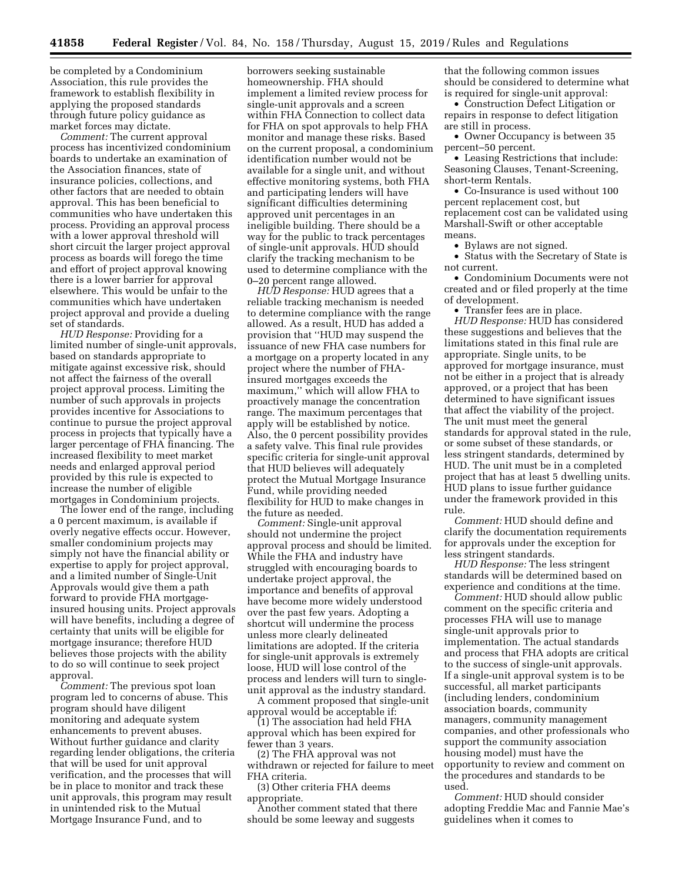be completed by a Condominium Association, this rule provides the framework to establish flexibility in applying the proposed standards through future policy guidance as market forces may dictate.

*Comment:* The current approval process has incentivized condominium boards to undertake an examination of the Association finances, state of insurance policies, collections, and other factors that are needed to obtain approval. This has been beneficial to communities who have undertaken this process. Providing an approval process with a lower approval threshold will short circuit the larger project approval process as boards will forego the time and effort of project approval knowing there is a lower barrier for approval elsewhere. This would be unfair to the communities which have undertaken project approval and provide a dueling set of standards.

*HUD Response:* Providing for a limited number of single-unit approvals, based on standards appropriate to mitigate against excessive risk, should not affect the fairness of the overall project approval process. Limiting the number of such approvals in projects provides incentive for Associations to continue to pursue the project approval process in projects that typically have a larger percentage of FHA financing. The increased flexibility to meet market needs and enlarged approval period provided by this rule is expected to increase the number of eligible mortgages in Condominium projects.

The lower end of the range, including a 0 percent maximum, is available if overly negative effects occur. However, smaller condominium projects may simply not have the financial ability or expertise to apply for project approval, and a limited number of Single-Unit Approvals would give them a path forward to provide FHA mortgageinsured housing units. Project approvals will have benefits, including a degree of certainty that units will be eligible for mortgage insurance; therefore HUD believes those projects with the ability to do so will continue to seek project approval.

*Comment:* The previous spot loan program led to concerns of abuse. This program should have diligent monitoring and adequate system enhancements to prevent abuses. Without further guidance and clarity regarding lender obligations, the criteria that will be used for unit approval verification, and the processes that will be in place to monitor and track these unit approvals, this program may result in unintended risk to the Mutual Mortgage Insurance Fund, and to

borrowers seeking sustainable homeownership. FHA should implement a limited review process for single-unit approvals and a screen within FHA Connection to collect data for FHA on spot approvals to help FHA monitor and manage these risks. Based on the current proposal, a condominium identification number would not be available for a single unit, and without effective monitoring systems, both FHA and participating lenders will have significant difficulties determining approved unit percentages in an ineligible building. There should be a way for the public to track percentages of single-unit approvals. HUD should clarify the tracking mechanism to be used to determine compliance with the 0–20 percent range allowed.

*HUD Response:* HUD agrees that a reliable tracking mechanism is needed to determine compliance with the range allowed. As a result, HUD has added a provision that ''HUD may suspend the issuance of new FHA case numbers for a mortgage on a property located in any project where the number of FHAinsured mortgages exceeds the maximum,'' which will allow FHA to proactively manage the concentration range. The maximum percentages that apply will be established by notice. Also, the 0 percent possibility provides a safety valve. This final rule provides specific criteria for single-unit approval that HUD believes will adequately protect the Mutual Mortgage Insurance Fund, while providing needed flexibility for HUD to make changes in the future as needed.

*Comment:* Single-unit approval should not undermine the project approval process and should be limited. While the FHA and industry have struggled with encouraging boards to undertake project approval, the importance and benefits of approval have become more widely understood over the past few years. Adopting a shortcut will undermine the process unless more clearly delineated limitations are adopted. If the criteria for single-unit approvals is extremely loose, HUD will lose control of the process and lenders will turn to singleunit approval as the industry standard.

A comment proposed that single-unit approval would be acceptable if:

(1) The association had held FHA approval which has been expired for fewer than 3 years.

(2) The FHA approval was not withdrawn or rejected for failure to meet FHA criteria.

(3) Other criteria FHA deems appropriate.

Another comment stated that there should be some leeway and suggests

that the following common issues should be considered to determine what is required for single-unit approval:

• Construction Defect Litigation or repairs in response to defect litigation are still in process.

• Owner Occupancy is between 35 percent–50 percent.

• Leasing Restrictions that include: Seasoning Clauses, Tenant-Screening, short-term Rentals.

• Co-Insurance is used without 100 percent replacement cost, but replacement cost can be validated using Marshall-Swift or other acceptable means.

• Bylaws are not signed.

• Status with the Secretary of State is not current.

• Condominium Documents were not created and or filed properly at the time of development.

• Transfer fees are in place. *HUD Response:* HUD has considered these suggestions and believes that the limitations stated in this final rule are appropriate. Single units, to be approved for mortgage insurance, must not be either in a project that is already approved, or a project that has been determined to have significant issues that affect the viability of the project. The unit must meet the general standards for approval stated in the rule, or some subset of these standards, or less stringent standards, determined by HUD. The unit must be in a completed project that has at least 5 dwelling units. HUD plans to issue further guidance under the framework provided in this rule.

*Comment:* HUD should define and clarify the documentation requirements for approvals under the exception for less stringent standards.

*HUD Response:* The less stringent standards will be determined based on experience and conditions at the time.

*Comment:* HUD should allow public comment on the specific criteria and processes FHA will use to manage single-unit approvals prior to implementation. The actual standards and process that FHA adopts are critical to the success of single-unit approvals. If a single-unit approval system is to be successful, all market participants (including lenders, condominium association boards, community managers, community management companies, and other professionals who support the community association housing model) must have the opportunity to review and comment on the procedures and standards to be used.

*Comment:* HUD should consider adopting Freddie Mac and Fannie Mae's guidelines when it comes to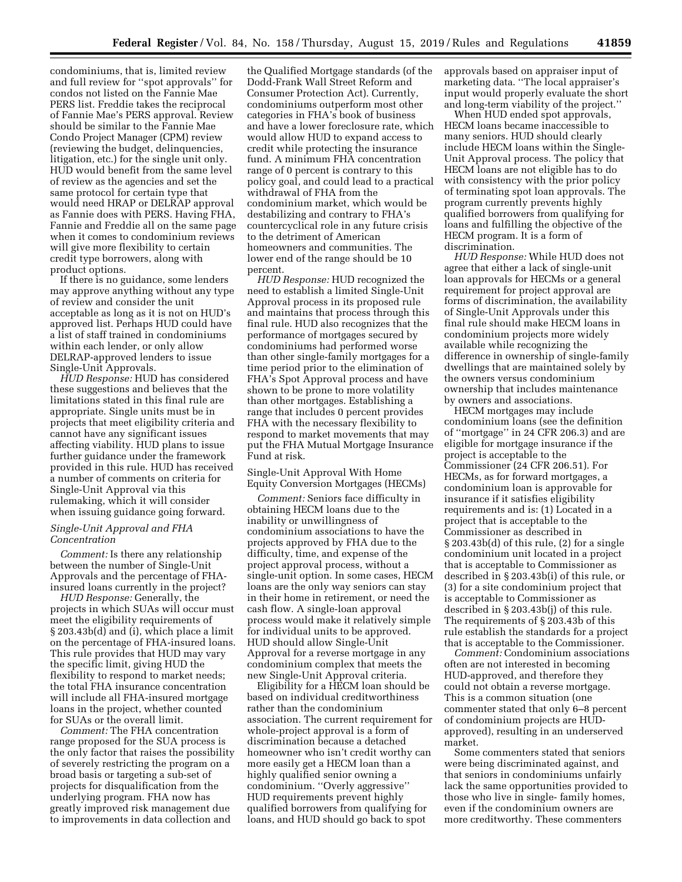condominiums, that is, limited review and full review for ''spot approvals'' for condos not listed on the Fannie Mae PERS list. Freddie takes the reciprocal of Fannie Mae's PERS approval. Review should be similar to the Fannie Mae Condo Project Manager (CPM) review (reviewing the budget, delinquencies, litigation, etc.) for the single unit only. HUD would benefit from the same level of review as the agencies and set the same protocol for certain type that would need HRAP or DELRAP approval as Fannie does with PERS. Having FHA, Fannie and Freddie all on the same page when it comes to condominium reviews will give more flexibility to certain credit type borrowers, along with product options.

If there is no guidance, some lenders may approve anything without any type of review and consider the unit acceptable as long as it is not on HUD's approved list. Perhaps HUD could have a list of staff trained in condominiums within each lender, or only allow DELRAP-approved lenders to issue Single-Unit Approvals.

*HUD Response:* HUD has considered these suggestions and believes that the limitations stated in this final rule are appropriate. Single units must be in projects that meet eligibility criteria and cannot have any significant issues affecting viability. HUD plans to issue further guidance under the framework provided in this rule. HUD has received a number of comments on criteria for Single-Unit Approval via this rulemaking, which it will consider when issuing guidance going forward.

### *Single-Unit Approval and FHA Concentration*

*Comment:* Is there any relationship between the number of Single-Unit Approvals and the percentage of FHAinsured loans currently in the project?

*HUD Response:* Generally, the projects in which SUAs will occur must meet the eligibility requirements of § 203.43b(d) and (i), which place a limit on the percentage of FHA-insured loans. This rule provides that HUD may vary the specific limit, giving HUD the flexibility to respond to market needs; the total FHA insurance concentration will include all FHA-insured mortgage loans in the project, whether counted for SUAs or the overall limit.

*Comment:* The FHA concentration range proposed for the SUA process is the only factor that raises the possibility of severely restricting the program on a broad basis or targeting a sub-set of projects for disqualification from the underlying program. FHA now has greatly improved risk management due to improvements in data collection and

the Qualified Mortgage standards (of the Dodd-Frank Wall Street Reform and Consumer Protection Act). Currently, condominiums outperform most other categories in FHA's book of business and have a lower foreclosure rate, which would allow HUD to expand access to credit while protecting the insurance fund. A minimum FHA concentration range of 0 percent is contrary to this policy goal, and could lead to a practical withdrawal of FHA from the condominium market, which would be destabilizing and contrary to FHA's countercyclical role in any future crisis to the detriment of American homeowners and communities. The lower end of the range should be 10 percent.

*HUD Response:* HUD recognized the need to establish a limited Single-Unit Approval process in its proposed rule and maintains that process through this final rule. HUD also recognizes that the performance of mortgages secured by condominiums had performed worse than other single-family mortgages for a time period prior to the elimination of FHA's Spot Approval process and have shown to be prone to more volatility than other mortgages. Establishing a range that includes 0 percent provides FHA with the necessary flexibility to respond to market movements that may put the FHA Mutual Mortgage Insurance Fund at risk.

Single-Unit Approval With Home Equity Conversion Mortgages (HECMs)

*Comment:* Seniors face difficulty in obtaining HECM loans due to the inability or unwillingness of condominium associations to have the projects approved by FHA due to the difficulty, time, and expense of the project approval process, without a single-unit option. In some cases, HECM loans are the only way seniors can stay in their home in retirement, or need the cash flow. A single-loan approval process would make it relatively simple for individual units to be approved. HUD should allow Single-Unit Approval for a reverse mortgage in any condominium complex that meets the new Single-Unit Approval criteria.

Eligibility for a HECM loan should be based on individual creditworthiness rather than the condominium association. The current requirement for whole-project approval is a form of discrimination because a detached homeowner who isn't credit worthy can more easily get a HECM loan than a highly qualified senior owning a condominium. ''Overly aggressive'' HUD requirements prevent highly qualified borrowers from qualifying for loans, and HUD should go back to spot

approvals based on appraiser input of marketing data. ''The local appraiser's input would properly evaluate the short and long-term viability of the project.''

When HUD ended spot approvals, HECM loans became inaccessible to many seniors. HUD should clearly include HECM loans within the Single-Unit Approval process. The policy that HECM loans are not eligible has to do with consistency with the prior policy of terminating spot loan approvals. The program currently prevents highly qualified borrowers from qualifying for loans and fulfilling the objective of the HECM program. It is a form of discrimination.

*HUD Response:* While HUD does not agree that either a lack of single-unit loan approvals for HECMs or a general requirement for project approval are forms of discrimination, the availability of Single-Unit Approvals under this final rule should make HECM loans in condominium projects more widely available while recognizing the difference in ownership of single-family dwellings that are maintained solely by the owners versus condominium ownership that includes maintenance by owners and associations.

HECM mortgages may include condominium loans (see the definition of ''mortgage'' in 24 CFR 206.3) and are eligible for mortgage insurance if the project is acceptable to the Commissioner (24 CFR 206.51). For HECMs, as for forward mortgages, a condominium loan is approvable for insurance if it satisfies eligibility requirements and is: (1) Located in a project that is acceptable to the Commissioner as described in § 203.43b(d) of this rule, (2) for a single condominium unit located in a project that is acceptable to Commissioner as described in § 203.43b(i) of this rule, or (3) for a site condominium project that is acceptable to Commissioner as described in § 203.43b(j) of this rule. The requirements of § 203.43b of this rule establish the standards for a project that is acceptable to the Commissioner.

*Comment:* Condominium associations often are not interested in becoming HUD-approved, and therefore they could not obtain a reverse mortgage. This is a common situation (one commenter stated that only 6–8 percent of condominium projects are HUDapproved), resulting in an underserved market.

Some commenters stated that seniors were being discriminated against, and that seniors in condominiums unfairly lack the same opportunities provided to those who live in single- family homes, even if the condominium owners are more creditworthy. These commenters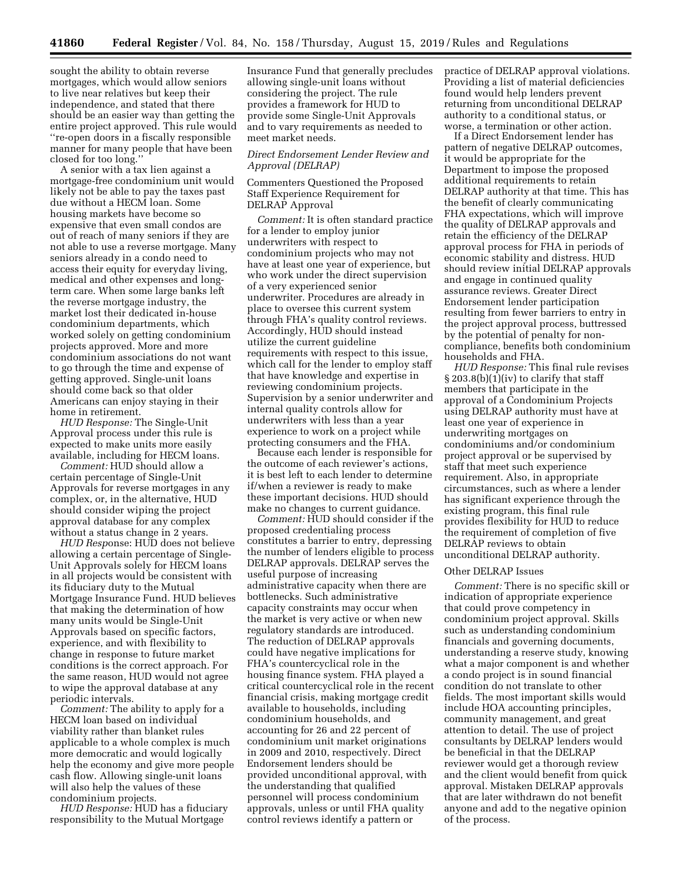sought the ability to obtain reverse mortgages, which would allow seniors to live near relatives but keep their independence, and stated that there should be an easier way than getting the entire project approved. This rule would ''re-open doors in a fiscally responsible manner for many people that have been closed for too long.''

A senior with a tax lien against a mortgage-free condominium unit would likely not be able to pay the taxes past due without a HECM loan. Some housing markets have become so expensive that even small condos are out of reach of many seniors if they are not able to use a reverse mortgage. Many seniors already in a condo need to access their equity for everyday living, medical and other expenses and longterm care. When some large banks left the reverse mortgage industry, the market lost their dedicated in-house condominium departments, which worked solely on getting condominium projects approved. More and more condominium associations do not want to go through the time and expense of getting approved. Single-unit loans should come back so that older Americans can enjoy staying in their home in retirement.

*HUD Response:* The Single-Unit Approval process under this rule is expected to make units more easily available, including for HECM loans.

*Comment:* HUD should allow a certain percentage of Single-Unit Approvals for reverse mortgages in any complex, or, in the alternative, HUD should consider wiping the project approval database for any complex without a status change in 2 years.

*HUD Resp*onse: HUD does not believe allowing a certain percentage of Single-Unit Approvals solely for HECM loans in all projects would be consistent with its fiduciary duty to the Mutual Mortgage Insurance Fund. HUD believes that making the determination of how many units would be Single-Unit Approvals based on specific factors, experience, and with flexibility to change in response to future market conditions is the correct approach. For the same reason, HUD would not agree to wipe the approval database at any periodic intervals.

*Comment:* The ability to apply for a HECM loan based on individual viability rather than blanket rules applicable to a whole complex is much more democratic and would logically help the economy and give more people cash flow. Allowing single-unit loans will also help the values of these condominium projects.

*HUD Response:* HUD has a fiduciary responsibility to the Mutual Mortgage

Insurance Fund that generally precludes allowing single-unit loans without considering the project. The rule provides a framework for HUD to provide some Single-Unit Approvals and to vary requirements as needed to meet market needs.

## *Direct Endorsement Lender Review and Approval (DELRAP)*

Commenters Questioned the Proposed Staff Experience Requirement for DELRAP Approval

*Comment:* It is often standard practice for a lender to employ junior underwriters with respect to condominium projects who may not have at least one year of experience, but who work under the direct supervision of a very experienced senior underwriter. Procedures are already in place to oversee this current system through FHA's quality control reviews. Accordingly, HUD should instead utilize the current guideline requirements with respect to this issue, which call for the lender to employ staff that have knowledge and expertise in reviewing condominium projects. Supervision by a senior underwriter and internal quality controls allow for underwriters with less than a year experience to work on a project while protecting consumers and the FHA.

Because each lender is responsible for the outcome of each reviewer's actions, it is best left to each lender to determine if/when a reviewer is ready to make these important decisions. HUD should make no changes to current guidance.

*Comment:* HUD should consider if the proposed credentialing process constitutes a barrier to entry, depressing the number of lenders eligible to process DELRAP approvals. DELRAP serves the useful purpose of increasing administrative capacity when there are bottlenecks. Such administrative capacity constraints may occur when the market is very active or when new regulatory standards are introduced. The reduction of DELRAP approvals could have negative implications for FHA's countercyclical role in the housing finance system. FHA played a critical countercyclical role in the recent financial crisis, making mortgage credit available to households, including condominium households, and accounting for 26 and 22 percent of condominium unit market originations in 2009 and 2010, respectively. Direct Endorsement lenders should be provided unconditional approval, with the understanding that qualified personnel will process condominium approvals, unless or until FHA quality control reviews identify a pattern or

practice of DELRAP approval violations. Providing a list of material deficiencies found would help lenders prevent returning from unconditional DELRAP authority to a conditional status, or worse, a termination or other action.

If a Direct Endorsement lender has pattern of negative DELRAP outcomes, it would be appropriate for the Department to impose the proposed additional requirements to retain DELRAP authority at that time. This has the benefit of clearly communicating FHA expectations, which will improve the quality of DELRAP approvals and retain the efficiency of the DELRAP approval process for FHA in periods of economic stability and distress. HUD should review initial DELRAP approvals and engage in continued quality assurance reviews. Greater Direct Endorsement lender participation resulting from fewer barriers to entry in the project approval process, buttressed by the potential of penalty for noncompliance, benefits both condominium households and FHA.

*HUD Response:* This final rule revises § 203.8(b)(1)(iv) to clarify that staff members that participate in the approval of a Condominium Projects using DELRAP authority must have at least one year of experience in underwriting mortgages on condominiums and/or condominium project approval or be supervised by staff that meet such experience requirement. Also, in appropriate circumstances, such as where a lender has significant experience through the existing program, this final rule provides flexibility for HUD to reduce the requirement of completion of five DELRAP reviews to obtain unconditional DELRAP authority.

#### Other DELRAP Issues

*Comment:* There is no specific skill or indication of appropriate experience that could prove competency in condominium project approval. Skills such as understanding condominium financials and governing documents, understanding a reserve study, knowing what a major component is and whether a condo project is in sound financial condition do not translate to other fields. The most important skills would include HOA accounting principles, community management, and great attention to detail. The use of project consultants by DELRAP lenders would be beneficial in that the DELRAP reviewer would get a thorough review and the client would benefit from quick approval. Mistaken DELRAP approvals that are later withdrawn do not benefit anyone and add to the negative opinion of the process.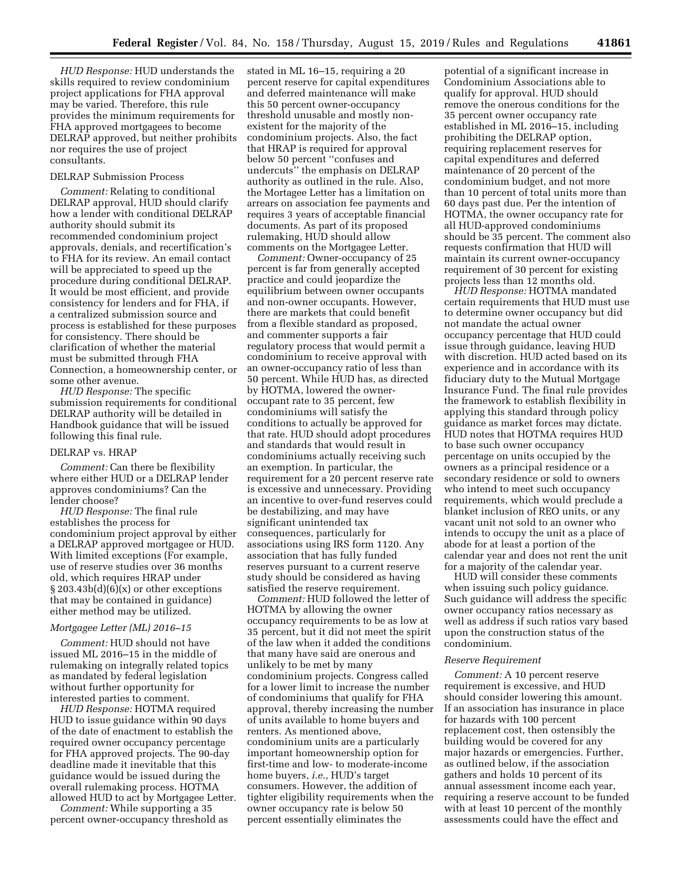*HUD Response:* HUD understands the skills required to review condominium project applications for FHA approval may be varied. Therefore, this rule provides the minimum requirements for FHA approved mortgagees to become DELRAP approved, but neither prohibits nor requires the use of project consultants.

## DELRAP Submission Process

*Comment:* Relating to conditional DELRAP approval, HUD should clarify how a lender with conditional DELRAP authority should submit its recommended condominium project approvals, denials, and recertification's to FHA for its review. An email contact will be appreciated to speed up the procedure during conditional DELRAP. It would be most efficient, and provide consistency for lenders and for FHA, if a centralized submission source and process is established for these purposes for consistency. There should be clarification of whether the material must be submitted through FHA Connection, a homeownership center, or some other avenue.

*HUD Response:* The specific submission requirements for conditional DELRAP authority will be detailed in Handbook guidance that will be issued following this final rule.

#### DELRAP vs. HRAP

*Comment:* Can there be flexibility where either HUD or a DELRAP lender approves condominiums? Can the lender choose?

*HUD Response:* The final rule establishes the process for condominium project approval by either a DELRAP approved mortgagee or HUD. With limited exceptions (For example, use of reserve studies over 36 months old, which requires HRAP under  $\S 203.43b(d)(6)(x)$  or other exceptions that may be contained in guidance) either method may be utilized.

#### *Mortgagee Letter (ML) 2016–15*

*Comment:* HUD should not have issued ML 2016–15 in the middle of rulemaking on integrally related topics as mandated by federal legislation without further opportunity for interested parties to comment.

*HUD Response:* HOTMA required HUD to issue guidance within 90 days of the date of enactment to establish the required owner occupancy percentage for FHA approved projects. The 90-day deadline made it inevitable that this guidance would be issued during the overall rulemaking process. HOTMA allowed HUD to act by Mortgagee Letter.

*Comment:* While supporting a 35 percent owner-occupancy threshold as

stated in ML 16–15, requiring a 20 percent reserve for capital expenditures and deferred maintenance will make this 50 percent owner-occupancy threshold unusable and mostly nonexistent for the majority of the condominium projects. Also, the fact that HRAP is required for approval below 50 percent ''confuses and undercuts'' the emphasis on DELRAP authority as outlined in the rule. Also, the Mortagee Letter has a limitation on arrears on association fee payments and requires 3 years of acceptable financial documents. As part of its proposed rulemaking, HUD should allow comments on the Mortgagee Letter.

*Comment:* Owner-occupancy of 25 percent is far from generally accepted practice and could jeopardize the equilibrium between owner occupants and non-owner occupants. However, there are markets that could benefit from a flexible standard as proposed, and commenter supports a fair regulatory process that would permit a condominium to receive approval with an owner-occupancy ratio of less than 50 percent. While HUD has, as directed by HOTMA, lowered the owneroccupant rate to 35 percent, few condominiums will satisfy the conditions to actually be approved for that rate. HUD should adopt procedures and standards that would result in condominiums actually receiving such an exemption. In particular, the requirement for a 20 percent reserve rate is excessive and unnecessary. Providing an incentive to over-fund reserves could be destabilizing, and may have significant unintended tax consequences, particularly for associations using IRS form 1120. Any association that has fully funded reserves pursuant to a current reserve study should be considered as having satisfied the reserve requirement.

*Comment:* HUD followed the letter of HOTMA by allowing the owner occupancy requirements to be as low at 35 percent, but it did not meet the spirit of the law when it added the conditions that many have said are onerous and unlikely to be met by many condominium projects. Congress called for a lower limit to increase the number of condominiums that qualify for FHA approval, thereby increasing the number of units available to home buyers and renters. As mentioned above, condominium units are a particularly important homeownership option for first-time and low- to moderate-income home buyers, *i.e.,* HUD's target consumers. However, the addition of tighter eligibility requirements when the owner occupancy rate is below 50 percent essentially eliminates the

potential of a significant increase in Condominium Associations able to qualify for approval. HUD should remove the onerous conditions for the 35 percent owner occupancy rate established in ML 2016–15, including prohibiting the DELRAP option, requiring replacement reserves for capital expenditures and deferred maintenance of 20 percent of the condominium budget, and not more than 10 percent of total units more than 60 days past due. Per the intention of HOTMA, the owner occupancy rate for all HUD-approved condominiums should be 35 percent. The comment also requests confirmation that HUD will maintain its current owner-occupancy requirement of 30 percent for existing projects less than 12 months old.

*HUD Response:* HOTMA mandated certain requirements that HUD must use to determine owner occupancy but did not mandate the actual owner occupancy percentage that HUD could issue through guidance, leaving HUD with discretion. HUD acted based on its experience and in accordance with its fiduciary duty to the Mutual Mortgage Insurance Fund. The final rule provides the framework to establish flexibility in applying this standard through policy guidance as market forces may dictate. HUD notes that HOTMA requires HUD to base such owner occupancy percentage on units occupied by the owners as a principal residence or a secondary residence or sold to owners who intend to meet such occupancy requirements, which would preclude a blanket inclusion of REO units, or any vacant unit not sold to an owner who intends to occupy the unit as a place of abode for at least a portion of the calendar year and does not rent the unit for a majority of the calendar year.

HUD will consider these comments when issuing such policy guidance. Such guidance will address the specific owner occupancy ratios necessary as well as address if such ratios vary based upon the construction status of the condominium.

#### *Reserve Requirement*

*Comment:* A 10 percent reserve requirement is excessive, and HUD should consider lowering this amount. If an association has insurance in place for hazards with 100 percent replacement cost, then ostensibly the building would be covered for any major hazards or emergencies. Further, as outlined below, if the association gathers and holds 10 percent of its annual assessment income each year, requiring a reserve account to be funded with at least 10 percent of the monthly assessments could have the effect and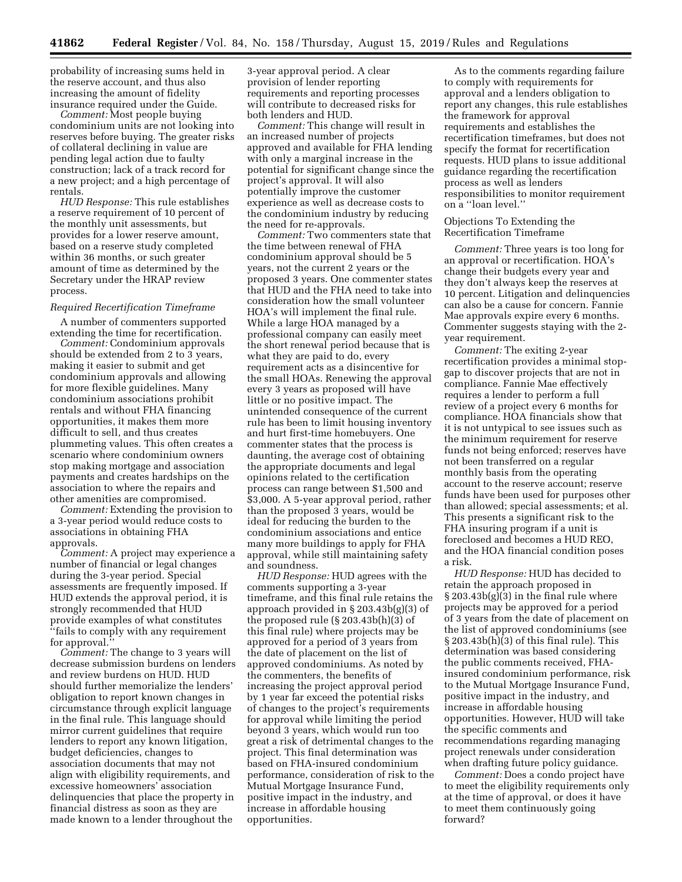probability of increasing sums held in the reserve account, and thus also increasing the amount of fidelity insurance required under the Guide.

*Comment:* Most people buying condominium units are not looking into reserves before buying. The greater risks of collateral declining in value are pending legal action due to faulty construction; lack of a track record for a new project; and a high percentage of rentals.

*HUD Response:* This rule establishes a reserve requirement of 10 percent of the monthly unit assessments, but provides for a lower reserve amount, based on a reserve study completed within 36 months, or such greater amount of time as determined by the Secretary under the HRAP review process.

#### *Required Recertification Timeframe*

A number of commenters supported extending the time for recertification.

*Comment:* Condominium approvals should be extended from 2 to 3 years, making it easier to submit and get condominium approvals and allowing for more flexible guidelines. Many condominium associations prohibit rentals and without FHA financing opportunities, it makes them more difficult to sell, and thus creates plummeting values. This often creates a scenario where condominium owners stop making mortgage and association payments and creates hardships on the association to where the repairs and other amenities are compromised.

*Comment:* Extending the provision to a 3-year period would reduce costs to associations in obtaining FHA approvals.

*Comment:* A project may experience a number of financial or legal changes during the 3-year period. Special assessments are frequently imposed. If HUD extends the approval period, it is strongly recommended that HUD provide examples of what constitutes ''fails to comply with any requirement for approval.''

*Comment:* The change to 3 years will decrease submission burdens on lenders and review burdens on HUD. HUD should further memorialize the lenders' obligation to report known changes in circumstance through explicit language in the final rule. This language should mirror current guidelines that require lenders to report any known litigation, budget deficiencies, changes to association documents that may not align with eligibility requirements, and excessive homeowners' association delinquencies that place the property in financial distress as soon as they are made known to a lender throughout the

3-year approval period. A clear provision of lender reporting requirements and reporting processes will contribute to decreased risks for both lenders and HUD.

*Comment:* This change will result in an increased number of projects approved and available for FHA lending with only a marginal increase in the potential for significant change since the project's approval. It will also potentially improve the customer experience as well as decrease costs to the condominium industry by reducing the need for re-approvals.

*Comment:* Two commenters state that the time between renewal of FHA condominium approval should be 5 years, not the current 2 years or the proposed 3 years. One commenter states that HUD and the FHA need to take into consideration how the small volunteer HOA's will implement the final rule. While a large HOA managed by a professional company can easily meet the short renewal period because that is what they are paid to do, every requirement acts as a disincentive for the small HOAs. Renewing the approval every 3 years as proposed will have little or no positive impact. The unintended consequence of the current rule has been to limit housing inventory and hurt first-time homebuyers. One commenter states that the process is daunting, the average cost of obtaining the appropriate documents and legal opinions related to the certification process can range between \$1,500 and \$3,000. A 5-year approval period, rather than the proposed 3 years, would be ideal for reducing the burden to the condominium associations and entice many more buildings to apply for FHA approval, while still maintaining safety and soundness.

*HUD Response:* HUD agrees with the comments supporting a 3-year timeframe, and this final rule retains the approach provided in § 203.43b(g)(3) of the proposed rule (§ 203.43b(h)(3) of this final rule) where projects may be approved for a period of 3 years from the date of placement on the list of approved condominiums. As noted by the commenters, the benefits of increasing the project approval period by 1 year far exceed the potential risks of changes to the project's requirements for approval while limiting the period beyond 3 years, which would run too great a risk of detrimental changes to the project. This final determination was based on FHA-insured condominium performance, consideration of risk to the Mutual Mortgage Insurance Fund, positive impact in the industry, and increase in affordable housing opportunities.

As to the comments regarding failure to comply with requirements for approval and a lenders obligation to report any changes, this rule establishes the framework for approval requirements and establishes the recertification timeframes, but does not specify the format for recertification requests. HUD plans to issue additional guidance regarding the recertification process as well as lenders responsibilities to monitor requirement on a ''loan level.''

Objections To Extending the Recertification Timeframe

*Comment:* Three years is too long for an approval or recertification. HOA's change their budgets every year and they don't always keep the reserves at 10 percent. Litigation and delinquencies can also be a cause for concern. Fannie Mae approvals expire every 6 months. Commenter suggests staying with the 2 year requirement.

*Comment:* The exiting 2-year recertification provides a minimal stopgap to discover projects that are not in compliance. Fannie Mae effectively requires a lender to perform a full review of a project every 6 months for compliance. HOA financials show that it is not untypical to see issues such as the minimum requirement for reserve funds not being enforced; reserves have not been transferred on a regular monthly basis from the operating account to the reserve account; reserve funds have been used for purposes other than allowed; special assessments; et al. This presents a significant risk to the FHA insuring program if a unit is foreclosed and becomes a HUD REO, and the HOA financial condition poses a risk.

*HUD Response:* HUD has decided to retain the approach proposed in  $\S 203.43b(g)(3)$  in the final rule where projects may be approved for a period of 3 years from the date of placement on the list of approved condominiums (see § 203.43b(h)(3) of this final rule). This determination was based considering the public comments received, FHAinsured condominium performance, risk to the Mutual Mortgage Insurance Fund, positive impact in the industry, and increase in affordable housing opportunities. However, HUD will take the specific comments and recommendations regarding managing project renewals under consideration when drafting future policy guidance.

*Comment:* Does a condo project have to meet the eligibility requirements only at the time of approval, or does it have to meet them continuously going forward?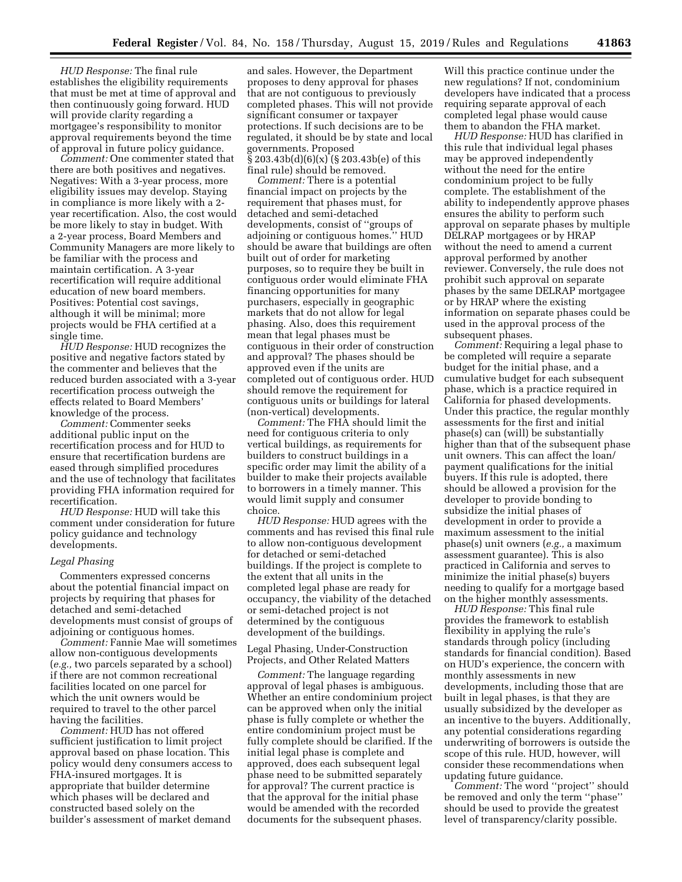*HUD Response:* The final rule establishes the eligibility requirements that must be met at time of approval and then continuously going forward. HUD will provide clarity regarding a mortgagee's responsibility to monitor approval requirements beyond the time of approval in future policy guidance.

*Comment:* One commenter stated that there are both positives and negatives. Negatives: With a 3-year process, more eligibility issues may develop. Staying in compliance is more likely with a 2 year recertification. Also, the cost would be more likely to stay in budget. With a 2-year process, Board Members and Community Managers are more likely to be familiar with the process and maintain certification. A 3-year recertification will require additional education of new board members. Positives: Potential cost savings, although it will be minimal; more projects would be FHA certified at a single time.

*HUD Response:* HUD recognizes the positive and negative factors stated by the commenter and believes that the reduced burden associated with a 3-year recertification process outweigh the effects related to Board Members' knowledge of the process.

*Comment:* Commenter seeks additional public input on the recertification process and for HUD to ensure that recertification burdens are eased through simplified procedures and the use of technology that facilitates providing FHA information required for recertification.

*HUD Response:* HUD will take this comment under consideration for future policy guidance and technology developments.

### *Legal Phasing*

Commenters expressed concerns about the potential financial impact on projects by requiring that phases for detached and semi-detached developments must consist of groups of adjoining or contiguous homes.

*Comment:* Fannie Mae will sometimes allow non-contiguous developments (*e.g.,* two parcels separated by a school) if there are not common recreational facilities located on one parcel for which the unit owners would be required to travel to the other parcel having the facilities.

*Comment:* HUD has not offered sufficient justification to limit project approval based on phase location. This policy would deny consumers access to FHA-insured mortgages. It is appropriate that builder determine which phases will be declared and constructed based solely on the builder's assessment of market demand

and sales. However, the Department proposes to deny approval for phases that are not contiguous to previously completed phases. This will not provide significant consumer or taxpayer protections. If such decisions are to be regulated, it should be by state and local governments. Proposed § 203.43b(d)(6)(x) (§ 203.43b(e) of this final rule) should be removed.

*Comment:* There is a potential financial impact on projects by the requirement that phases must, for detached and semi-detached developments, consist of ''groups of adjoining or contiguous homes.'' HUD should be aware that buildings are often built out of order for marketing purposes, so to require they be built in contiguous order would eliminate FHA financing opportunities for many purchasers, especially in geographic markets that do not allow for legal phasing. Also, does this requirement mean that legal phases must be contiguous in their order of construction and approval? The phases should be approved even if the units are completed out of contiguous order. HUD should remove the requirement for contiguous units or buildings for lateral (non-vertical) developments.

*Comment:* The FHA should limit the need for contiguous criteria to only vertical buildings, as requirements for builders to construct buildings in a specific order may limit the ability of a builder to make their projects available to borrowers in a timely manner. This would limit supply and consumer choice.

*HUD Response:* HUD agrees with the comments and has revised this final rule to allow non-contiguous development for detached or semi-detached buildings. If the project is complete to the extent that all units in the completed legal phase are ready for occupancy, the viability of the detached or semi-detached project is not determined by the contiguous development of the buildings.

Legal Phasing, Under-Construction Projects, and Other Related Matters

*Comment:* The language regarding approval of legal phases is ambiguous. Whether an entire condominium project can be approved when only the initial phase is fully complete or whether the entire condominium project must be fully complete should be clarified. If the initial legal phase is complete and approved, does each subsequent legal phase need to be submitted separately for approval? The current practice is that the approval for the initial phase would be amended with the recorded documents for the subsequent phases.

Will this practice continue under the new regulations? If not, condominium developers have indicated that a process requiring separate approval of each completed legal phase would cause them to abandon the FHA market.

*HUD Response:* HUD has clarified in this rule that individual legal phases may be approved independently without the need for the entire condominium project to be fully complete. The establishment of the ability to independently approve phases ensures the ability to perform such approval on separate phases by multiple DELRAP mortgagees or by HRAP without the need to amend a current approval performed by another reviewer. Conversely, the rule does not prohibit such approval on separate phases by the same DELRAP mortgagee or by HRAP where the existing information on separate phases could be used in the approval process of the subsequent phases.

*Comment:* Requiring a legal phase to be completed will require a separate budget for the initial phase, and a cumulative budget for each subsequent phase, which is a practice required in California for phased developments. Under this practice, the regular monthly assessments for the first and initial phase(s) can (will) be substantially higher than that of the subsequent phase unit owners. This can affect the loan/ payment qualifications for the initial buyers. If this rule is adopted, there should be allowed a provision for the developer to provide bonding to subsidize the initial phases of development in order to provide a maximum assessment to the initial phase(s) unit owners (*e.g.,* a maximum assessment guarantee). This is also practiced in California and serves to minimize the initial phase(s) buyers needing to qualify for a mortgage based on the higher monthly assessments.

*HUD Response:* This final rule provides the framework to establish flexibility in applying the rule's standards through policy (including standards for financial condition). Based on HUD's experience, the concern with monthly assessments in new developments, including those that are built in legal phases, is that they are usually subsidized by the developer as an incentive to the buyers. Additionally, any potential considerations regarding underwriting of borrowers is outside the scope of this rule. HUD, however, will consider these recommendations when updating future guidance.

*Comment:* The word ''project'' should be removed and only the term ''phase'' should be used to provide the greatest level of transparency/clarity possible.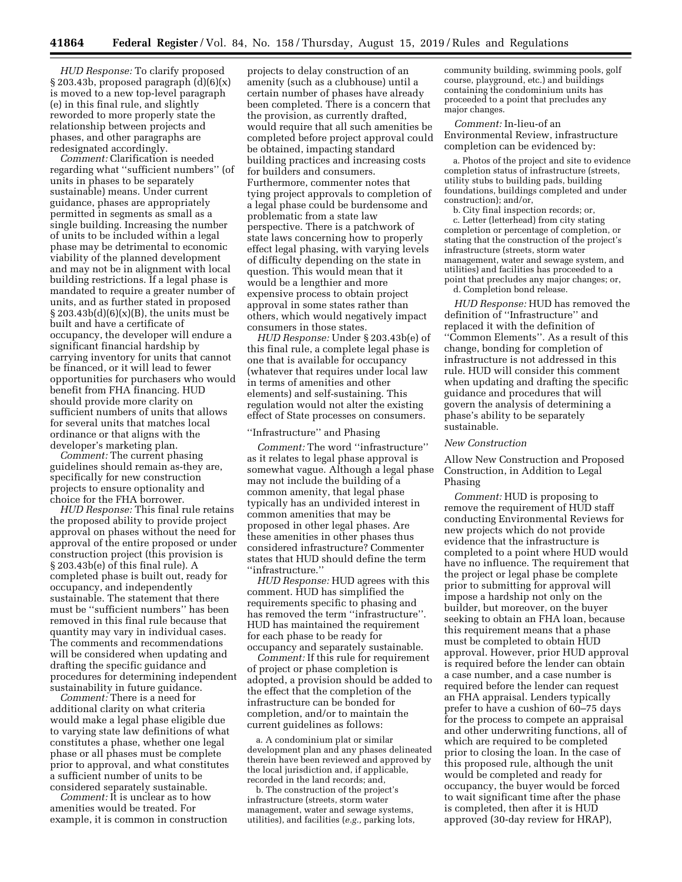*HUD Response:* To clarify proposed  $\S 203.43b$ , proposed paragraph  $(d)(6)(x)$ is moved to a new top-level paragraph (e) in this final rule, and slightly reworded to more properly state the relationship between projects and phases, and other paragraphs are redesignated accordingly.

*Comment:* Clarification is needed regarding what ''sufficient numbers'' (of units in phases to be separately sustainable) means. Under current guidance, phases are appropriately permitted in segments as small as a single building. Increasing the number of units to be included within a legal phase may be detrimental to economic viability of the planned development and may not be in alignment with local building restrictions. If a legal phase is mandated to require a greater number of units, and as further stated in proposed  $\S 203.43b(d)(6)(x)(B)$ , the units must be built and have a certificate of occupancy, the developer will endure a significant financial hardship by carrying inventory for units that cannot be financed, or it will lead to fewer opportunities for purchasers who would benefit from FHA financing. HUD should provide more clarity on sufficient numbers of units that allows for several units that matches local ordinance or that aligns with the developer's marketing plan.

*Comment:* The current phasing guidelines should remain as-they are, specifically for new construction projects to ensure optionality and choice for the FHA borrower.

*HUD Response:* This final rule retains the proposed ability to provide project approval on phases without the need for approval of the entire proposed or under construction project (this provision is § 203.43b(e) of this final rule). A completed phase is built out, ready for occupancy, and independently sustainable. The statement that there must be ''sufficient numbers'' has been removed in this final rule because that quantity may vary in individual cases. The comments and recommendations will be considered when updating and drafting the specific guidance and procedures for determining independent sustainability in future guidance.

*Comment:* There is a need for additional clarity on what criteria would make a legal phase eligible due to varying state law definitions of what constitutes a phase, whether one legal phase or all phases must be complete prior to approval, and what constitutes a sufficient number of units to be considered separately sustainable.

*Comment:* It is unclear as to how amenities would be treated. For example, it is common in construction

projects to delay construction of an amenity (such as a clubhouse) until a certain number of phases have already been completed. There is a concern that the provision, as currently drafted, would require that all such amenities be completed before project approval could be obtained, impacting standard building practices and increasing costs for builders and consumers. Furthermore, commenter notes that tying project approvals to completion of a legal phase could be burdensome and problematic from a state law perspective. There is a patchwork of state laws concerning how to properly effect legal phasing, with varying levels of difficulty depending on the state in question. This would mean that it would be a lengthier and more expensive process to obtain project approval in some states rather than others, which would negatively impact consumers in those states.

*HUD Response:* Under § 203.43b(e) of this final rule, a complete legal phase is one that is available for occupancy (whatever that requires under local law in terms of amenities and other elements) and self-sustaining. This regulation would not alter the existing effect of State processes on consumers.

## ''Infrastructure'' and Phasing

*Comment:* The word ''infrastructure'' as it relates to legal phase approval is somewhat vague. Although a legal phase may not include the building of a common amenity, that legal phase typically has an undivided interest in common amenities that may be proposed in other legal phases. Are these amenities in other phases thus considered infrastructure? Commenter states that HUD should define the term ''infrastructure.''

*HUD Response:* HUD agrees with this comment. HUD has simplified the requirements specific to phasing and has removed the term ''infrastructure''. HUD has maintained the requirement for each phase to be ready for occupancy and separately sustainable.

*Comment:* If this rule for requirement of project or phase completion is adopted, a provision should be added to the effect that the completion of the infrastructure can be bonded for completion, and/or to maintain the current guidelines as follows:

a. A condominium plat or similar development plan and any phases delineated therein have been reviewed and approved by the local jurisdiction and, if applicable, recorded in the land records; and,

b. The construction of the project's infrastructure (streets, storm water management, water and sewage systems, utilities), and facilities (*e.g.,* parking lots, community building, swimming pools, golf course, playground, etc.) and buildings containing the condominium units has proceeded to a point that precludes any major changes.

*Comment:* In-lieu-of an Environmental Review, infrastructure completion can be evidenced by:

a. Photos of the project and site to evidence completion status of infrastructure (streets, utility stubs to building pads, building foundations, buildings completed and under construction); and/or,

b. City final inspection records; or, c. Letter (letterhead) from city stating completion or percentage of completion, or stating that the construction of the project's infrastructure (streets, storm water management, water and sewage system, and utilities) and facilities has proceeded to a point that precludes any major changes; or,

d. Completion bond release.

*HUD Response:* HUD has removed the definition of ''Infrastructure'' and replaced it with the definition of ''Common Elements''. As a result of this change, bonding for completion of infrastructure is not addressed in this rule. HUD will consider this comment when updating and drafting the specific guidance and procedures that will govern the analysis of determining a phase's ability to be separately sustainable.

# *New Construction*

Allow New Construction and Proposed Construction, in Addition to Legal Phasing

*Comment:* HUD is proposing to remove the requirement of HUD staff conducting Environmental Reviews for new projects which do not provide evidence that the infrastructure is completed to a point where HUD would have no influence. The requirement that the project or legal phase be complete prior to submitting for approval will impose a hardship not only on the builder, but moreover, on the buyer seeking to obtain an FHA loan, because this requirement means that a phase must be completed to obtain HUD approval. However, prior HUD approval is required before the lender can obtain a case number, and a case number is required before the lender can request an FHA appraisal. Lenders typically prefer to have a cushion of 60–75 days for the process to compete an appraisal and other underwriting functions, all of which are required to be completed prior to closing the loan. In the case of this proposed rule, although the unit would be completed and ready for occupancy, the buyer would be forced to wait significant time after the phase is completed, then after it is HUD approved (30-day review for HRAP),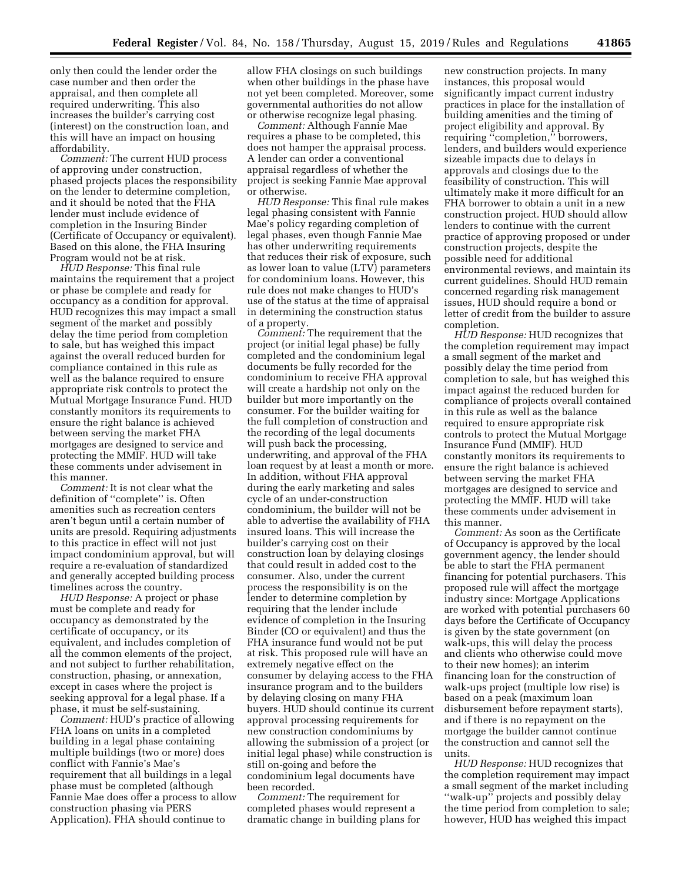only then could the lender order the case number and then order the appraisal, and then complete all required underwriting. This also increases the builder's carrying cost (interest) on the construction loan, and this will have an impact on housing affordability.

*Comment:* The current HUD process of approving under construction, phased projects places the responsibility on the lender to determine completion, and it should be noted that the FHA lender must include evidence of completion in the Insuring Binder (Certificate of Occupancy or equivalent). Based on this alone, the FHA Insuring Program would not be at risk.

*HUD Response:* This final rule maintains the requirement that a project or phase be complete and ready for occupancy as a condition for approval. HUD recognizes this may impact a small segment of the market and possibly delay the time period from completion to sale, but has weighed this impact against the overall reduced burden for compliance contained in this rule as well as the balance required to ensure appropriate risk controls to protect the Mutual Mortgage Insurance Fund. HUD constantly monitors its requirements to ensure the right balance is achieved between serving the market FHA mortgages are designed to service and protecting the MMIF. HUD will take these comments under advisement in this manner.

*Comment:* It is not clear what the definition of ''complete'' is. Often amenities such as recreation centers aren't begun until a certain number of units are presold. Requiring adjustments to this practice in effect will not just impact condominium approval, but will require a re-evaluation of standardized and generally accepted building process timelines across the country.

*HUD Response:* A project or phase must be complete and ready for occupancy as demonstrated by the certificate of occupancy, or its equivalent, and includes completion of all the common elements of the project, and not subject to further rehabilitation, construction, phasing, or annexation, except in cases where the project is seeking approval for a legal phase. If a phase, it must be self-sustaining.

*Comment:* HUD's practice of allowing FHA loans on units in a completed building in a legal phase containing multiple buildings (two or more) does conflict with Fannie's Mae's requirement that all buildings in a legal phase must be completed (although Fannie Mae does offer a process to allow construction phasing via PERS Application). FHA should continue to

allow FHA closings on such buildings when other buildings in the phase have not yet been completed. Moreover, some governmental authorities do not allow or otherwise recognize legal phasing.

*Comment:* Although Fannie Mae requires a phase to be completed, this does not hamper the appraisal process. A lender can order a conventional appraisal regardless of whether the project is seeking Fannie Mae approval or otherwise.

*HUD Response:* This final rule makes legal phasing consistent with Fannie Mae's policy regarding completion of legal phases, even though Fannie Mae has other underwriting requirements that reduces their risk of exposure, such as lower loan to value (LTV) parameters for condominium loans. However, this rule does not make changes to HUD's use of the status at the time of appraisal in determining the construction status of a property.

*Comment:* The requirement that the project (or initial legal phase) be fully completed and the condominium legal documents be fully recorded for the condominium to receive FHA approval will create a hardship not only on the builder but more importantly on the consumer. For the builder waiting for the full completion of construction and the recording of the legal documents will push back the processing, underwriting, and approval of the FHA loan request by at least a month or more. In addition, without FHA approval during the early marketing and sales cycle of an under-construction condominium, the builder will not be able to advertise the availability of FHA insured loans. This will increase the builder's carrying cost on their construction loan by delaying closings that could result in added cost to the consumer. Also, under the current process the responsibility is on the lender to determine completion by requiring that the lender include evidence of completion in the Insuring Binder (CO or equivalent) and thus the FHA insurance fund would not be put at risk. This proposed rule will have an extremely negative effect on the consumer by delaying access to the FHA insurance program and to the builders by delaying closing on many FHA buyers. HUD should continue its current approval processing requirements for new construction condominiums by allowing the submission of a project (or initial legal phase) while construction is still on-going and before the condominium legal documents have been recorded.

*Comment:* The requirement for completed phases would represent a dramatic change in building plans for

new construction projects. In many instances, this proposal would significantly impact current industry practices in place for the installation of building amenities and the timing of project eligibility and approval. By requiring ''completion,'' borrowers, lenders, and builders would experience sizeable impacts due to delays in approvals and closings due to the feasibility of construction. This will ultimately make it more difficult for an FHA borrower to obtain a unit in a new construction project. HUD should allow lenders to continue with the current practice of approving proposed or under construction projects, despite the possible need for additional environmental reviews, and maintain its current guidelines. Should HUD remain concerned regarding risk management issues, HUD should require a bond or letter of credit from the builder to assure completion.

*HUD Response:* HUD recognizes that the completion requirement may impact a small segment of the market and possibly delay the time period from completion to sale, but has weighed this impact against the reduced burden for compliance of projects overall contained in this rule as well as the balance required to ensure appropriate risk controls to protect the Mutual Mortgage Insurance Fund (MMIF). HUD constantly monitors its requirements to ensure the right balance is achieved between serving the market FHA mortgages are designed to service and protecting the MMIF. HUD will take these comments under advisement in this manner.

*Comment:* As soon as the Certificate of Occupancy is approved by the local government agency, the lender should be able to start the FHA permanent financing for potential purchasers. This proposed rule will affect the mortgage industry since: Mortgage Applications are worked with potential purchasers 60 days before the Certificate of Occupancy is given by the state government (on walk-ups, this will delay the process and clients who otherwise could move to their new homes); an interim financing loan for the construction of walk-ups project (multiple low rise) is based on a peak (maximum loan disbursement before repayment starts), and if there is no repayment on the mortgage the builder cannot continue the construction and cannot sell the units.

*HUD Response:* HUD recognizes that the completion requirement may impact a small segment of the market including ''walk-up'' projects and possibly delay the time period from completion to sale; however, HUD has weighed this impact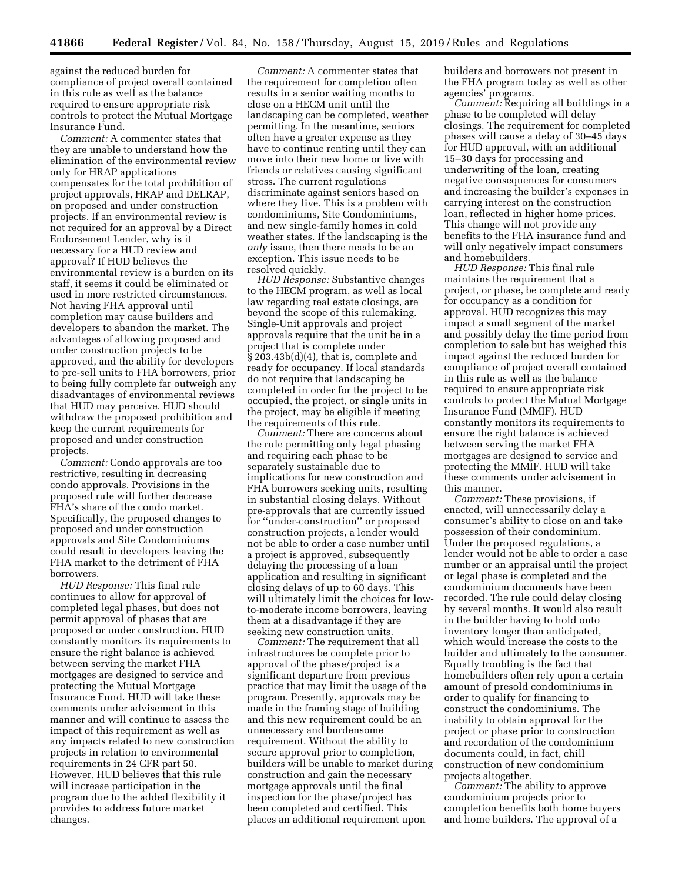against the reduced burden for compliance of project overall contained in this rule as well as the balance required to ensure appropriate risk controls to protect the Mutual Mortgage Insurance Fund.

*Comment:* A commenter states that they are unable to understand how the elimination of the environmental review only for HRAP applications compensates for the total prohibition of project approvals, HRAP and DELRAP, on proposed and under construction projects. If an environmental review is not required for an approval by a Direct Endorsement Lender, why is it necessary for a HUD review and approval? If HUD believes the environmental review is a burden on its staff, it seems it could be eliminated or used in more restricted circumstances. Not having FHA approval until completion may cause builders and developers to abandon the market. The advantages of allowing proposed and under construction projects to be approved, and the ability for developers to pre-sell units to FHA borrowers, prior to being fully complete far outweigh any disadvantages of environmental reviews that HUD may perceive. HUD should withdraw the proposed prohibition and keep the current requirements for proposed and under construction projects.

*Comment:* Condo approvals are too restrictive, resulting in decreasing condo approvals. Provisions in the proposed rule will further decrease FHA's share of the condo market. Specifically, the proposed changes to proposed and under construction approvals and Site Condominiums could result in developers leaving the FHA market to the detriment of FHA borrowers.

*HUD Response:* This final rule continues to allow for approval of completed legal phases, but does not permit approval of phases that are proposed or under construction. HUD constantly monitors its requirements to ensure the right balance is achieved between serving the market FHA mortgages are designed to service and protecting the Mutual Mortgage Insurance Fund. HUD will take these comments under advisement in this manner and will continue to assess the impact of this requirement as well as any impacts related to new construction projects in relation to environmental requirements in 24 CFR part 50. However, HUD believes that this rule will increase participation in the program due to the added flexibility it provides to address future market changes.

*Comment:* A commenter states that the requirement for completion often results in a senior waiting months to close on a HECM unit until the landscaping can be completed, weather permitting. In the meantime, seniors often have a greater expense as they have to continue renting until they can move into their new home or live with friends or relatives causing significant stress. The current regulations discriminate against seniors based on where they live. This is a problem with condominiums, Site Condominiums, and new single-family homes in cold weather states. If the landscaping is the *only* issue, then there needs to be an exception. This issue needs to be resolved quickly.

*HUD Response:* Substantive changes to the HECM program, as well as local law regarding real estate closings, are beyond the scope of this rulemaking. Single-Unit approvals and project approvals require that the unit be in a project that is complete under § 203.43b(d)(4), that is, complete and ready for occupancy. If local standards do not require that landscaping be completed in order for the project to be occupied, the project, or single units in the project, may be eligible if meeting the requirements of this rule.

*Comment:* There are concerns about the rule permitting only legal phasing and requiring each phase to be separately sustainable due to implications for new construction and FHA borrowers seeking units, resulting in substantial closing delays. Without pre-approvals that are currently issued for ''under-construction'' or proposed construction projects, a lender would not be able to order a case number until a project is approved, subsequently delaying the processing of a loan application and resulting in significant closing delays of up to 60 days. This will ultimately limit the choices for lowto-moderate income borrowers, leaving them at a disadvantage if they are seeking new construction units.

*Comment:* The requirement that all infrastructures be complete prior to approval of the phase/project is a significant departure from previous practice that may limit the usage of the program. Presently, approvals may be made in the framing stage of building and this new requirement could be an unnecessary and burdensome requirement. Without the ability to secure approval prior to completion, builders will be unable to market during construction and gain the necessary mortgage approvals until the final inspection for the phase/project has been completed and certified. This places an additional requirement upon

builders and borrowers not present in the FHA program today as well as other agencies' programs.

*Comment:* Requiring all buildings in a phase to be completed will delay closings. The requirement for completed phases will cause a delay of 30–45 days for HUD approval, with an additional 15–30 days for processing and underwriting of the loan, creating negative consequences for consumers and increasing the builder's expenses in carrying interest on the construction loan, reflected in higher home prices. This change will not provide any benefits to the FHA insurance fund and will only negatively impact consumers and homebuilders.

*HUD Response:* This final rule maintains the requirement that a project, or phase, be complete and ready for occupancy as a condition for approval. HUD recognizes this may impact a small segment of the market and possibly delay the time period from completion to sale but has weighed this impact against the reduced burden for compliance of project overall contained in this rule as well as the balance required to ensure appropriate risk controls to protect the Mutual Mortgage Insurance Fund (MMIF). HUD constantly monitors its requirements to ensure the right balance is achieved between serving the market FHA mortgages are designed to service and protecting the MMIF. HUD will take these comments under advisement in this manner.

*Comment:* These provisions, if enacted, will unnecessarily delay a consumer's ability to close on and take possession of their condominium. Under the proposed regulations, a lender would not be able to order a case number or an appraisal until the project or legal phase is completed and the condominium documents have been recorded. The rule could delay closing by several months. It would also result in the builder having to hold onto inventory longer than anticipated, which would increase the costs to the builder and ultimately to the consumer. Equally troubling is the fact that homebuilders often rely upon a certain amount of presold condominiums in order to qualify for financing to construct the condominiums. The inability to obtain approval for the project or phase prior to construction and recordation of the condominium documents could, in fact, chill construction of new condominium projects altogether.

*Comment:* The ability to approve condominium projects prior to completion benefits both home buyers and home builders. The approval of a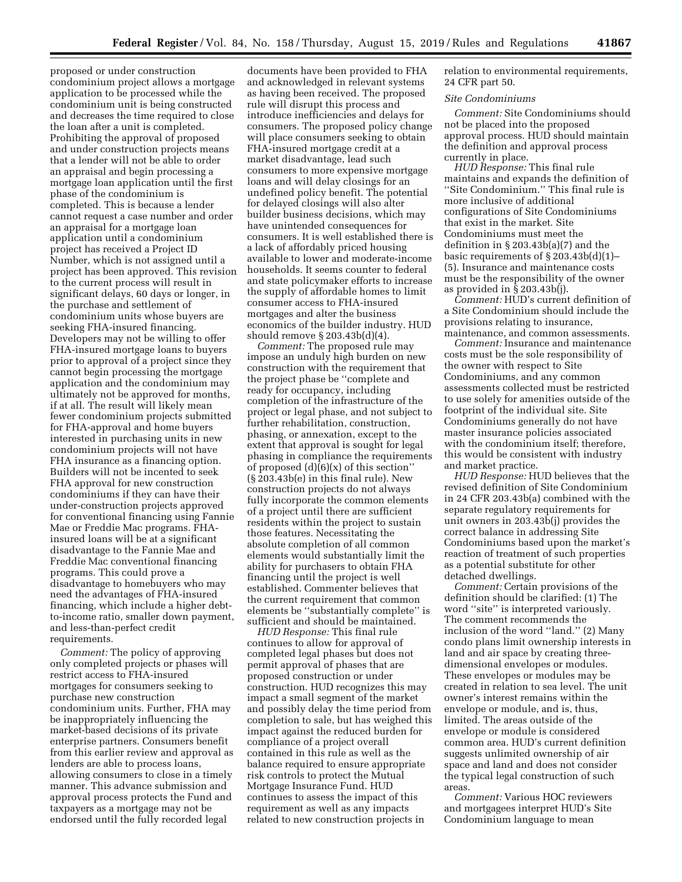proposed or under construction condominium project allows a mortgage application to be processed while the condominium unit is being constructed and decreases the time required to close the loan after a unit is completed. Prohibiting the approval of proposed and under construction projects means that a lender will not be able to order an appraisal and begin processing a mortgage loan application until the first phase of the condominium is completed. This is because a lender cannot request a case number and order an appraisal for a mortgage loan application until a condominium project has received a Project ID Number, which is not assigned until a project has been approved. This revision to the current process will result in significant delays, 60 days or longer, in the purchase and settlement of condominium units whose buyers are seeking FHA-insured financing. Developers may not be willing to offer FHA-insured mortgage loans to buyers prior to approval of a project since they cannot begin processing the mortgage application and the condominium may ultimately not be approved for months, if at all. The result will likely mean fewer condominium projects submitted for FHA-approval and home buyers interested in purchasing units in new condominium projects will not have FHA insurance as a financing option. Builders will not be incented to seek FHA approval for new construction condominiums if they can have their under-construction projects approved for conventional financing using Fannie Mae or Freddie Mac programs. FHAinsured loans will be at a significant disadvantage to the Fannie Mae and Freddie Mac conventional financing programs. This could prove a disadvantage to homebuyers who may need the advantages of FHA-insured financing, which include a higher debtto-income ratio, smaller down payment, and less-than-perfect credit requirements.

*Comment:* The policy of approving only completed projects or phases will restrict access to FHA-insured mortgages for consumers seeking to purchase new construction condominium units. Further, FHA may be inappropriately influencing the market-based decisions of its private enterprise partners. Consumers benefit from this earlier review and approval as lenders are able to process loans, allowing consumers to close in a timely manner. This advance submission and approval process protects the Fund and taxpayers as a mortgage may not be endorsed until the fully recorded legal

documents have been provided to FHA and acknowledged in relevant systems as having been received. The proposed rule will disrupt this process and introduce inefficiencies and delays for consumers. The proposed policy change will place consumers seeking to obtain FHA-insured mortgage credit at a market disadvantage, lead such consumers to more expensive mortgage loans and will delay closings for an undefined policy benefit. The potential for delayed closings will also alter builder business decisions, which may have unintended consequences for consumers. It is well established there is a lack of affordably priced housing available to lower and moderate-income households. It seems counter to federal and state policymaker efforts to increase the supply of affordable homes to limit consumer access to FHA-insured mortgages and alter the business economics of the builder industry. HUD should remove § 203.43b(d)(4).

*Comment:* The proposed rule may impose an unduly high burden on new construction with the requirement that the project phase be ''complete and ready for occupancy, including completion of the infrastructure of the project or legal phase, and not subject to further rehabilitation, construction, phasing, or annexation, except to the extent that approval is sought for legal phasing in compliance the requirements of proposed  $(d)(6)(x)$  of this section" (§ 203.43b(e) in this final rule). New construction projects do not always fully incorporate the common elements of a project until there are sufficient residents within the project to sustain those features. Necessitating the absolute completion of all common elements would substantially limit the ability for purchasers to obtain FHA financing until the project is well established. Commenter believes that the current requirement that common elements be ''substantially complete'' is sufficient and should be maintained.

*HUD Response:* This final rule continues to allow for approval of completed legal phases but does not permit approval of phases that are proposed construction or under construction. HUD recognizes this may impact a small segment of the market and possibly delay the time period from completion to sale, but has weighed this impact against the reduced burden for compliance of a project overall contained in this rule as well as the balance required to ensure appropriate risk controls to protect the Mutual Mortgage Insurance Fund. HUD continues to assess the impact of this requirement as well as any impacts related to new construction projects in

relation to environmental requirements, 24 CFR part 50.

#### *Site Condominiums*

*Comment:* Site Condominiums should not be placed into the proposed approval process. HUD should maintain the definition and approval process currently in place.

*HUD Response:* This final rule maintains and expands the definition of ''Site Condominium.'' This final rule is more inclusive of additional configurations of Site Condominiums that exist in the market. Site Condominiums must meet the definition in § 203.43b(a)(7) and the basic requirements of § 203.43b(d)(1)– (5). Insurance and maintenance costs must be the responsibility of the owner as provided in § 203.43b(j).

*Comment:* HUD's current definition of a Site Condominium should include the provisions relating to insurance, maintenance, and common assessments.

*Comment:* Insurance and maintenance costs must be the sole responsibility of the owner with respect to Site Condominiums, and any common assessments collected must be restricted to use solely for amenities outside of the footprint of the individual site. Site Condominiums generally do not have master insurance policies associated with the condominium itself; therefore, this would be consistent with industry and market practice.

*HUD Response:* HUD believes that the revised definition of Site Condominium in 24 CFR 203.43b(a) combined with the separate regulatory requirements for unit owners in 203.43b(j) provides the correct balance in addressing Site Condominiums based upon the market's reaction of treatment of such properties as a potential substitute for other detached dwellings.

*Comment:* Certain provisions of the definition should be clarified: (1) The word ''site'' is interpreted variously. The comment recommends the inclusion of the word ''land.'' (2) Many condo plans limit ownership interests in land and air space by creating threedimensional envelopes or modules. These envelopes or modules may be created in relation to sea level. The unit owner's interest remains within the envelope or module, and is, thus, limited. The areas outside of the envelope or module is considered common area. HUD's current definition suggests unlimited ownership of air space and land and does not consider the typical legal construction of such areas.

*Comment:* Various HOC reviewers and mortgagees interpret HUD's Site Condominium language to mean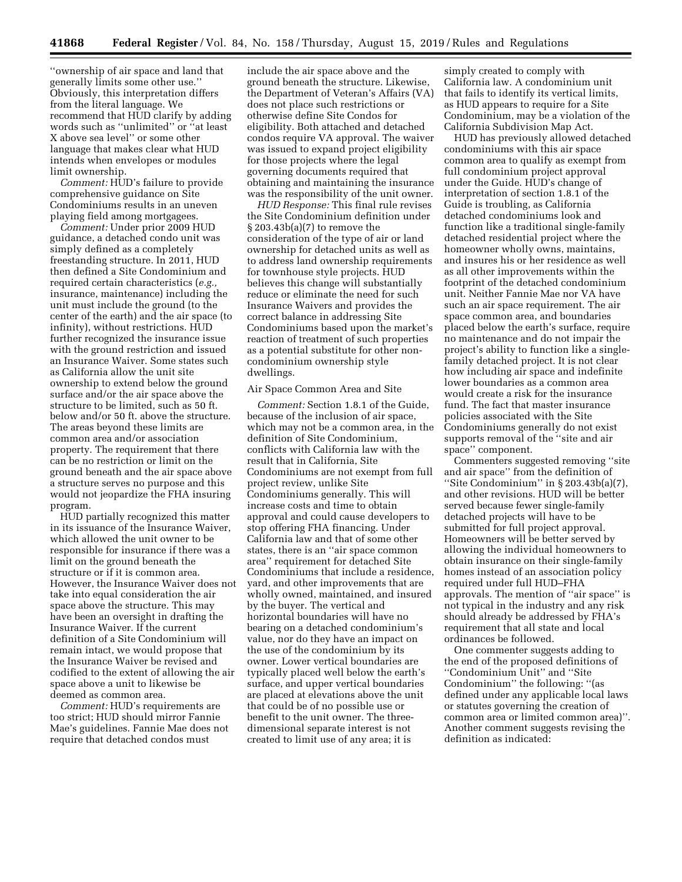''ownership of air space and land that generally limits some other use.'' Obviously, this interpretation differs from the literal language. We recommend that HUD clarify by adding words such as ''unlimited'' or ''at least X above sea level'' or some other language that makes clear what HUD intends when envelopes or modules limit ownership.

*Comment:* HUD's failure to provide comprehensive guidance on Site Condominiums results in an uneven playing field among mortgagees.

*Comment:* Under prior 2009 HUD guidance, a detached condo unit was simply defined as a completely freestanding structure. In 2011, HUD then defined a Site Condominium and required certain characteristics (*e.g.,*  insurance, maintenance) including the unit must include the ground (to the center of the earth) and the air space (to infinity), without restrictions. HUD further recognized the insurance issue with the ground restriction and issued an Insurance Waiver. Some states such as California allow the unit site ownership to extend below the ground surface and/or the air space above the structure to be limited, such as 50 ft. below and/or 50 ft. above the structure. The areas beyond these limits are common area and/or association property. The requirement that there can be no restriction or limit on the ground beneath and the air space above a structure serves no purpose and this would not jeopardize the FHA insuring program.

HUD partially recognized this matter in its issuance of the Insurance Waiver, which allowed the unit owner to be responsible for insurance if there was a limit on the ground beneath the structure or if it is common area. However, the Insurance Waiver does not take into equal consideration the air space above the structure. This may have been an oversight in drafting the Insurance Waiver. If the current definition of a Site Condominium will remain intact, we would propose that the Insurance Waiver be revised and codified to the extent of allowing the air space above a unit to likewise be deemed as common area.

*Comment:* HUD's requirements are too strict; HUD should mirror Fannie Mae's guidelines. Fannie Mae does not require that detached condos must

include the air space above and the ground beneath the structure. Likewise, the Department of Veteran's Affairs (VA) does not place such restrictions or otherwise define Site Condos for eligibility. Both attached and detached condos require VA approval. The waiver was issued to expand project eligibility for those projects where the legal governing documents required that obtaining and maintaining the insurance was the responsibility of the unit owner.

*HUD Response:* This final rule revises the Site Condominium definition under § 203.43b(a)(7) to remove the consideration of the type of air or land ownership for detached units as well as to address land ownership requirements for townhouse style projects. HUD believes this change will substantially reduce or eliminate the need for such Insurance Waivers and provides the correct balance in addressing Site Condominiums based upon the market's reaction of treatment of such properties as a potential substitute for other noncondominium ownership style dwellings.

### Air Space Common Area and Site

*Comment:* Section 1.8.1 of the Guide, because of the inclusion of air space, which may not be a common area, in the definition of Site Condominium, conflicts with California law with the result that in California, Site Condominiums are not exempt from full project review, unlike Site Condominiums generally. This will increase costs and time to obtain approval and could cause developers to stop offering FHA financing. Under California law and that of some other states, there is an ''air space common area'' requirement for detached Site Condominiums that include a residence, yard, and other improvements that are wholly owned, maintained, and insured by the buyer. The vertical and horizontal boundaries will have no bearing on a detached condominium's value, nor do they have an impact on the use of the condominium by its owner. Lower vertical boundaries are typically placed well below the earth's surface, and upper vertical boundaries are placed at elevations above the unit that could be of no possible use or benefit to the unit owner. The threedimensional separate interest is not created to limit use of any area; it is

simply created to comply with California law. A condominium unit that fails to identify its vertical limits, as HUD appears to require for a Site Condominium, may be a violation of the California Subdivision Map Act.

HUD has previously allowed detached condominiums with this air space common area to qualify as exempt from full condominium project approval under the Guide. HUD's change of interpretation of section 1.8.1 of the Guide is troubling, as California detached condominiums look and function like a traditional single-family detached residential project where the homeowner wholly owns, maintains, and insures his or her residence as well as all other improvements within the footprint of the detached condominium unit. Neither Fannie Mae nor VA have such an air space requirement. The air space common area, and boundaries placed below the earth's surface, require no maintenance and do not impair the project's ability to function like a singlefamily detached project. It is not clear how including air space and indefinite lower boundaries as a common area would create a risk for the insurance fund. The fact that master insurance policies associated with the Site Condominiums generally do not exist supports removal of the ''site and air space'' component.

Commenters suggested removing ''site and air space'' from the definition of ''Site Condominium'' in § 203.43b(a)(7), and other revisions. HUD will be better served because fewer single-family detached projects will have to be submitted for full project approval. Homeowners will be better served by allowing the individual homeowners to obtain insurance on their single-family homes instead of an association policy required under full HUD–FHA approvals. The mention of ''air space'' is not typical in the industry and any risk should already be addressed by FHA's requirement that all state and local ordinances be followed.

One commenter suggests adding to the end of the proposed definitions of ''Condominium Unit'' and ''Site Condominium'' the following: ''(as defined under any applicable local laws or statutes governing the creation of common area or limited common area)''. Another comment suggests revising the definition as indicated: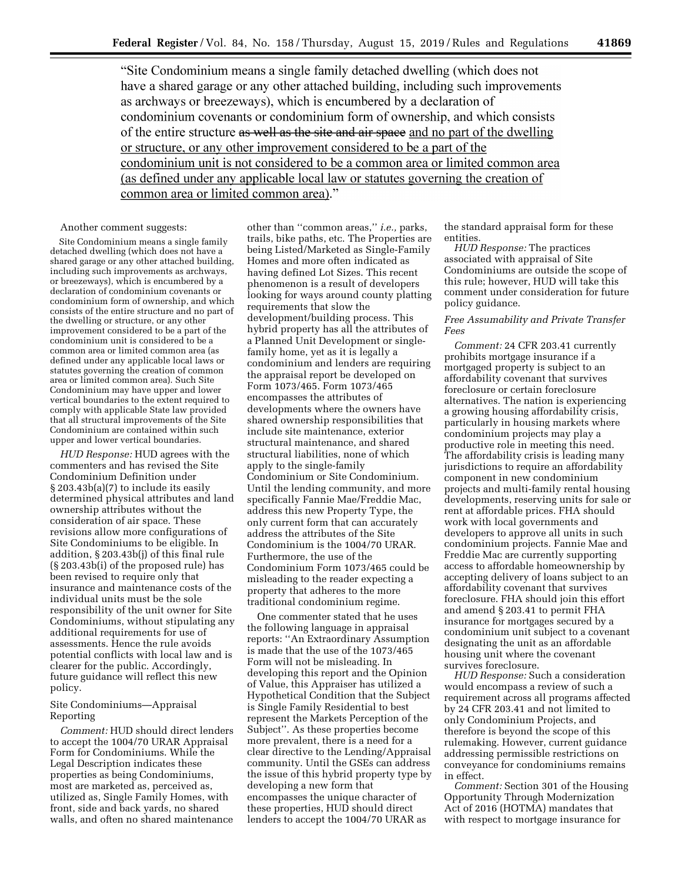"Site Condominium means a single family detached dwelling (which does not have a shared garage or any other attached building, including such improvements as archways or breezeways), which is encumbered by a declaration of condominium covenants or condominium form of ownership, and which consists of the entire structure as well as the site and air space and no part of the dwelling or structure, or any other improvement considered to be a part of the condominium unit is not considered to be a common area or limited common area (as defined under any applicable local law or statutes governing the creation of common area or limited common area)."

### Another comment suggests:

Site Condominium means a single family detached dwelling (which does not have a shared garage or any other attached building, including such improvements as archways, or breezeways), which is encumbered by a declaration of condominium covenants or condominium form of ownership, and which consists of the entire structure and no part of the dwelling or structure, or any other improvement considered to be a part of the condominium unit is considered to be a common area or limited common area (as defined under any applicable local laws or statutes governing the creation of common area or limited common area). Such Site Condominium may have upper and lower vertical boundaries to the extent required to comply with applicable State law provided that all structural improvements of the Site Condominium are contained within such upper and lower vertical boundaries.

*HUD Response:* HUD agrees with the commenters and has revised the Site Condominium Definition under § 203.43b(a)(7) to include its easily determined physical attributes and land ownership attributes without the consideration of air space. These revisions allow more configurations of Site Condominiums to be eligible. In addition, § 203.43b(j) of this final rule (§ 203.43b(i) of the proposed rule) has been revised to require only that insurance and maintenance costs of the individual units must be the sole responsibility of the unit owner for Site Condominiums, without stipulating any additional requirements for use of assessments. Hence the rule avoids potential conflicts with local law and is clearer for the public. Accordingly, future guidance will reflect this new policy.

## Site Condominiums—Appraisal Reporting

*Comment:* HUD should direct lenders to accept the 1004/70 URAR Appraisal Form for Condominiums. While the Legal Description indicates these properties as being Condominiums, most are marketed as, perceived as, utilized as, Single Family Homes, with front, side and back yards, no shared walls, and often no shared maintenance

other than ''common areas,'' *i.e.,* parks, trails, bike paths, etc. The Properties are being Listed/Marketed as Single-Family Homes and more often indicated as having defined Lot Sizes. This recent phenomenon is a result of developers looking for ways around county platting requirements that slow the development/building process. This hybrid property has all the attributes of a Planned Unit Development or singlefamily home, yet as it is legally a condominium and lenders are requiring the appraisal report be developed on Form 1073/465. Form 1073/465 encompasses the attributes of developments where the owners have shared ownership responsibilities that include site maintenance, exterior structural maintenance, and shared structural liabilities, none of which apply to the single-family Condominium or Site Condominium. Until the lending community, and more specifically Fannie Mae/Freddie Mac, address this new Property Type, the only current form that can accurately address the attributes of the Site Condominium is the 1004/70 URAR. Furthermore, the use of the Condominium Form 1073/465 could be misleading to the reader expecting a property that adheres to the more traditional condominium regime.

One commenter stated that he uses the following language in appraisal reports: ''An Extraordinary Assumption is made that the use of the 1073/465 Form will not be misleading. In developing this report and the Opinion of Value, this Appraiser has utilized a Hypothetical Condition that the Subject is Single Family Residential to best represent the Markets Perception of the Subject''. As these properties become more prevalent, there is a need for a clear directive to the Lending/Appraisal community. Until the GSEs can address the issue of this hybrid property type by developing a new form that encompasses the unique character of these properties, HUD should direct lenders to accept the 1004/70 URAR as

the standard appraisal form for these entities.

*HUD Response:* The practices associated with appraisal of Site Condominiums are outside the scope of this rule; however, HUD will take this comment under consideration for future policy guidance.

## *Free Assumability and Private Transfer Fees*

*Comment:* 24 CFR 203.41 currently prohibits mortgage insurance if a mortgaged property is subject to an affordability covenant that survives foreclosure or certain foreclosure alternatives. The nation is experiencing a growing housing affordability crisis, particularly in housing markets where condominium projects may play a productive role in meeting this need. The affordability crisis is leading many jurisdictions to require an affordability component in new condominium projects and multi-family rental housing developments, reserving units for sale or rent at affordable prices. FHA should work with local governments and developers to approve all units in such condominium projects. Fannie Mae and Freddie Mac are currently supporting access to affordable homeownership by accepting delivery of loans subject to an affordability covenant that survives foreclosure. FHA should join this effort and amend § 203.41 to permit FHA insurance for mortgages secured by a condominium unit subject to a covenant designating the unit as an affordable housing unit where the covenant survives foreclosure.

*HUD Response:* Such a consideration would encompass a review of such a requirement across all programs affected by 24 CFR 203.41 and not limited to only Condominium Projects, and therefore is beyond the scope of this rulemaking. However, current guidance addressing permissible restrictions on conveyance for condominiums remains in effect.

*Comment:* Section 301 of the Housing Opportunity Through Modernization Act of 2016 (HOTMA) mandates that with respect to mortgage insurance for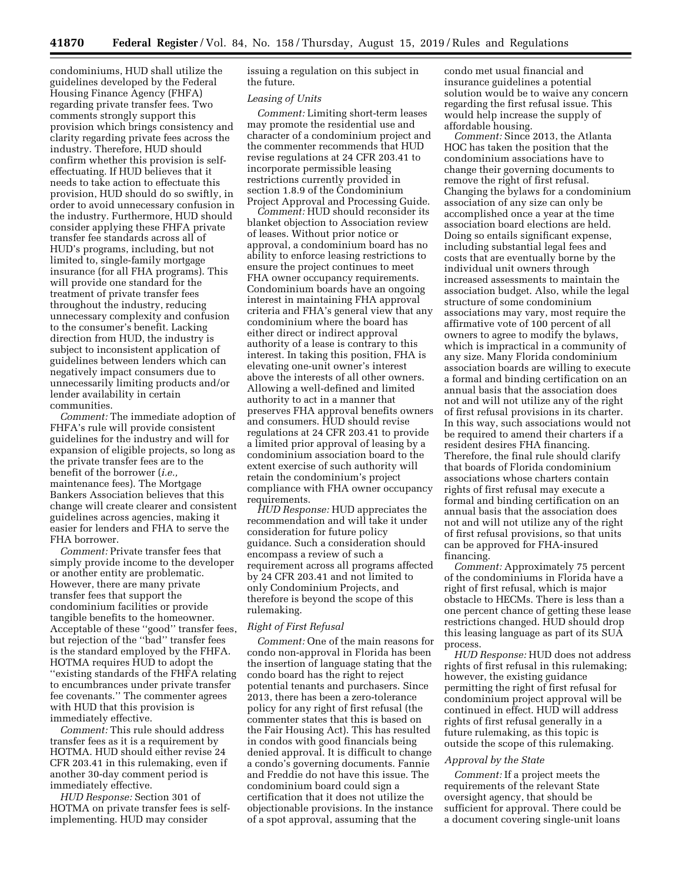condominiums, HUD shall utilize the guidelines developed by the Federal Housing Finance Agency (FHFA) regarding private transfer fees. Two comments strongly support this provision which brings consistency and clarity regarding private fees across the industry. Therefore, HUD should confirm whether this provision is selfeffectuating. If HUD believes that it needs to take action to effectuate this provision, HUD should do so swiftly, in order to avoid unnecessary confusion in the industry. Furthermore, HUD should consider applying these FHFA private transfer fee standards across all of HUD's programs, including, but not limited to, single-family mortgage insurance (for all FHA programs). This will provide one standard for the treatment of private transfer fees throughout the industry, reducing unnecessary complexity and confusion to the consumer's benefit. Lacking direction from HUD, the industry is subject to inconsistent application of guidelines between lenders which can negatively impact consumers due to unnecessarily limiting products and/or lender availability in certain communities.

*Comment:* The immediate adoption of FHFA's rule will provide consistent guidelines for the industry and will for expansion of eligible projects, so long as the private transfer fees are to the benefit of the borrower (*i.e.,*  maintenance fees). The Mortgage Bankers Association believes that this change will create clearer and consistent guidelines across agencies, making it easier for lenders and FHA to serve the FHA borrower.

*Comment:* Private transfer fees that simply provide income to the developer or another entity are problematic. However, there are many private transfer fees that support the condominium facilities or provide tangible benefits to the homeowner. Acceptable of these ''good'' transfer fees, but rejection of the ''bad'' transfer fees is the standard employed by the FHFA. HOTMA requires HUD to adopt the ''existing standards of the FHFA relating to encumbrances under private transfer fee covenants.'' The commenter agrees with HUD that this provision is immediately effective.

*Comment:* This rule should address transfer fees as it is a requirement by HOTMA. HUD should either revise 24 CFR 203.41 in this rulemaking, even if another 30-day comment period is immediately effective.

*HUD Response:* Section 301 of HOTMA on private transfer fees is selfimplementing. HUD may consider

issuing a regulation on this subject in the future.

#### *Leasing of Units*

*Comment:* Limiting short-term leases may promote the residential use and character of a condominium project and the commenter recommends that HUD revise regulations at 24 CFR 203.41 to incorporate permissible leasing restrictions currently provided in section 1.8.9 of the Condominium Project Approval and Processing Guide.

*Comment:* HUD should reconsider its blanket objection to Association review of leases. Without prior notice or approval, a condominium board has no ability to enforce leasing restrictions to ensure the project continues to meet FHA owner occupancy requirements. Condominium boards have an ongoing interest in maintaining FHA approval criteria and FHA's general view that any condominium where the board has either direct or indirect approval authority of a lease is contrary to this interest. In taking this position, FHA is elevating one-unit owner's interest above the interests of all other owners. Allowing a well-defined and limited authority to act in a manner that preserves FHA approval benefits owners and consumers. HUD should revise regulations at 24 CFR 203.41 to provide a limited prior approval of leasing by a condominium association board to the extent exercise of such authority will retain the condominium's project compliance with FHA owner occupancy requirements.

*HUD Response:* HUD appreciates the recommendation and will take it under consideration for future policy guidance. Such a consideration should encompass a review of such a requirement across all programs affected by 24 CFR 203.41 and not limited to only Condominium Projects, and therefore is beyond the scope of this rulemaking.

# *Right of First Refusal*

*Comment:* One of the main reasons for condo non-approval in Florida has been the insertion of language stating that the condo board has the right to reject potential tenants and purchasers. Since 2013, there has been a zero-tolerance policy for any right of first refusal (the commenter states that this is based on the Fair Housing Act). This has resulted in condos with good financials being denied approval. It is difficult to change a condo's governing documents. Fannie and Freddie do not have this issue. The condominium board could sign a certification that it does not utilize the objectionable provisions. In the instance of a spot approval, assuming that the

condo met usual financial and insurance guidelines a potential solution would be to waive any concern regarding the first refusal issue. This would help increase the supply of affordable housing.

*Comment:* Since 2013, the Atlanta HOC has taken the position that the condominium associations have to change their governing documents to remove the right of first refusal. Changing the bylaws for a condominium association of any size can only be accomplished once a year at the time association board elections are held. Doing so entails significant expense, including substantial legal fees and costs that are eventually borne by the individual unit owners through increased assessments to maintain the association budget. Also, while the legal structure of some condominium associations may vary, most require the affirmative vote of 100 percent of all owners to agree to modify the bylaws, which is impractical in a community of any size. Many Florida condominium association boards are willing to execute a formal and binding certification on an annual basis that the association does not and will not utilize any of the right of first refusal provisions in its charter. In this way, such associations would not be required to amend their charters if a resident desires FHA financing. Therefore, the final rule should clarify that boards of Florida condominium associations whose charters contain rights of first refusal may execute a formal and binding certification on an annual basis that the association does not and will not utilize any of the right of first refusal provisions, so that units can be approved for FHA-insured financing.

*Comment:* Approximately 75 percent of the condominiums in Florida have a right of first refusal, which is major obstacle to HECMs. There is less than a one percent chance of getting these lease restrictions changed. HUD should drop this leasing language as part of its SUA process.

*HUD Response:* HUD does not address rights of first refusal in this rulemaking; however, the existing guidance permitting the right of first refusal for condominium project approval will be continued in effect. HUD will address rights of first refusal generally in a future rulemaking, as this topic is outside the scope of this rulemaking.

#### *Approval by the State*

*Comment:* If a project meets the requirements of the relevant State oversight agency, that should be sufficient for approval. There could be a document covering single-unit loans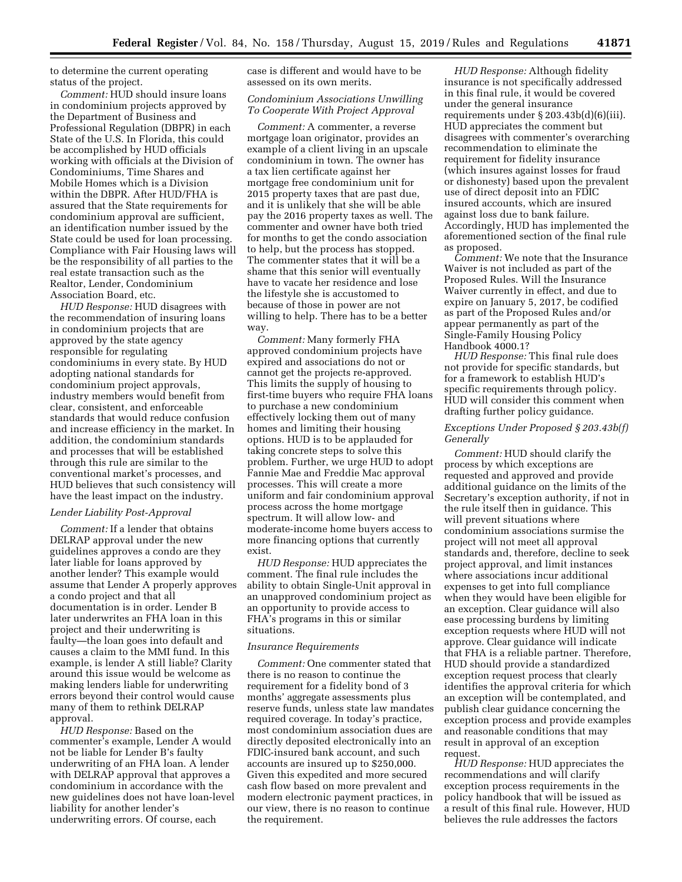to determine the current operating status of the project.

*Comment:* HUD should insure loans in condominium projects approved by the Department of Business and Professional Regulation (DBPR) in each State of the U.S. In Florida, this could be accomplished by HUD officials working with officials at the Division of Condominiums, Time Shares and Mobile Homes which is a Division within the DBPR. After HUD/FHA is assured that the State requirements for condominium approval are sufficient, an identification number issued by the State could be used for loan processing. Compliance with Fair Housing laws will be the responsibility of all parties to the real estate transaction such as the Realtor, Lender, Condominium Association Board, etc.

*HUD Response:* HUD disagrees with the recommendation of insuring loans in condominium projects that are approved by the state agency responsible for regulating condominiums in every state. By HUD adopting national standards for condominium project approvals, industry members would benefit from clear, consistent, and enforceable standards that would reduce confusion and increase efficiency in the market. In addition, the condominium standards and processes that will be established through this rule are similar to the conventional market's processes, and HUD believes that such consistency will have the least impact on the industry.

### *Lender Liability Post-Approval*

*Comment:* If a lender that obtains DELRAP approval under the new guidelines approves a condo are they later liable for loans approved by another lender? This example would assume that Lender A properly approves a condo project and that all documentation is in order. Lender B later underwrites an FHA loan in this project and their underwriting is faulty—the loan goes into default and causes a claim to the MMI fund. In this example, is lender A still liable? Clarity around this issue would be welcome as making lenders liable for underwriting errors beyond their control would cause many of them to rethink DELRAP approval.

*HUD Response:* Based on the commenter's example, Lender A would not be liable for Lender B's faulty underwriting of an FHA loan. A lender with DELRAP approval that approves a condominium in accordance with the new guidelines does not have loan-level liability for another lender's underwriting errors. Of course, each

case is different and would have to be assessed on its own merits.

### *Condominium Associations Unwilling To Cooperate With Project Approval*

*Comment:* A commenter, a reverse mortgage loan originator, provides an example of a client living in an upscale condominium in town. The owner has a tax lien certificate against her mortgage free condominium unit for 2015 property taxes that are past due, and it is unlikely that she will be able pay the 2016 property taxes as well. The commenter and owner have both tried for months to get the condo association to help, but the process has stopped. The commenter states that it will be a shame that this senior will eventually have to vacate her residence and lose the lifestyle she is accustomed to because of those in power are not willing to help. There has to be a better way.

*Comment:* Many formerly FHA approved condominium projects have expired and associations do not or cannot get the projects re-approved. This limits the supply of housing to first-time buyers who require FHA loans to purchase a new condominium effectively locking them out of many homes and limiting their housing options. HUD is to be applauded for taking concrete steps to solve this problem. Further, we urge HUD to adopt Fannie Mae and Freddie Mac approval processes. This will create a more uniform and fair condominium approval process across the home mortgage spectrum. It will allow low- and moderate-income home buyers access to more financing options that currently exist.

*HUD Response:* HUD appreciates the comment. The final rule includes the ability to obtain Single-Unit approval in an unapproved condominium project as an opportunity to provide access to FHA's programs in this or similar situations.

### *Insurance Requirements*

*Comment:* One commenter stated that there is no reason to continue the requirement for a fidelity bond of 3 months' aggregate assessments plus reserve funds, unless state law mandates required coverage. In today's practice, most condominium association dues are directly deposited electronically into an FDIC-insured bank account, and such accounts are insured up to \$250,000. Given this expedited and more secured cash flow based on more prevalent and modern electronic payment practices, in our view, there is no reason to continue the requirement.

*HUD Response:* Although fidelity insurance is not specifically addressed in this final rule, it would be covered under the general insurance requirements under § 203.43b(d)(6)(iii). HUD appreciates the comment but disagrees with commenter's overarching recommendation to eliminate the requirement for fidelity insurance (which insures against losses for fraud or dishonesty) based upon the prevalent use of direct deposit into an FDIC insured accounts, which are insured against loss due to bank failure. Accordingly, HUD has implemented the aforementioned section of the final rule as proposed.

*Comment:* We note that the Insurance Waiver is not included as part of the Proposed Rules. Will the Insurance Waiver currently in effect, and due to expire on January 5, 2017, be codified as part of the Proposed Rules and/or appear permanently as part of the Single-Family Housing Policy Handbook 4000.1?

*HUD Response:* This final rule does not provide for specific standards, but for a framework to establish HUD's specific requirements through policy. HUD will consider this comment when drafting further policy guidance.

### *Exceptions Under Proposed § 203.43b(f) Generally*

*Comment:* HUD should clarify the process by which exceptions are requested and approved and provide additional guidance on the limits of the Secretary's exception authority, if not in the rule itself then in guidance. This will prevent situations where condominium associations surmise the project will not meet all approval standards and, therefore, decline to seek project approval, and limit instances where associations incur additional expenses to get into full compliance when they would have been eligible for an exception. Clear guidance will also ease processing burdens by limiting exception requests where HUD will not approve. Clear guidance will indicate that FHA is a reliable partner. Therefore, HUD should provide a standardized exception request process that clearly identifies the approval criteria for which an exception will be contemplated, and publish clear guidance concerning the exception process and provide examples and reasonable conditions that may result in approval of an exception request.

*HUD Response:* HUD appreciates the recommendations and will clarify exception process requirements in the policy handbook that will be issued as a result of this final rule. However, HUD believes the rule addresses the factors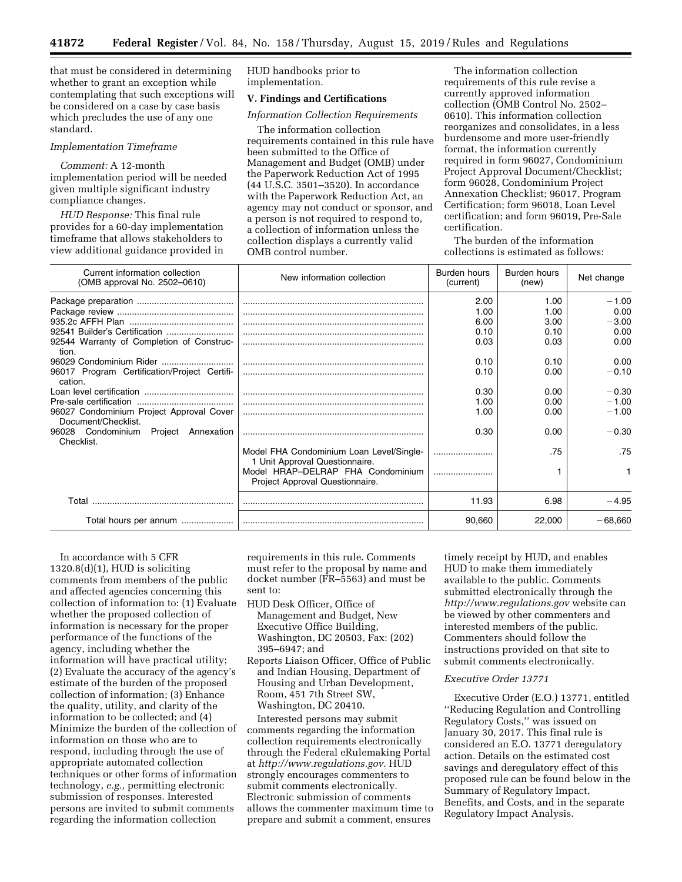that must be considered in determining whether to grant an exception while contemplating that such exceptions will be considered on a case by case basis which precludes the use of any one standard.

## *Implementation Timeframe*

*Comment:* A 12-month implementation period will be needed given multiple significant industry compliance changes.

*HUD Response:* This final rule provides for a 60-day implementation timeframe that allows stakeholders to view additional guidance provided in HUD handbooks prior to implementation.

# **V. Findings and Certifications**

### *Information Collection Requirements*

The information collection requirements contained in this rule have been submitted to the Office of Management and Budget (OMB) under the Paperwork Reduction Act of 1995 (44 U.S.C. 3501–3520). In accordance with the Paperwork Reduction Act, an agency may not conduct or sponsor, and a person is not required to respond to, a collection of information unless the collection displays a currently valid OMB control number.

The information collection requirements of this rule revise a currently approved information collection (OMB Control No. 2502– 0610). This information collection reorganizes and consolidates, in a less burdensome and more user-friendly format, the information currently required in form 96027, Condominium Project Approval Document/Checklist; form 96028, Condominium Project Annexation Checklist; 96017, Program Certification; form 96018, Loan Level certification; and form 96019, Pre-Sale certification.

The burden of the information collections is estimated as follows:

| Current information collection<br>(OMB approval No. 2502-0610)  | New information collection                                                 | Burden hours<br>(current) | Burden hours<br>(new) | Net change |
|-----------------------------------------------------------------|----------------------------------------------------------------------------|---------------------------|-----------------------|------------|
|                                                                 |                                                                            | 2.00                      | 1.00                  | $-1.00$    |
|                                                                 |                                                                            | 1.00                      | 1.00                  | 0.00       |
|                                                                 |                                                                            | 6.00                      | 3.00                  | $-3.00$    |
|                                                                 |                                                                            | 0.10                      | 0.10                  | 0.00       |
| 92544 Warranty of Completion of Construc-<br>tion.              |                                                                            | 0.03                      | 0.03                  | 0.00       |
|                                                                 |                                                                            | 0.10                      | 0.10                  | 0.00       |
| 96017 Program Certification/Project Certifi-<br>cation.         |                                                                            | 0.10                      | 0.00                  | $-0.10$    |
|                                                                 |                                                                            | 0.30                      | 0.00                  | $-0.30$    |
|                                                                 |                                                                            | 1.00                      | 0.00                  | $-1.00$    |
| 96027 Condominium Project Approval Cover<br>Document/Checklist. |                                                                            | 1.00                      | 0.00                  | $-1.00$    |
| 96028 Condominium<br>Project<br>Annexation<br>Checklist.        |                                                                            | 0.30                      | 0.00                  | $-0.30$    |
|                                                                 | Model FHA Condominium Loan Level/Single-<br>1 Unit Approval Questionnaire. |                           | .75                   | .75        |
|                                                                 | Model HRAP-DELRAP FHA Condominium<br>Project Approval Questionnaire.       |                           |                       |            |
| Total                                                           |                                                                            | 11.93                     | 6.98                  | $-4.95$    |
| Total hours per annum                                           |                                                                            | 90.660                    | 22,000                | $-68.660$  |

In accordance with 5 CFR  $1320.8(d)(1)$ , HUD is soliciting comments from members of the public and affected agencies concerning this collection of information to: (1) Evaluate whether the proposed collection of information is necessary for the proper performance of the functions of the agency, including whether the information will have practical utility; (2) Evaluate the accuracy of the agency's estimate of the burden of the proposed collection of information; (3) Enhance the quality, utility, and clarity of the information to be collected; and (4) Minimize the burden of the collection of information on those who are to respond, including through the use of appropriate automated collection techniques or other forms of information technology, *e.g.,* permitting electronic submission of responses. Interested persons are invited to submit comments regarding the information collection

requirements in this rule. Comments must refer to the proposal by name and docket number (FR–5563) and must be sent to:

- HUD Desk Officer, Office of Management and Budget, New Executive Office Building, Washington, DC 20503, Fax: (202) 395–6947; and
- Reports Liaison Officer, Office of Public and Indian Housing, Department of Housing and Urban Development, Room, 451 7th Street SW, Washington, DC 20410.

Interested persons may submit comments regarding the information collection requirements electronically through the Federal eRulemaking Portal at *[http://www.regulations.gov.](http://www.regulations.gov)* HUD strongly encourages commenters to submit comments electronically. Electronic submission of comments allows the commenter maximum time to prepare and submit a comment, ensures

timely receipt by HUD, and enables HUD to make them immediately available to the public. Comments submitted electronically through the *<http://www.regulations.gov>* website can be viewed by other commenters and interested members of the public. Commenters should follow the instructions provided on that site to submit comments electronically.

## *Executive Order 13771*

Executive Order (E.O.) 13771, entitled ''Reducing Regulation and Controlling Regulatory Costs,'' was issued on January 30, 2017. This final rule is considered an E.O. 13771 deregulatory action. Details on the estimated cost savings and deregulatory effect of this proposed rule can be found below in the Summary of Regulatory Impact, Benefits, and Costs, and in the separate Regulatory Impact Analysis.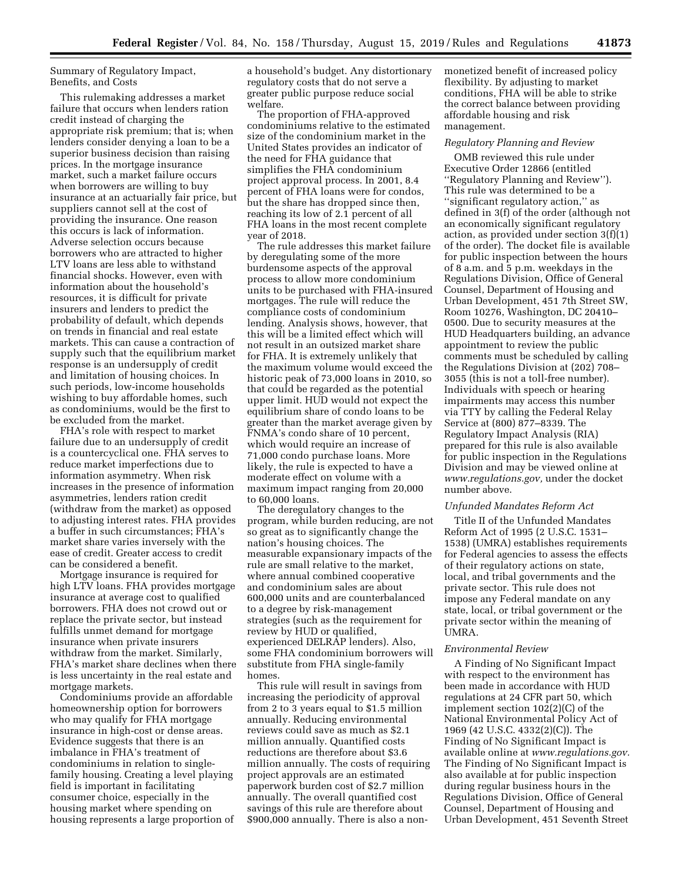Summary of Regulatory Impact, Benefits, and Costs

This rulemaking addresses a market failure that occurs when lenders ration credit instead of charging the appropriate risk premium; that is; when lenders consider denying a loan to be a superior business decision than raising prices. In the mortgage insurance market, such a market failure occurs when borrowers are willing to buy insurance at an actuarially fair price, but suppliers cannot sell at the cost of providing the insurance. One reason this occurs is lack of information. Adverse selection occurs because borrowers who are attracted to higher LTV loans are less able to withstand financial shocks. However, even with information about the household's resources, it is difficult for private insurers and lenders to predict the probability of default, which depends on trends in financial and real estate markets. This can cause a contraction of supply such that the equilibrium market response is an undersupply of credit and limitation of housing choices. In such periods, low-income households wishing to buy affordable homes, such as condominiums, would be the first to be excluded from the market.

FHA's role with respect to market failure due to an undersupply of credit is a countercyclical one. FHA serves to reduce market imperfections due to information asymmetry. When risk increases in the presence of information asymmetries, lenders ration credit (withdraw from the market) as opposed to adjusting interest rates. FHA provides a buffer in such circumstances; FHA's market share varies inversely with the ease of credit. Greater access to credit can be considered a benefit.

Mortgage insurance is required for high LTV loans. FHA provides mortgage insurance at average cost to qualified borrowers. FHA does not crowd out or replace the private sector, but instead fulfills unmet demand for mortgage insurance when private insurers withdraw from the market. Similarly, FHA's market share declines when there is less uncertainty in the real estate and mortgage markets.

Condominiums provide an affordable homeownership option for borrowers who may qualify for FHA mortgage insurance in high-cost or dense areas. Evidence suggests that there is an imbalance in FHA's treatment of condominiums in relation to singlefamily housing. Creating a level playing field is important in facilitating consumer choice, especially in the housing market where spending on housing represents a large proportion of a household's budget. Any distortionary regulatory costs that do not serve a greater public purpose reduce social welfare.

The proportion of FHA-approved condominiums relative to the estimated size of the condominium market in the United States provides an indicator of the need for FHA guidance that simplifies the FHA condominium project approval process. In 2001, 8.4 percent of FHA loans were for condos, but the share has dropped since then, reaching its low of 2.1 percent of all FHA loans in the most recent complete year of 2018.

The rule addresses this market failure by deregulating some of the more burdensome aspects of the approval process to allow more condominium units to be purchased with FHA-insured mortgages. The rule will reduce the compliance costs of condominium lending. Analysis shows, however, that this will be a limited effect which will not result in an outsized market share for FHA. It is extremely unlikely that the maximum volume would exceed the historic peak of 73,000 loans in 2010, so that could be regarded as the potential upper limit. HUD would not expect the equilibrium share of condo loans to be greater than the market average given by FNMA's condo share of 10 percent, which would require an increase of 71,000 condo purchase loans. More likely, the rule is expected to have a moderate effect on volume with a maximum impact ranging from 20,000 to 60,000 loans.

The deregulatory changes to the program, while burden reducing, are not so great as to significantly change the nation's housing choices. The measurable expansionary impacts of the rule are small relative to the market, where annual combined cooperative and condominium sales are about 600,000 units and are counterbalanced to a degree by risk-management strategies (such as the requirement for review by HUD or qualified, experienced DELRAP lenders). Also, some FHA condominium borrowers will substitute from FHA single-family homes.

This rule will result in savings from increasing the periodicity of approval from 2 to 3 years equal to \$1.5 million annually. Reducing environmental reviews could save as much as \$2.1 million annually. Quantified costs reductions are therefore about \$3.6 million annually. The costs of requiring project approvals are an estimated paperwork burden cost of \$2.7 million annually. The overall quantified cost savings of this rule are therefore about \$900,000 annually. There is also a nonmonetized benefit of increased policy flexibility. By adjusting to market conditions, FHA will be able to strike the correct balance between providing affordable housing and risk management.

#### *Regulatory Planning and Review*

OMB reviewed this rule under Executive Order 12866 (entitled ''Regulatory Planning and Review''). This rule was determined to be a ''significant regulatory action,'' as defined in 3(f) of the order (although not an economically significant regulatory action, as provided under section 3(f)(1) of the order). The docket file is available for public inspection between the hours of 8 a.m. and 5 p.m. weekdays in the Regulations Division, Office of General Counsel, Department of Housing and Urban Development, 451 7th Street SW, Room 10276, Washington, DC 20410– 0500. Due to security measures at the HUD Headquarters building, an advance appointment to review the public comments must be scheduled by calling the Regulations Division at (202) 708– 3055 (this is not a toll-free number). Individuals with speech or hearing impairments may access this number via TTY by calling the Federal Relay Service at (800) 877–8339. The Regulatory Impact Analysis (RIA) prepared for this rule is also available for public inspection in the Regulations Division and may be viewed online at *[www.regulations.gov,](http://www.regulations.gov)* under the docket number above.

### *Unfunded Mandates Reform Act*

Title II of the Unfunded Mandates Reform Act of 1995 (2 U.S.C. 1531– 1538) (UMRA) establishes requirements for Federal agencies to assess the effects of their regulatory actions on state, local, and tribal governments and the private sector. This rule does not impose any Federal mandate on any state, local, or tribal government or the private sector within the meaning of UMRA.

### *Environmental Review*

A Finding of No Significant Impact with respect to the environment has been made in accordance with HUD regulations at 24 CFR part 50, which implement section 102(2)(C) of the National Environmental Policy Act of 1969 (42 U.S.C. 4332(2)(C)). The Finding of No Significant Impact is available online at *[www.regulations.gov.](http://www.regulations.gov)*  The Finding of No Significant Impact is also available at for public inspection during regular business hours in the Regulations Division, Office of General Counsel, Department of Housing and Urban Development, 451 Seventh Street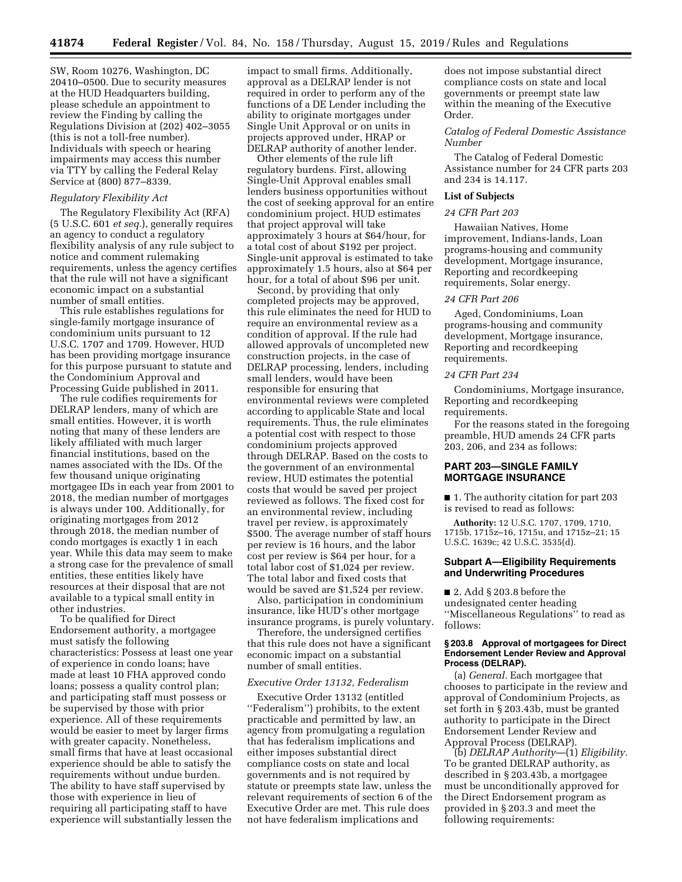SW, Room 10276, Washington, DC 20410–0500. Due to security measures at the HUD Headquarters building, please schedule an appointment to review the Finding by calling the Regulations Division at (202) 402–3055 (this is not a toll-free number). Individuals with speech or hearing impairments may access this number via TTY by calling the Federal Relay Service at (800) 877–8339.

### *Regulatory Flexibility Act*

The Regulatory Flexibility Act (RFA) (5 U.S.C. 601 *et seq.*), generally requires an agency to conduct a regulatory flexibility analysis of any rule subject to notice and comment rulemaking requirements, unless the agency certifies that the rule will not have a significant economic impact on a substantial number of small entities.

This rule establishes regulations for single-family mortgage insurance of condominium units pursuant to 12 U.S.C. 1707 and 1709. However, HUD has been providing mortgage insurance for this purpose pursuant to statute and the Condominium Approval and Processing Guide published in 2011.

The rule codifies requirements for DELRAP lenders, many of which are small entities. However, it is worth noting that many of these lenders are likely affiliated with much larger financial institutions, based on the names associated with the IDs. Of the few thousand unique originating mortgagee IDs in each year from 2001 to 2018, the median number of mortgages is always under 100. Additionally, for originating mortgages from 2012 through 2018, the median number of condo mortgages is exactly 1 in each year. While this data may seem to make a strong case for the prevalence of small entities, these entities likely have resources at their disposal that are not available to a typical small entity in other industries.

To be qualified for Direct Endorsement authority, a mortgagee must satisfy the following characteristics: Possess at least one year of experience in condo loans; have made at least 10 FHA approved condo loans; possess a quality control plan; and participating staff must possess or be supervised by those with prior experience. All of these requirements would be easier to meet by larger firms with greater capacity. Nonetheless, small firms that have at least occasional experience should be able to satisfy the requirements without undue burden. The ability to have staff supervised by those with experience in lieu of requiring all participating staff to have experience will substantially lessen the

impact to small firms. Additionally, approval as a DELRAP lender is not required in order to perform any of the functions of a DE Lender including the ability to originate mortgages under Single Unit Approval or on units in projects approved under, HRAP or DELRAP authority of another lender.

Other elements of the rule lift regulatory burdens. First, allowing Single-Unit Approval enables small lenders business opportunities without the cost of seeking approval for an entire condominium project. HUD estimates that project approval will take approximately 3 hours at \$64/hour, for a total cost of about \$192 per project. Single-unit approval is estimated to take approximately 1.5 hours, also at \$64 per hour, for a total of about \$96 per unit.

Second, by providing that only completed projects may be approved, this rule eliminates the need for HUD to require an environmental review as a condition of approval. If the rule had allowed approvals of uncompleted new construction projects, in the case of DELRAP processing, lenders, including small lenders, would have been responsible for ensuring that environmental reviews were completed according to applicable State and local requirements. Thus, the rule eliminates a potential cost with respect to those condominium projects approved through DELRAP. Based on the costs to the government of an environmental review, HUD estimates the potential costs that would be saved per project reviewed as follows. The fixed cost for an environmental review, including travel per review, is approximately \$500. The average number of staff hours per review is 16 hours, and the labor cost per review is \$64 per hour, for a total labor cost of \$1,024 per review. The total labor and fixed costs that would be saved are \$1,524 per review.

Also, participation in condominium insurance, like HUD's other mortgage insurance programs, is purely voluntary.

Therefore, the undersigned certifies that this rule does not have a significant economic impact on a substantial number of small entities.

### *Executive Order 13132, Federalism*

Executive Order 13132 (entitled ''Federalism'') prohibits, to the extent practicable and permitted by law, an agency from promulgating a regulation that has federalism implications and either imposes substantial direct compliance costs on state and local governments and is not required by statute or preempts state law, unless the relevant requirements of section 6 of the Executive Order are met. This rule does not have federalism implications and

does not impose substantial direct compliance costs on state and local governments or preempt state law within the meaning of the Executive Order.

*Catalog of Federal Domestic Assistance Number* 

The Catalog of Federal Domestic Assistance number for 24 CFR parts 203 and 234 is 14.117.

### **List of Subjects**

## *24 CFR Part 203*

Hawaiian Natives, Home improvement, Indians-lands, Loan programs-housing and community development, Mortgage insurance, Reporting and recordkeeping requirements, Solar energy.

### *24 CFR Part 206*

Aged, Condominiums, Loan programs-housing and community development, Mortgage insurance, Reporting and recordkeeping requirements.

### *24 CFR Part 234*

Condominiums, Mortgage insurance, Reporting and recordkeeping requirements.

For the reasons stated in the foregoing preamble, HUD amends 24 CFR parts 203, 206, and 234 as follows:

## **PART 203—SINGLE FAMILY MORTGAGE INSURANCE**

■ 1. The authority citation for part 203 is revised to read as follows:

**Authority:** 12 U.S.C. 1707, 1709, 1710, 1715b, 1715z–16, 1715u, and 1715z–21; 15 U.S.C. 1639c; 42 U.S.C. 3535(d).

## **Subpart A—Eligibility Requirements and Underwriting Procedures**

■ 2. Add § 203.8 before the undesignated center heading ''Miscellaneous Regulations'' to read as follows:

### **§ 203.8 Approval of mortgagees for Direct Endorsement Lender Review and Approval Process (DELRAP).**

(a) *General.* Each mortgagee that chooses to participate in the review and approval of Condominium Projects, as set forth in § 203.43b, must be granted authority to participate in the Direct Endorsement Lender Review and Approval Process (DELRAP).

(b) *DELRAP Authority*—(1) *Eligibility.*  To be granted DELRAP authority, as described in § 203.43b, a mortgagee must be unconditionally approved for the Direct Endorsement program as provided in § 203.3 and meet the following requirements: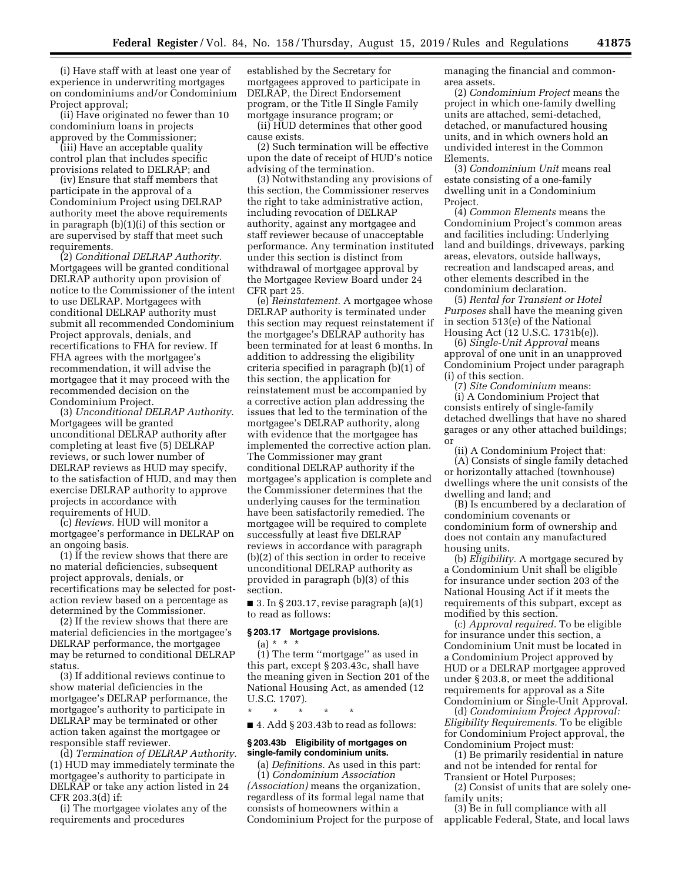(i) Have staff with at least one year of experience in underwriting mortgages on condominiums and/or Condominium Project approval;

(ii) Have originated no fewer than 10 condominium loans in projects approved by the Commissioner;

(iii) Have an acceptable quality control plan that includes specific provisions related to DELRAP; and

(iv) Ensure that staff members that participate in the approval of a Condominium Project using DELRAP authority meet the above requirements in paragraph (b)(1)(i) of this section or are supervised by staff that meet such requirements.

(2) *Conditional DELRAP Authority.*  Mortgagees will be granted conditional DELRAP authority upon provision of notice to the Commissioner of the intent to use DELRAP. Mortgagees with conditional DELRAP authority must submit all recommended Condominium Project approvals, denials, and recertifications to FHA for review. If FHA agrees with the mortgagee's recommendation, it will advise the mortgagee that it may proceed with the recommended decision on the Condominium Project.

(3) *Unconditional DELRAP Authority.*  Mortgagees will be granted unconditional DELRAP authority after completing at least five (5) DELRAP reviews, or such lower number of DELRAP reviews as HUD may specify, to the satisfaction of HUD, and may then exercise DELRAP authority to approve projects in accordance with requirements of HUD.

(c) *Reviews.* HUD will monitor a mortgagee's performance in DELRAP on an ongoing basis.

(1) If the review shows that there are no material deficiencies, subsequent project approvals, denials, or recertifications may be selected for postaction review based on a percentage as determined by the Commissioner.

(2) If the review shows that there are material deficiencies in the mortgagee's DELRAP performance, the mortgagee may be returned to conditional DELRAP status.

(3) If additional reviews continue to show material deficiencies in the mortgagee's DELRAP performance, the mortgagee's authority to participate in DELRAP may be terminated or other action taken against the mortgagee or responsible staff reviewer.

(d) *Termination of DELRAP Authority.*  (1) HUD may immediately terminate the mortgagee's authority to participate in DELRAP or take any action listed in 24 CFR 203.3(d) if:

(i) The mortgagee violates any of the requirements and procedures

established by the Secretary for mortgagees approved to participate in DELRAP, the Direct Endorsement program, or the Title II Single Family mortgage insurance program; or

(ii) HUD determines that other good cause exists.

(2) Such termination will be effective upon the date of receipt of HUD's notice advising of the termination.

(3) Notwithstanding any provisions of this section, the Commissioner reserves the right to take administrative action, including revocation of DELRAP authority, against any mortgagee and staff reviewer because of unacceptable performance. Any termination instituted under this section is distinct from withdrawal of mortgagee approval by the Mortgagee Review Board under 24 CFR part 25.

(e) *Reinstatement.* A mortgagee whose DELRAP authority is terminated under this section may request reinstatement if the mortgagee's DELRAP authority has been terminated for at least 6 months. In addition to addressing the eligibility criteria specified in paragraph (b)(1) of this section, the application for reinstatement must be accompanied by a corrective action plan addressing the issues that led to the termination of the mortgagee's DELRAP authority, along with evidence that the mortgagee has implemented the corrective action plan. The Commissioner may grant conditional DELRAP authority if the mortgagee's application is complete and the Commissioner determines that the underlying causes for the termination have been satisfactorily remedied. The mortgagee will be required to complete successfully at least five DELRAP reviews in accordance with paragraph (b)(2) of this section in order to receive unconditional DELRAP authority as provided in paragraph (b)(3) of this section.

 $\blacksquare$  3. In § 203.17, revise paragraph (a)(1) to read as follows:

### **§ 203.17 Mortgage provisions.**

 $(a) * * * *$ 

(1) The term ''mortgage'' as used in this part, except § 203.43c, shall have the meaning given in Section 201 of the National Housing Act, as amended (12 U.S.C. 1707).

\* \* \* \* \*

 $\blacksquare$  4. Add § 203.43b to read as follows:

#### **§ 203.43b Eligibility of mortgages on single-family condominium units.**

(a) *Definitions.* As used in this part: (1) *Condominium Association (Association)* means the organization, regardless of its formal legal name that consists of homeowners within a Condominium Project for the purpose of managing the financial and commonarea assets.

(2) *Condominium Project* means the project in which one-family dwelling units are attached, semi-detached, detached, or manufactured housing units, and in which owners hold an undivided interest in the Common Elements.

(3) *Condominium Unit* means real estate consisting of a one-family dwelling unit in a Condominium Project.

(4) *Common Elements* means the Condominium Project's common areas and facilities including: Underlying land and buildings, driveways, parking areas, elevators, outside hallways, recreation and landscaped areas, and other elements described in the condominium declaration.

(5) *Rental for Transient or Hotel Purposes* shall have the meaning given in section 513(e) of the National Housing Act (12 U.S.C. 1731b(e)).

(6) *Single-Unit Approval* means approval of one unit in an unapproved Condominium Project under paragraph (i) of this section.

(7) *Site Condominium* means: (i) A Condominium Project that consists entirely of single-family detached dwellings that have no shared garages or any other attached buildings; or

(ii) A Condominium Project that: (A) Consists of single family detached or horizontally attached (townhouse) dwellings where the unit consists of the dwelling and land; and

(B) Is encumbered by a declaration of condominium covenants or condominium form of ownership and does not contain any manufactured housing units.

(b) *Eligibility.* A mortgage secured by a Condominium Unit shall be eligible for insurance under section 203 of the National Housing Act if it meets the requirements of this subpart, except as modified by this section.

(c) *Approval required.* To be eligible for insurance under this section, a Condominium Unit must be located in a Condominium Project approved by HUD or a DELRAP mortgagee approved under § 203.8, or meet the additional requirements for approval as a Site Condominium or Single-Unit Approval.

(d) *Condominium Project Approval: Eligibility Requirements.* To be eligible for Condominium Project approval, the Condominium Project must:

(1) Be primarily residential in nature and not be intended for rental for Transient or Hotel Purposes;

(2) Consist of units that are solely onefamily units;

(3) Be in full compliance with all applicable Federal, State, and local laws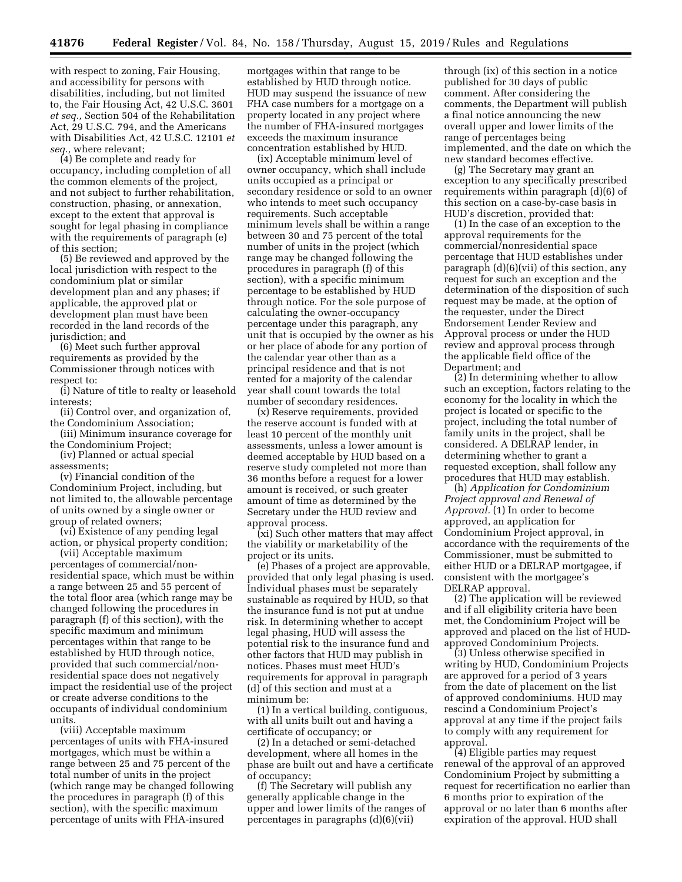with respect to zoning, Fair Housing, and accessibility for persons with disabilities, including, but not limited to, the Fair Housing Act, 42 U.S.C. 3601 *et seq.,* Section 504 of the Rehabilitation Act, 29 U.S.C. 794, and the Americans with Disabilities Act, 42 U.S.C. 12101 *et seq.,* where relevant;

(4) Be complete and ready for occupancy, including completion of all the common elements of the project, and not subject to further rehabilitation, construction, phasing, or annexation, except to the extent that approval is sought for legal phasing in compliance with the requirements of paragraph (e) of this section;

(5) Be reviewed and approved by the local jurisdiction with respect to the condominium plat or similar development plan and any phases; if applicable, the approved plat or development plan must have been recorded in the land records of the jurisdiction; and

(6) Meet such further approval requirements as provided by the Commissioner through notices with respect to:

(i) Nature of title to realty or leasehold interests;

(ii) Control over, and organization of, the Condominium Association;

(iii) Minimum insurance coverage for the Condominium Project;

(iv) Planned or actual special assessments;

(v) Financial condition of the Condominium Project, including, but not limited to, the allowable percentage of units owned by a single owner or group of related owners;

(vi) Existence of any pending legal action, or physical property condition;

(vii) Acceptable maximum percentages of commercial/nonresidential space, which must be within a range between 25 and 55 percent of the total floor area (which range may be changed following the procedures in paragraph (f) of this section), with the specific maximum and minimum percentages within that range to be established by HUD through notice, provided that such commercial/nonresidential space does not negatively impact the residential use of the project or create adverse conditions to the occupants of individual condominium units.

(viii) Acceptable maximum percentages of units with FHA-insured mortgages, which must be within a range between 25 and 75 percent of the total number of units in the project (which range may be changed following the procedures in paragraph (f) of this section), with the specific maximum percentage of units with FHA-insured

mortgages within that range to be established by HUD through notice. HUD may suspend the issuance of new FHA case numbers for a mortgage on a property located in any project where the number of FHA-insured mortgages exceeds the maximum insurance concentration established by HUD.

(ix) Acceptable minimum level of owner occupancy, which shall include units occupied as a principal or secondary residence or sold to an owner who intends to meet such occupancy requirements. Such acceptable minimum levels shall be within a range between 30 and 75 percent of the total number of units in the project (which range may be changed following the procedures in paragraph (f) of this section), with a specific minimum percentage to be established by HUD through notice. For the sole purpose of calculating the owner-occupancy percentage under this paragraph, any unit that is occupied by the owner as his or her place of abode for any portion of the calendar year other than as a principal residence and that is not rented for a majority of the calendar year shall count towards the total number of secondary residences.

(x) Reserve requirements, provided the reserve account is funded with at least 10 percent of the monthly unit assessments, unless a lower amount is deemed acceptable by HUD based on a reserve study completed not more than 36 months before a request for a lower amount is received, or such greater amount of time as determined by the Secretary under the HUD review and approval process.

(xi) Such other matters that may affect the viability or marketability of the project or its units.

(e) Phases of a project are approvable, provided that only legal phasing is used. Individual phases must be separately sustainable as required by HUD, so that the insurance fund is not put at undue risk. In determining whether to accept legal phasing, HUD will assess the potential risk to the insurance fund and other factors that HUD may publish in notices. Phases must meet HUD's requirements for approval in paragraph (d) of this section and must at a minimum be:

(1) In a vertical building, contiguous, with all units built out and having a certificate of occupancy; or

(2) In a detached or semi-detached development, where all homes in the phase are built out and have a certificate of occupancy;

(f) The Secretary will publish any generally applicable change in the upper and lower limits of the ranges of percentages in paragraphs (d)(6)(vii)

through (ix) of this section in a notice published for 30 days of public comment. After considering the comments, the Department will publish a final notice announcing the new overall upper and lower limits of the range of percentages being implemented, and the date on which the new standard becomes effective.

(g) The Secretary may grant an exception to any specifically prescribed requirements within paragraph (d)(6) of this section on a case-by-case basis in HUD's discretion, provided that:

(1) In the case of an exception to the approval requirements for the commercial/nonresidential space percentage that HUD establishes under paragraph  $(d)(6)(vii)$  of this section, any request for such an exception and the determination of the disposition of such request may be made, at the option of the requester, under the Direct Endorsement Lender Review and Approval process or under the HUD review and approval process through the applicable field office of the Department; and

(2) In determining whether to allow such an exception, factors relating to the economy for the locality in which the project is located or specific to the project, including the total number of family units in the project, shall be considered. A DELRAP lender, in determining whether to grant a requested exception, shall follow any procedures that HUD may establish.

(h) *Application for Condominium Project approval and Renewal of Approval.* (1) In order to become approved, an application for Condominium Project approval, in accordance with the requirements of the Commissioner, must be submitted to either HUD or a DELRAP mortgagee, if consistent with the mortgagee's DELRAP approval.

(2) The application will be reviewed and if all eligibility criteria have been met, the Condominium Project will be approved and placed on the list of HUDapproved Condominium Projects.

(3) Unless otherwise specified in writing by HUD, Condominium Projects are approved for a period of 3 years from the date of placement on the list of approved condominiums. HUD may rescind a Condominium Project's approval at any time if the project fails to comply with any requirement for approval.

(4) Eligible parties may request renewal of the approval of an approved Condominium Project by submitting a request for recertification no earlier than 6 months prior to expiration of the approval or no later than 6 months after expiration of the approval. HUD shall